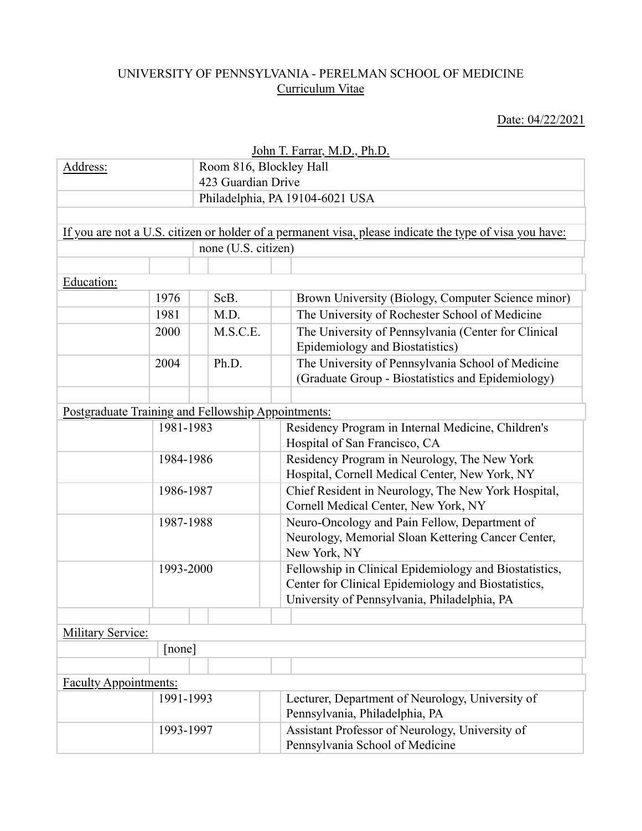## UNIVERSITY OF PENNSYLVANIA - PERELMAN SCHOOL OF MEDICINE Curriculum Vitae

Date: 04/22/2021

| John T. Farrar, M.D., Ph.D.                        |           |                                               |          |                                                                                                |                                                                                                         |  |  |
|----------------------------------------------------|-----------|-----------------------------------------------|----------|------------------------------------------------------------------------------------------------|---------------------------------------------------------------------------------------------------------|--|--|
| Address:                                           |           | Room 816, Blockley Hall<br>423 Guardian Drive |          |                                                                                                |                                                                                                         |  |  |
|                                                    |           |                                               |          |                                                                                                | Philadelphia, PA 19104-6021 USA                                                                         |  |  |
|                                                    |           |                                               |          |                                                                                                |                                                                                                         |  |  |
|                                                    |           |                                               |          |                                                                                                | If you are not a U.S. citizen or holder of a permanent visa, please indicate the type of visa you have: |  |  |
|                                                    |           | none (U.S. citizen)                           |          |                                                                                                |                                                                                                         |  |  |
|                                                    |           |                                               |          |                                                                                                |                                                                                                         |  |  |
| Education:                                         |           |                                               |          |                                                                                                |                                                                                                         |  |  |
|                                                    | 1976      |                                               | ScB.     |                                                                                                | Brown University (Biology, Computer Science minor)                                                      |  |  |
|                                                    | 1981      |                                               | M.D.     |                                                                                                | The University of Rochester School of Medicine                                                          |  |  |
|                                                    | 2000      |                                               | M.S.C.E. |                                                                                                | The University of Pennsylvania (Center for Clinical                                                     |  |  |
|                                                    |           |                                               |          |                                                                                                | Epidemiology and Biostatistics)                                                                         |  |  |
|                                                    | 2004      |                                               | Ph.D.    |                                                                                                | The University of Pennsylvania School of Medicine<br>(Graduate Group - Biostatistics and Epidemiology)  |  |  |
|                                                    |           |                                               |          |                                                                                                |                                                                                                         |  |  |
| Postgraduate Training and Fellowship Appointments: |           |                                               |          |                                                                                                |                                                                                                         |  |  |
|                                                    | 1981-1983 |                                               |          | Residency Program in Internal Medicine, Children's<br>Hospital of San Francisco, CA            |                                                                                                         |  |  |
|                                                    | 1984-1986 |                                               |          | Residency Program in Neurology, The New York<br>Hospital, Cornell Medical Center, New York, NY |                                                                                                         |  |  |
|                                                    | 1986-1987 |                                               |          | Chief Resident in Neurology, The New York Hospital,<br>Cornell Medical Center, New York, NY    |                                                                                                         |  |  |
|                                                    | 1987-1988 |                                               |          | Neuro-Oncology and Pain Fellow, Department of                                                  |                                                                                                         |  |  |
|                                                    |           |                                               |          | Neurology, Memorial Sloan Kettering Cancer Center,<br>New York, NY                             |                                                                                                         |  |  |
|                                                    | 1993-2000 |                                               |          |                                                                                                | Fellowship in Clinical Epidemiology and Biostatistics,                                                  |  |  |
|                                                    |           |                                               |          |                                                                                                | Center for Clinical Epidemiology and Biostatistics,                                                     |  |  |
|                                                    |           |                                               |          | University of Pennsylvania, Philadelphia, PA                                                   |                                                                                                         |  |  |
|                                                    |           |                                               |          |                                                                                                |                                                                                                         |  |  |
| <b>Military Service:</b>                           |           |                                               |          |                                                                                                |                                                                                                         |  |  |
| [none]                                             |           |                                               |          |                                                                                                |                                                                                                         |  |  |
|                                                    |           |                                               |          |                                                                                                |                                                                                                         |  |  |
| <b>Faculty Appointments:</b>                       |           |                                               |          |                                                                                                |                                                                                                         |  |  |
|                                                    | 1991-1993 |                                               |          | Lecturer, Department of Neurology, University of<br>Pennsylvania, Philadelphia, PA             |                                                                                                         |  |  |
|                                                    | 1993-1997 |                                               |          | Assistant Professor of Neurology, University of<br>Pennsylvania School of Medicine             |                                                                                                         |  |  |
|                                                    |           |                                               |          |                                                                                                |                                                                                                         |  |  |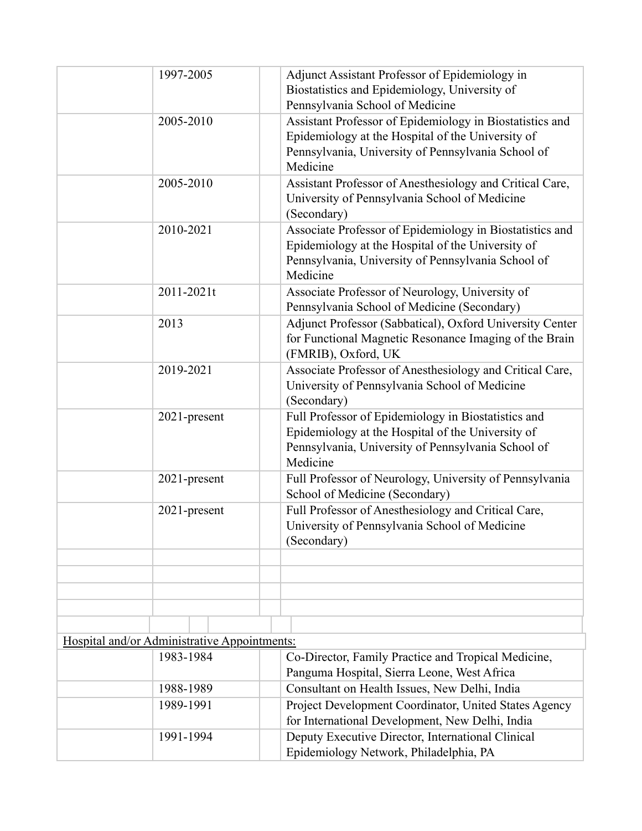| 1997-2005                                    | Adjunct Assistant Professor of Epidemiology in<br>Biostatistics and Epidemiology, University of<br>Pennsylvania School of Medicine                                              |
|----------------------------------------------|---------------------------------------------------------------------------------------------------------------------------------------------------------------------------------|
| 2005-2010                                    | Assistant Professor of Epidemiology in Biostatistics and<br>Epidemiology at the Hospital of the University of<br>Pennsylvania, University of Pennsylvania School of<br>Medicine |
| 2005-2010                                    | Assistant Professor of Anesthesiology and Critical Care,<br>University of Pennsylvania School of Medicine<br>(Secondary)                                                        |
| 2010-2021                                    | Associate Professor of Epidemiology in Biostatistics and<br>Epidemiology at the Hospital of the University of<br>Pennsylvania, University of Pennsylvania School of<br>Medicine |
| 2011-2021t                                   | Associate Professor of Neurology, University of<br>Pennsylvania School of Medicine (Secondary)                                                                                  |
| 2013                                         | Adjunct Professor (Sabbatical), Oxford University Center<br>for Functional Magnetic Resonance Imaging of the Brain<br>(FMRIB), Oxford, UK                                       |
| 2019-2021                                    | Associate Professor of Anesthesiology and Critical Care,<br>University of Pennsylvania School of Medicine<br>(Secondary)                                                        |
| 2021-present                                 | Full Professor of Epidemiology in Biostatistics and<br>Epidemiology at the Hospital of the University of<br>Pennsylvania, University of Pennsylvania School of<br>Medicine      |
| 2021-present                                 | Full Professor of Neurology, University of Pennsylvania<br>School of Medicine (Secondary)                                                                                       |
| 2021-present                                 | Full Professor of Anesthesiology and Critical Care,<br>University of Pennsylvania School of Medicine<br>(Secondary)                                                             |
|                                              |                                                                                                                                                                                 |
|                                              |                                                                                                                                                                                 |
| Hospital and/or Administrative Appointments: |                                                                                                                                                                                 |
| 1983-1984                                    | Co-Director, Family Practice and Tropical Medicine,<br>Panguma Hospital, Sierra Leone, West Africa                                                                              |
| 1988-1989                                    | Consultant on Health Issues, New Delhi, India                                                                                                                                   |
| 1989-1991                                    | Project Development Coordinator, United States Agency<br>for International Development, New Delhi, India                                                                        |
| 1991-1994                                    | Deputy Executive Director, International Clinical<br>Epidemiology Network, Philadelphia, PA                                                                                     |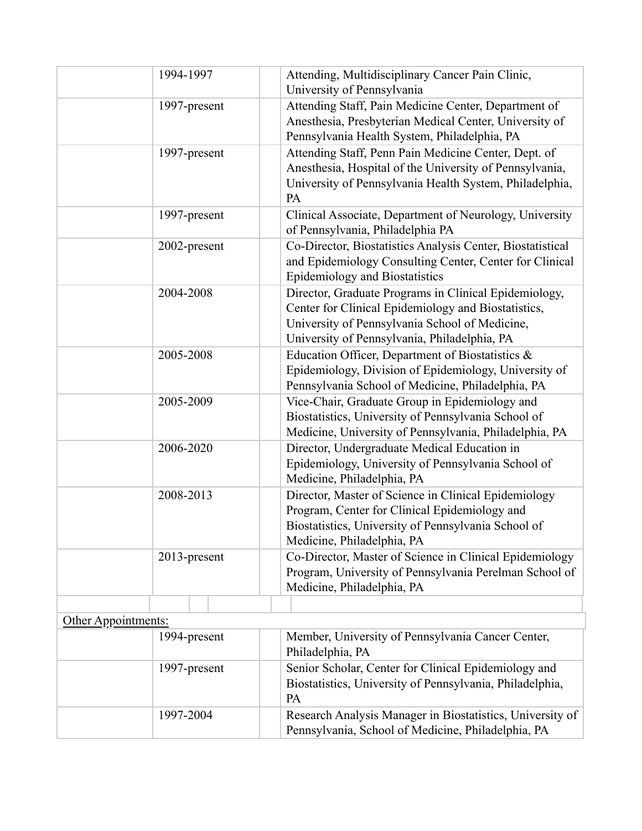|                     | 1994-1997    | Attending, Multidisciplinary Cancer Pain Clinic,<br>University of Pennsylvania                                                                                                                                 |
|---------------------|--------------|----------------------------------------------------------------------------------------------------------------------------------------------------------------------------------------------------------------|
|                     | 1997-present | Attending Staff, Pain Medicine Center, Department of<br>Anesthesia, Presbyterian Medical Center, University of<br>Pennsylvania Health System, Philadelphia, PA                                                 |
|                     | 1997-present | Attending Staff, Penn Pain Medicine Center, Dept. of<br>Anesthesia, Hospital of the University of Pennsylvania,<br>University of Pennsylvania Health System, Philadelphia,<br>PA                               |
|                     | 1997-present | Clinical Associate, Department of Neurology, University<br>of Pennsylvania, Philadelphia PA                                                                                                                    |
|                     | 2002-present | Co-Director, Biostatistics Analysis Center, Biostatistical<br>and Epidemiology Consulting Center, Center for Clinical<br><b>Epidemiology and Biostatistics</b>                                                 |
|                     | 2004-2008    | Director, Graduate Programs in Clinical Epidemiology,<br>Center for Clinical Epidemiology and Biostatistics,<br>University of Pennsylvania School of Medicine,<br>University of Pennsylvania, Philadelphia, PA |
|                     | 2005-2008    | Education Officer, Department of Biostatistics &<br>Epidemiology, Division of Epidemiology, University of<br>Pennsylvania School of Medicine, Philadelphia, PA                                                 |
|                     | 2005-2009    | Vice-Chair, Graduate Group in Epidemiology and<br>Biostatistics, University of Pennsylvania School of<br>Medicine, University of Pennsylvania, Philadelphia, PA                                                |
|                     | 2006-2020    | Director, Undergraduate Medical Education in<br>Epidemiology, University of Pennsylvania School of<br>Medicine, Philadelphia, PA                                                                               |
|                     | 2008-2013    | Director, Master of Science in Clinical Epidemiology<br>Program, Center for Clinical Epidemiology and<br>Biostatistics, University of Pennsylvania School of<br>Medicine, Philadelphia, PA                     |
|                     | 2013-present | Co-Director, Master of Science in Clinical Epidemiology<br>Program, University of Pennsylvania Perelman School of<br>Medicine, Philadelphia, PA                                                                |
| Other Appointments: |              |                                                                                                                                                                                                                |
|                     | 1994-present | Member, University of Pennsylvania Cancer Center,<br>Philadelphia, PA                                                                                                                                          |
|                     | 1997-present | Senior Scholar, Center for Clinical Epidemiology and<br>Biostatistics, University of Pennsylvania, Philadelphia,<br>PA                                                                                         |
|                     | 1997-2004    | Research Analysis Manager in Biostatistics, University of<br>Pennsylvania, School of Medicine, Philadelphia, PA                                                                                                |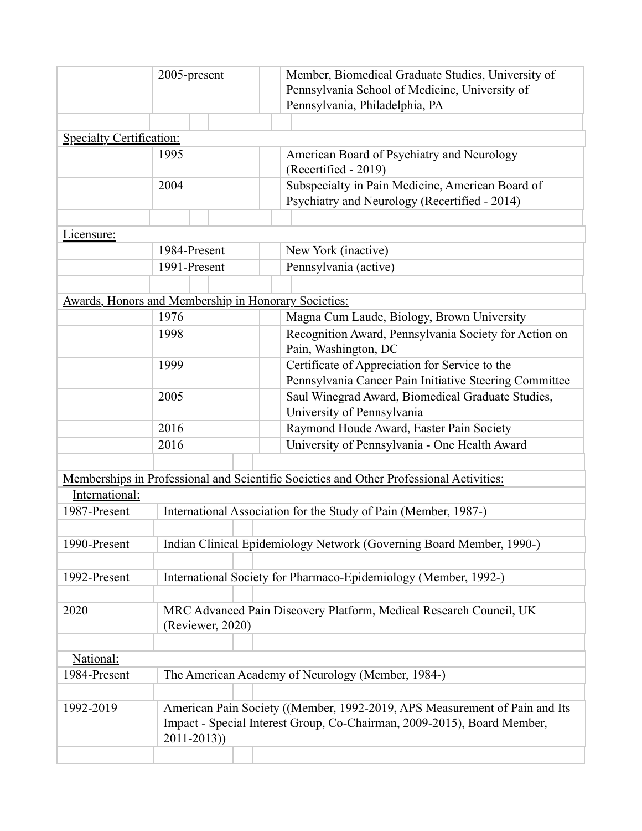|                                 | 2005-present                                                    | Member, Biomedical Graduate Studies, University of<br>Pennsylvania School of Medicine, University of<br>Pennsylvania, Philadelphia, PA                |
|---------------------------------|-----------------------------------------------------------------|-------------------------------------------------------------------------------------------------------------------------------------------------------|
|                                 |                                                                 |                                                                                                                                                       |
| <b>Specialty Certification:</b> |                                                                 |                                                                                                                                                       |
|                                 | 1995                                                            | American Board of Psychiatry and Neurology<br>(Recertified - 2019)                                                                                    |
|                                 | 2004                                                            | Subspecialty in Pain Medicine, American Board of                                                                                                      |
|                                 |                                                                 | Psychiatry and Neurology (Recertified - 2014)                                                                                                         |
|                                 |                                                                 |                                                                                                                                                       |
| Licensure:                      |                                                                 |                                                                                                                                                       |
|                                 | 1984-Present                                                    | New York (inactive)                                                                                                                                   |
|                                 | 1991-Present                                                    | Pennsylvania (active)                                                                                                                                 |
|                                 |                                                                 |                                                                                                                                                       |
|                                 | <b>Awards, Honors and Membership in Honorary Societies:</b>     |                                                                                                                                                       |
|                                 | 1976                                                            | Magna Cum Laude, Biology, Brown University                                                                                                            |
|                                 | 1998                                                            | Recognition Award, Pennsylvania Society for Action on<br>Pain, Washington, DC                                                                         |
|                                 | 1999                                                            | Certificate of Appreciation for Service to the                                                                                                        |
|                                 |                                                                 | Pennsylvania Cancer Pain Initiative Steering Committee                                                                                                |
|                                 | 2005                                                            | Saul Winegrad Award, Biomedical Graduate Studies,                                                                                                     |
|                                 |                                                                 | University of Pennsylvania                                                                                                                            |
|                                 | 2016                                                            | Raymond Houde Award, Easter Pain Society                                                                                                              |
|                                 | 2016                                                            | University of Pennsylvania - One Health Award                                                                                                         |
|                                 |                                                                 |                                                                                                                                                       |
|                                 |                                                                 | Memberships in Professional and Scientific Societies and Other Professional Activities:                                                               |
| International:                  |                                                                 |                                                                                                                                                       |
| 1987-Present                    | International Association for the Study of Pain (Member, 1987-) |                                                                                                                                                       |
|                                 |                                                                 |                                                                                                                                                       |
| 1990-Present                    |                                                                 | Indian Clinical Epidemiology Network (Governing Board Member, 1990-)                                                                                  |
|                                 |                                                                 |                                                                                                                                                       |
| 1992-Present                    |                                                                 | International Society for Pharmaco-Epidemiology (Member, 1992-)                                                                                       |
| 2020                            | (Reviewer, 2020)                                                | MRC Advanced Pain Discovery Platform, Medical Research Council, UK                                                                                    |
|                                 |                                                                 |                                                                                                                                                       |
| National:                       |                                                                 |                                                                                                                                                       |
| 1984-Present                    |                                                                 | The American Academy of Neurology (Member, 1984-)                                                                                                     |
|                                 |                                                                 |                                                                                                                                                       |
| 1992-2019                       | $2011 - 2013$ )                                                 | American Pain Society ((Member, 1992-2019, APS Measurement of Pain and Its<br>Impact - Special Interest Group, Co-Chairman, 2009-2015), Board Member, |
|                                 |                                                                 |                                                                                                                                                       |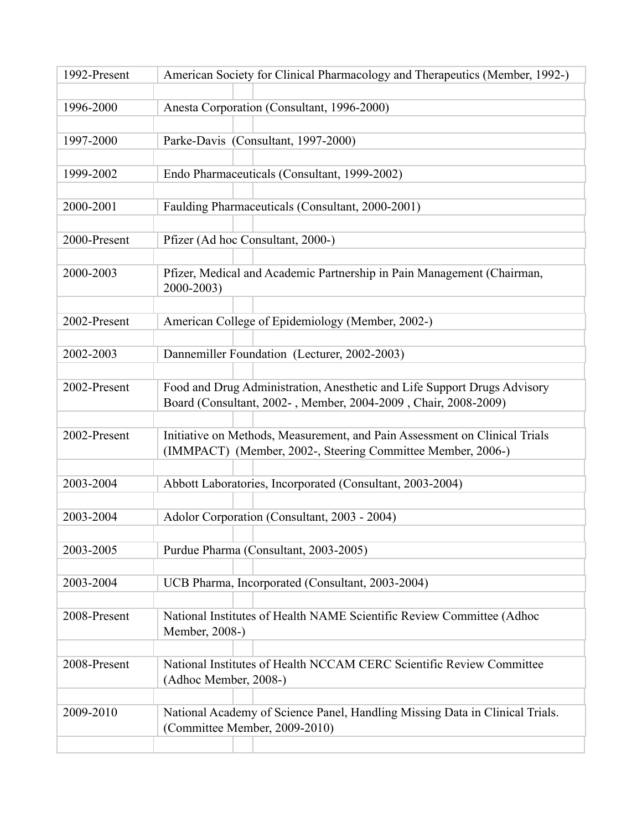| 1992-Present | American Society for Clinical Pharmacology and Therapeutics (Member, 1992-)                                                                |
|--------------|--------------------------------------------------------------------------------------------------------------------------------------------|
|              |                                                                                                                                            |
| 1996-2000    | Anesta Corporation (Consultant, 1996-2000)                                                                                                 |
|              |                                                                                                                                            |
| 1997-2000    | Parke-Davis (Consultant, 1997-2000)                                                                                                        |
|              |                                                                                                                                            |
| 1999-2002    | Endo Pharmaceuticals (Consultant, 1999-2002)                                                                                               |
|              |                                                                                                                                            |
| 2000-2001    | Faulding Pharmaceuticals (Consultant, 2000-2001)                                                                                           |
|              |                                                                                                                                            |
| 2000-Present | Pfizer (Ad hoc Consultant, 2000-)                                                                                                          |
|              |                                                                                                                                            |
| 2000-2003    | Pfizer, Medical and Academic Partnership in Pain Management (Chairman,<br>2000-2003)                                                       |
|              |                                                                                                                                            |
| 2002-Present | American College of Epidemiology (Member, 2002-)                                                                                           |
|              |                                                                                                                                            |
| 2002-2003    | Dannemiller Foundation (Lecturer, 2002-2003)                                                                                               |
|              |                                                                                                                                            |
| 2002-Present | Food and Drug Administration, Anesthetic and Life Support Drugs Advisory<br>Board (Consultant, 2002-, Member, 2004-2009, Chair, 2008-2009) |
|              |                                                                                                                                            |
| 2002-Present | Initiative on Methods, Measurement, and Pain Assessment on Clinical Trials<br>(IMMPACT) (Member, 2002-, Steering Committee Member, 2006-)  |
|              |                                                                                                                                            |
| 2003-2004    | Abbott Laboratories, Incorporated (Consultant, 2003-2004)                                                                                  |
|              |                                                                                                                                            |
| 2003-2004    | Adolor Corporation (Consultant, 2003 - 2004)                                                                                               |
|              |                                                                                                                                            |
| 2003-2005    | Purdue Pharma (Consultant, 2003-2005)                                                                                                      |
|              |                                                                                                                                            |
| 2003-2004    | UCB Pharma, Incorporated (Consultant, 2003-2004)                                                                                           |
|              |                                                                                                                                            |
| 2008-Present | National Institutes of Health NAME Scientific Review Committee (Adhoc<br>Member, 2008-)                                                    |
|              |                                                                                                                                            |
| 2008-Present | National Institutes of Health NCCAM CERC Scientific Review Committee<br>(Adhoc Member, 2008-)                                              |
|              |                                                                                                                                            |
| 2009-2010    | National Academy of Science Panel, Handling Missing Data in Clinical Trials.<br>(Committee Member, 2009-2010)                              |
|              |                                                                                                                                            |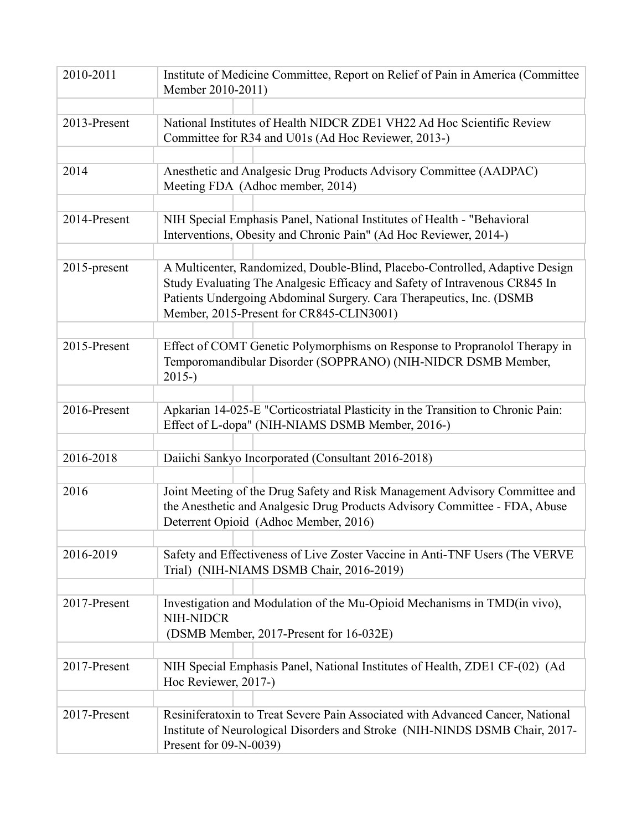| 2010-2011    | Institute of Medicine Committee, Report on Relief of Pain in America (Committee<br>Member 2010-2011)                                                                                                                                                                           |
|--------------|--------------------------------------------------------------------------------------------------------------------------------------------------------------------------------------------------------------------------------------------------------------------------------|
| 2013-Present | National Institutes of Health NIDCR ZDE1 VH22 Ad Hoc Scientific Review<br>Committee for R34 and U01s (Ad Hoc Reviewer, 2013-)                                                                                                                                                  |
| 2014         | Anesthetic and Analgesic Drug Products Advisory Committee (AADPAC)<br>Meeting FDA (Adhoc member, 2014)                                                                                                                                                                         |
| 2014-Present | NIH Special Emphasis Panel, National Institutes of Health - "Behavioral<br>Interventions, Obesity and Chronic Pain" (Ad Hoc Reviewer, 2014-)                                                                                                                                   |
| 2015-present | A Multicenter, Randomized, Double-Blind, Placebo-Controlled, Adaptive Design<br>Study Evaluating The Analgesic Efficacy and Safety of Intravenous CR845 In<br>Patients Undergoing Abdominal Surgery. Cara Therapeutics, Inc. (DSMB<br>Member, 2015-Present for CR845-CLIN3001) |
| 2015-Present | Effect of COMT Genetic Polymorphisms on Response to Propranolol Therapy in<br>Temporomandibular Disorder (SOPPRANO) (NIH-NIDCR DSMB Member,<br>$2015-$                                                                                                                         |
| 2016-Present | Apkarian 14-025-E "Corticostriatal Plasticity in the Transition to Chronic Pain:<br>Effect of L-dopa" (NIH-NIAMS DSMB Member, 2016-)                                                                                                                                           |
| 2016-2018    | Daiichi Sankyo Incorporated (Consultant 2016-2018)                                                                                                                                                                                                                             |
| 2016         | Joint Meeting of the Drug Safety and Risk Management Advisory Committee and<br>the Anesthetic and Analgesic Drug Products Advisory Committee - FDA, Abuse<br>Deterrent Opioid (Adhoc Member, 2016)                                                                             |
| 2016-2019    | Safety and Effectiveness of Live Zoster Vaccine in Anti-TNF Users (The VERVE<br>Trial) (NIH-NIAMS DSMB Chair, 2016-2019)                                                                                                                                                       |
| 2017-Present | Investigation and Modulation of the Mu-Opioid Mechanisms in TMD(in vivo),<br><b>NIH-NIDCR</b><br>(DSMB Member, 2017-Present for 16-032E)                                                                                                                                       |
| 2017-Present | NIH Special Emphasis Panel, National Institutes of Health, ZDE1 CF-(02) (Ad<br>Hoc Reviewer, 2017-)                                                                                                                                                                            |
| 2017-Present | Resiniferatoxin to Treat Severe Pain Associated with Advanced Cancer, National<br>Institute of Neurological Disorders and Stroke (NIH-NINDS DSMB Chair, 2017-<br>Present for 09-N-0039)                                                                                        |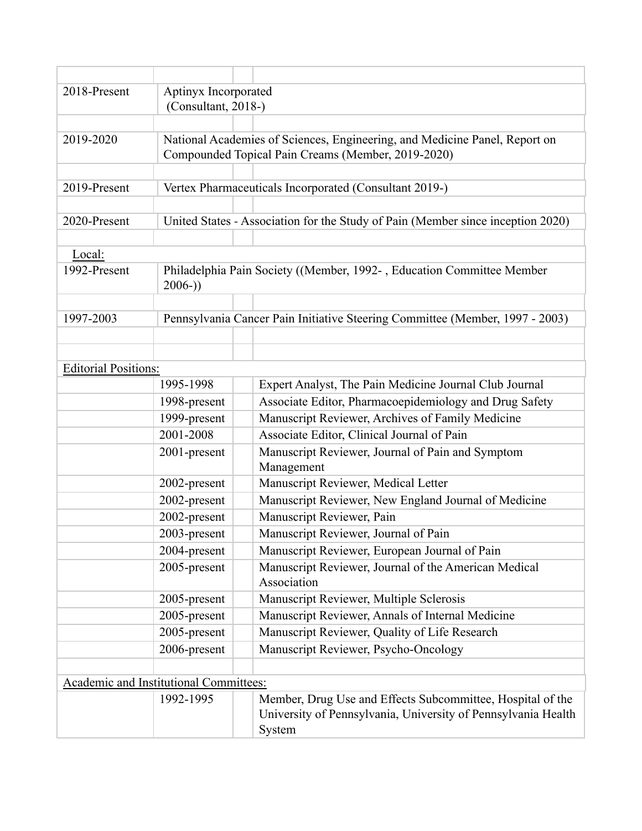| 2018-Present                                  | Aptinyx Incorporated<br>(Consultant, 2018-)                                     |                                                                                                                                       |  |  |
|-----------------------------------------------|---------------------------------------------------------------------------------|---------------------------------------------------------------------------------------------------------------------------------------|--|--|
|                                               |                                                                                 |                                                                                                                                       |  |  |
| 2019-2020                                     | National Academies of Sciences, Engineering, and Medicine Panel, Report on      |                                                                                                                                       |  |  |
|                                               |                                                                                 | Compounded Topical Pain Creams (Member, 2019-2020)                                                                                    |  |  |
|                                               |                                                                                 |                                                                                                                                       |  |  |
| 2019-Present                                  |                                                                                 | Vertex Pharmaceuticals Incorporated (Consultant 2019-)                                                                                |  |  |
|                                               |                                                                                 |                                                                                                                                       |  |  |
| 2020-Present                                  | United States - Association for the Study of Pain (Member since inception 2020) |                                                                                                                                       |  |  |
|                                               |                                                                                 |                                                                                                                                       |  |  |
| Local:                                        |                                                                                 |                                                                                                                                       |  |  |
| 1992-Present                                  | $2006-$ )                                                                       | Philadelphia Pain Society ((Member, 1992-, Education Committee Member                                                                 |  |  |
|                                               |                                                                                 |                                                                                                                                       |  |  |
| 1997-2003                                     |                                                                                 | Pennsylvania Cancer Pain Initiative Steering Committee (Member, 1997 - 2003)                                                          |  |  |
|                                               |                                                                                 |                                                                                                                                       |  |  |
|                                               |                                                                                 |                                                                                                                                       |  |  |
| <b>Editorial Positions:</b>                   |                                                                                 |                                                                                                                                       |  |  |
|                                               | 1995-1998                                                                       | Expert Analyst, The Pain Medicine Journal Club Journal                                                                                |  |  |
|                                               | 1998-present                                                                    | Associate Editor, Pharmacoepidemiology and Drug Safety                                                                                |  |  |
|                                               | 1999-present                                                                    | Manuscript Reviewer, Archives of Family Medicine                                                                                      |  |  |
|                                               | 2001-2008                                                                       | Associate Editor, Clinical Journal of Pain                                                                                            |  |  |
|                                               | 2001-present                                                                    | Manuscript Reviewer, Journal of Pain and Symptom<br>Management                                                                        |  |  |
|                                               | 2002-present                                                                    | Manuscript Reviewer, Medical Letter                                                                                                   |  |  |
|                                               | 2002-present                                                                    | Manuscript Reviewer, New England Journal of Medicine                                                                                  |  |  |
|                                               | 2002-present                                                                    | Manuscript Reviewer, Pain                                                                                                             |  |  |
|                                               | 2003-present                                                                    | Manuscript Reviewer, Journal of Pain                                                                                                  |  |  |
|                                               | 2004-present                                                                    | Manuscript Reviewer, European Journal of Pain                                                                                         |  |  |
|                                               | 2005-present                                                                    | Manuscript Reviewer, Journal of the American Medical                                                                                  |  |  |
|                                               |                                                                                 | Association                                                                                                                           |  |  |
|                                               | 2005-present                                                                    | Manuscript Reviewer, Multiple Sclerosis                                                                                               |  |  |
|                                               | 2005-present                                                                    | Manuscript Reviewer, Annals of Internal Medicine                                                                                      |  |  |
|                                               | 2005-present                                                                    | Manuscript Reviewer, Quality of Life Research                                                                                         |  |  |
|                                               | 2006-present                                                                    | Manuscript Reviewer, Psycho-Oncology                                                                                                  |  |  |
|                                               |                                                                                 |                                                                                                                                       |  |  |
| <b>Academic and Institutional Committees:</b> |                                                                                 |                                                                                                                                       |  |  |
|                                               | 1992-1995                                                                       | Member, Drug Use and Effects Subcommittee, Hospital of the<br>University of Pennsylvania, University of Pennsylvania Health<br>System |  |  |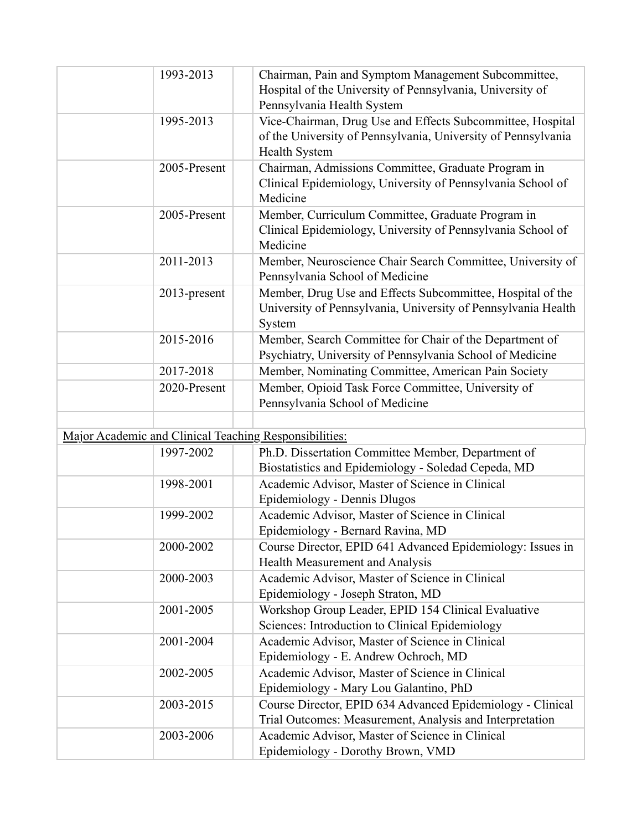| 1993-2013                                              | Chairman, Pain and Symptom Management Subcommittee,                                  |
|--------------------------------------------------------|--------------------------------------------------------------------------------------|
|                                                        | Hospital of the University of Pennsylvania, University of                            |
|                                                        | Pennsylvania Health System                                                           |
| 1995-2013                                              | Vice-Chairman, Drug Use and Effects Subcommittee, Hospital                           |
|                                                        | of the University of Pennsylvania, University of Pennsylvania                        |
|                                                        | <b>Health System</b>                                                                 |
| 2005-Present                                           | Chairman, Admissions Committee, Graduate Program in                                  |
|                                                        | Clinical Epidemiology, University of Pennsylvania School of                          |
|                                                        | Medicine                                                                             |
| 2005-Present                                           | Member, Curriculum Committee, Graduate Program in                                    |
|                                                        | Clinical Epidemiology, University of Pennsylvania School of                          |
|                                                        | Medicine                                                                             |
| 2011-2013                                              | Member, Neuroscience Chair Search Committee, University of                           |
|                                                        | Pennsylvania School of Medicine                                                      |
| 2013-present                                           | Member, Drug Use and Effects Subcommittee, Hospital of the                           |
|                                                        | University of Pennsylvania, University of Pennsylvania Health                        |
|                                                        | System                                                                               |
| 2015-2016                                              | Member, Search Committee for Chair of the Department of                              |
|                                                        | Psychiatry, University of Pennsylvania School of Medicine                            |
| 2017-2018                                              | Member, Nominating Committee, American Pain Society                                  |
| 2020-Present                                           | Member, Opioid Task Force Committee, University of                                   |
|                                                        | Pennsylvania School of Medicine                                                      |
|                                                        |                                                                                      |
| Major Academic and Clinical Teaching Responsibilities: |                                                                                      |
| 1997-2002                                              | Ph.D. Dissertation Committee Member, Department of                                   |
|                                                        |                                                                                      |
|                                                        | Biostatistics and Epidemiology - Soledad Cepeda, MD                                  |
| 1998-2001                                              | Academic Advisor, Master of Science in Clinical                                      |
|                                                        | Epidemiology - Dennis Dlugos                                                         |
| 1999-2002                                              | Academic Advisor, Master of Science in Clinical                                      |
|                                                        | Epidemiology - Bernard Ravina, MD                                                    |
| 2000-2002                                              | Course Director, EPID 641 Advanced Epidemiology: Issues in                           |
|                                                        | Health Measurement and Analysis                                                      |
| 2000-2003                                              | Academic Advisor, Master of Science in Clinical                                      |
|                                                        | Epidemiology - Joseph Straton, MD                                                    |
| 2001-2005                                              | Workshop Group Leader, EPID 154 Clinical Evaluative                                  |
|                                                        | Sciences: Introduction to Clinical Epidemiology                                      |
| 2001-2004                                              | Academic Advisor, Master of Science in Clinical                                      |
|                                                        | Epidemiology - E. Andrew Ochroch, MD                                                 |
| 2002-2005                                              | Academic Advisor, Master of Science in Clinical                                      |
|                                                        | Epidemiology - Mary Lou Galantino, PhD                                               |
| 2003-2015                                              | Course Director, EPID 634 Advanced Epidemiology - Clinical                           |
|                                                        | Trial Outcomes: Measurement, Analysis and Interpretation                             |
| 2003-2006                                              | Academic Advisor, Master of Science in Clinical<br>Epidemiology - Dorothy Brown, VMD |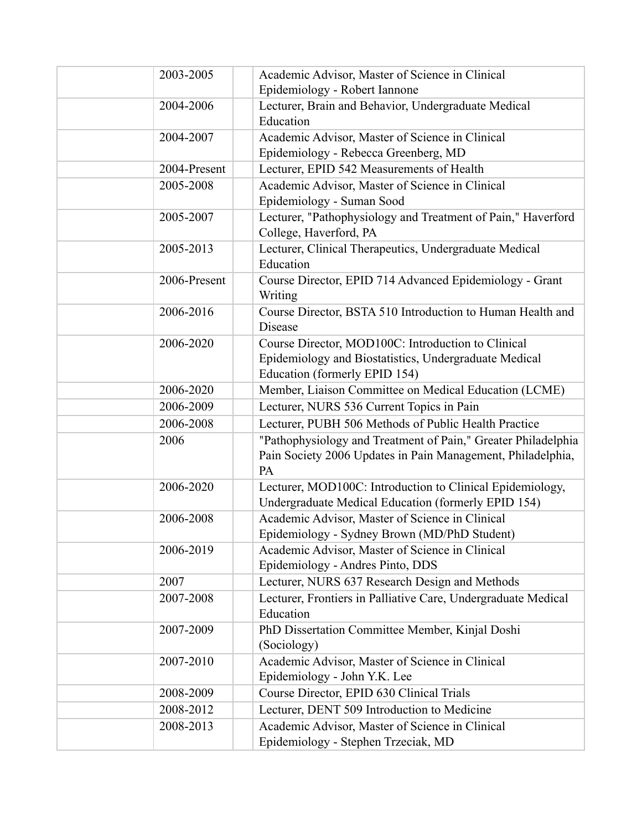|      | 2003-2005    | Academic Advisor, Master of Science in Clinical                                                                                              |
|------|--------------|----------------------------------------------------------------------------------------------------------------------------------------------|
|      |              | Epidemiology - Robert Iannone                                                                                                                |
|      | 2004-2006    | Lecturer, Brain and Behavior, Undergraduate Medical<br>Education                                                                             |
|      | 2004-2007    | Academic Advisor, Master of Science in Clinical<br>Epidemiology - Rebecca Greenberg, MD                                                      |
|      | 2004-Present | Lecturer, EPID 542 Measurements of Health                                                                                                    |
|      | 2005-2008    | Academic Advisor, Master of Science in Clinical<br>Epidemiology - Suman Sood                                                                 |
|      | 2005-2007    | Lecturer, "Pathophysiology and Treatment of Pain," Haverford<br>College, Haverford, PA                                                       |
|      | 2005-2013    | Lecturer, Clinical Therapeutics, Undergraduate Medical<br>Education                                                                          |
|      | 2006-Present | Course Director, EPID 714 Advanced Epidemiology - Grant<br>Writing                                                                           |
|      | 2006-2016    | Course Director, BSTA 510 Introduction to Human Health and<br>Disease                                                                        |
|      | 2006-2020    | Course Director, MOD100C: Introduction to Clinical<br>Epidemiology and Biostatistics, Undergraduate Medical<br>Education (formerly EPID 154) |
|      | 2006-2020    | Member, Liaison Committee on Medical Education (LCME)                                                                                        |
|      | 2006-2009    | Lecturer, NURS 536 Current Topics in Pain                                                                                                    |
|      | 2006-2008    | Lecturer, PUBH 506 Methods of Public Health Practice                                                                                         |
| 2006 |              | "Pathophysiology and Treatment of Pain," Greater Philadelphia<br>Pain Society 2006 Updates in Pain Management, Philadelphia,<br>PA           |
|      | 2006-2020    | Lecturer, MOD100C: Introduction to Clinical Epidemiology,<br>Undergraduate Medical Education (formerly EPID 154)                             |
|      | 2006-2008    | Academic Advisor, Master of Science in Clinical<br>Epidemiology - Sydney Brown (MD/PhD Student)                                              |
|      | 2006-2019    | Academic Advisor, Master of Science in Clinical<br>Epidemiology - Andres Pinto, DDS                                                          |
| 2007 |              | Lecturer, NURS 637 Research Design and Methods                                                                                               |
|      | 2007-2008    | Lecturer, Frontiers in Palliative Care, Undergraduate Medical<br>Education                                                                   |
|      | 2007-2009    | PhD Dissertation Committee Member, Kinjal Doshi<br>(Sociology)                                                                               |
|      | 2007-2010    | Academic Advisor, Master of Science in Clinical<br>Epidemiology - John Y.K. Lee                                                              |
|      | 2008-2009    | Course Director, EPID 630 Clinical Trials                                                                                                    |
|      | 2008-2012    | Lecturer, DENT 509 Introduction to Medicine                                                                                                  |
|      | 2008-2013    | Academic Advisor, Master of Science in Clinical<br>Epidemiology - Stephen Trzeciak, MD                                                       |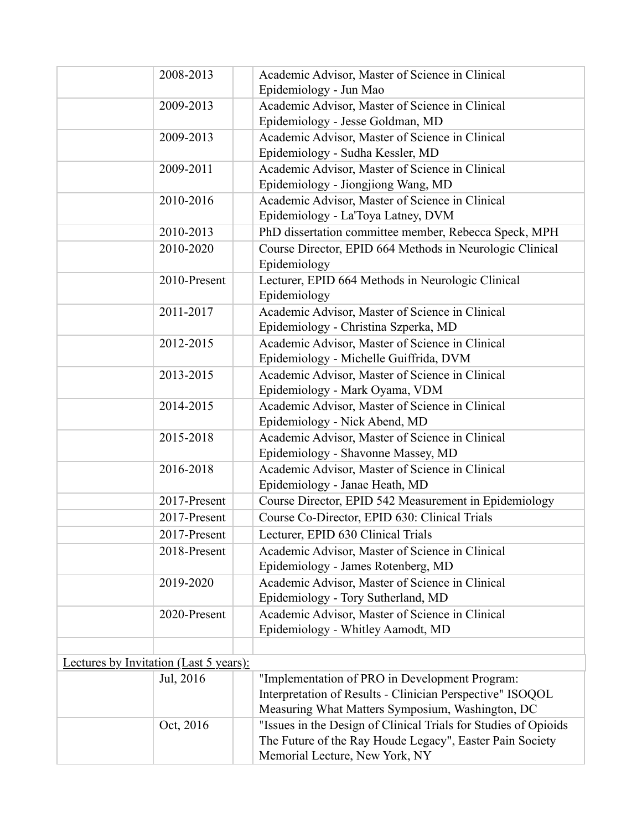| 2008-2013                              | Academic Advisor, Master of Science in Clinical<br>Epidemiology - Jun Mao                                                                                     |
|----------------------------------------|---------------------------------------------------------------------------------------------------------------------------------------------------------------|
| 2009-2013                              | Academic Advisor, Master of Science in Clinical<br>Epidemiology - Jesse Goldman, MD                                                                           |
| 2009-2013                              | Academic Advisor, Master of Science in Clinical<br>Epidemiology - Sudha Kessler, MD                                                                           |
| 2009-2011                              | Academic Advisor, Master of Science in Clinical<br>Epidemiology - Jiongjiong Wang, MD                                                                         |
| 2010-2016                              | Academic Advisor, Master of Science in Clinical<br>Epidemiology - La'Toya Latney, DVM                                                                         |
| 2010-2013                              | PhD dissertation committee member, Rebecca Speck, MPH                                                                                                         |
| 2010-2020                              | Course Director, EPID 664 Methods in Neurologic Clinical<br>Epidemiology                                                                                      |
| 2010-Present                           | Lecturer, EPID 664 Methods in Neurologic Clinical<br>Epidemiology                                                                                             |
| 2011-2017                              | Academic Advisor, Master of Science in Clinical<br>Epidemiology - Christina Szperka, MD                                                                       |
| 2012-2015                              | Academic Advisor, Master of Science in Clinical<br>Epidemiology - Michelle Guiffrida, DVM                                                                     |
| 2013-2015                              | Academic Advisor, Master of Science in Clinical<br>Epidemiology - Mark Oyama, VDM                                                                             |
| 2014-2015                              | Academic Advisor, Master of Science in Clinical<br>Epidemiology - Nick Abend, MD                                                                              |
| 2015-2018                              | Academic Advisor, Master of Science in Clinical<br>Epidemiology - Shavonne Massey, MD                                                                         |
| 2016-2018                              | Academic Advisor, Master of Science in Clinical<br>Epidemiology - Janae Heath, MD                                                                             |
| 2017-Present                           | Course Director, EPID 542 Measurement in Epidemiology                                                                                                         |
| 2017-Present                           | Course Co-Director, EPID 630: Clinical Trials                                                                                                                 |
| 2017-Present                           | Lecturer, EPID 630 Clinical Trials                                                                                                                            |
| 2018-Present                           | Academic Advisor, Master of Science in Clinical<br>Epidemiology - James Rotenberg, MD                                                                         |
| 2019-2020                              | Academic Advisor, Master of Science in Clinical<br>Epidemiology - Tory Sutherland, MD                                                                         |
| 2020-Present                           | Academic Advisor, Master of Science in Clinical<br>Epidemiology - Whitley Aamodt, MD                                                                          |
|                                        |                                                                                                                                                               |
| Lectures by Invitation (Last 5 years): |                                                                                                                                                               |
| Jul, 2016                              | "Implementation of PRO in Development Program:                                                                                                                |
|                                        | Interpretation of Results - Clinician Perspective" ISOQOL<br>Measuring What Matters Symposium, Washington, DC                                                 |
| Oct, 2016                              | "Issues in the Design of Clinical Trials for Studies of Opioids<br>The Future of the Ray Houde Legacy", Easter Pain Society<br>Memorial Lecture, New York, NY |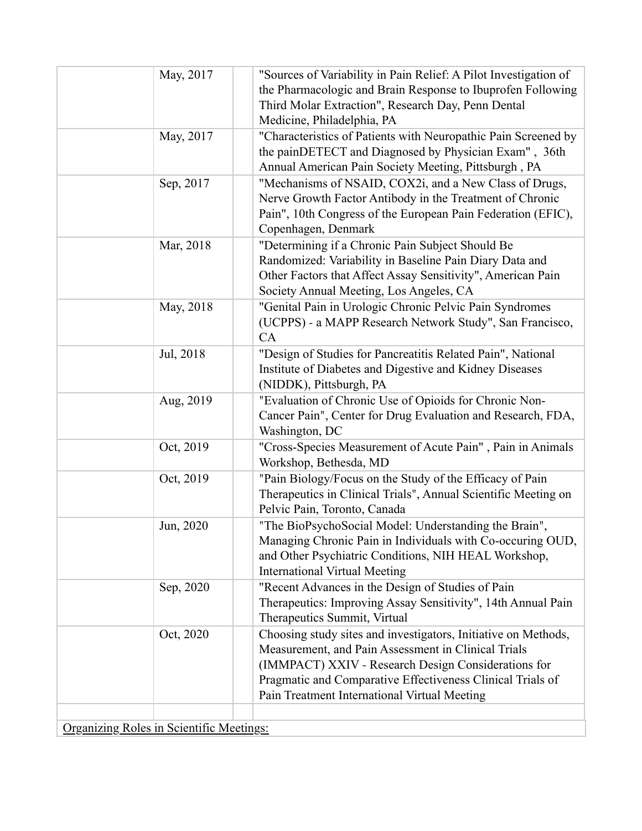| May, 2017                                       | "Sources of Variability in Pain Relief: A Pilot Investigation of<br>the Pharmacologic and Brain Response to Ibuprofen Following<br>Third Molar Extraction", Research Day, Penn Dental<br>Medicine, Philadelphia, PA                                                                        |
|-------------------------------------------------|--------------------------------------------------------------------------------------------------------------------------------------------------------------------------------------------------------------------------------------------------------------------------------------------|
| May, 2017                                       | "Characteristics of Patients with Neuropathic Pain Screened by<br>the painDETECT and Diagnosed by Physician Exam", 36th<br>Annual American Pain Society Meeting, Pittsburgh, PA                                                                                                            |
| Sep, 2017                                       | "Mechanisms of NSAID, COX2i, and a New Class of Drugs,<br>Nerve Growth Factor Antibody in the Treatment of Chronic<br>Pain", 10th Congress of the European Pain Federation (EFIC),<br>Copenhagen, Denmark                                                                                  |
| Mar, 2018                                       | "Determining if a Chronic Pain Subject Should Be<br>Randomized: Variability in Baseline Pain Diary Data and<br>Other Factors that Affect Assay Sensitivity", American Pain<br>Society Annual Meeting, Los Angeles, CA                                                                      |
| May, 2018                                       | "Genital Pain in Urologic Chronic Pelvic Pain Syndromes<br>(UCPPS) - a MAPP Research Network Study", San Francisco,<br>CA                                                                                                                                                                  |
| Jul, 2018                                       | "Design of Studies for Pancreatitis Related Pain", National<br>Institute of Diabetes and Digestive and Kidney Diseases<br>(NIDDK), Pittsburgh, PA                                                                                                                                          |
| Aug, 2019                                       | "Evaluation of Chronic Use of Opioids for Chronic Non-<br>Cancer Pain", Center for Drug Evaluation and Research, FDA,<br>Washington, DC                                                                                                                                                    |
| Oct, 2019                                       | "Cross-Species Measurement of Acute Pain", Pain in Animals<br>Workshop, Bethesda, MD                                                                                                                                                                                                       |
| Oct, 2019                                       | "Pain Biology/Focus on the Study of the Efficacy of Pain<br>Therapeutics in Clinical Trials", Annual Scientific Meeting on<br>Pelvic Pain, Toronto, Canada                                                                                                                                 |
| Jun, 2020                                       | "The BioPsychoSocial Model: Understanding the Brain",<br>Managing Chronic Pain in Individuals with Co-occuring OUD,<br>and Other Psychiatric Conditions, NIH HEAL Workshop,<br><b>International Virtual Meeting</b>                                                                        |
| Sep, 2020                                       | "Recent Advances in the Design of Studies of Pain<br>Therapeutics: Improving Assay Sensitivity", 14th Annual Pain<br>Therapeutics Summit, Virtual                                                                                                                                          |
| Oct, 2020                                       | Choosing study sites and investigators, Initiative on Methods,<br>Measurement, and Pain Assessment in Clinical Trials<br>(IMMPACT) XXIV - Research Design Considerations for<br>Pragmatic and Comparative Effectiveness Clinical Trials of<br>Pain Treatment International Virtual Meeting |
| <b>Organizing Roles in Scientific Meetings:</b> |                                                                                                                                                                                                                                                                                            |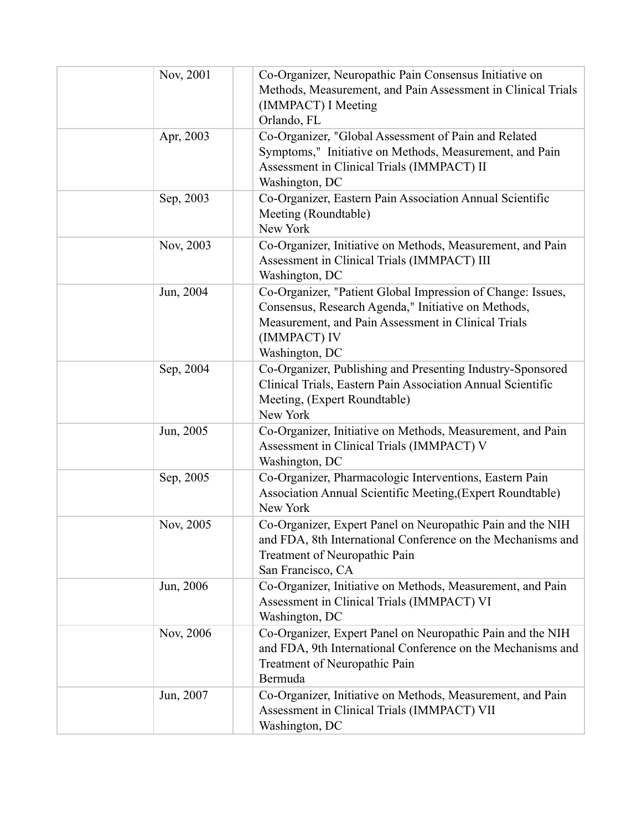| Nov, 2001 | Co-Organizer, Neuropathic Pain Consensus Initiative on<br>Methods, Measurement, and Pain Assessment in Clinical Trials<br>(IMMPACT) I Meeting<br>Orlando, FL                                                |
|-----------|-------------------------------------------------------------------------------------------------------------------------------------------------------------------------------------------------------------|
| Apr, 2003 | Co-Organizer, "Global Assessment of Pain and Related<br>Symptoms," Initiative on Methods, Measurement, and Pain<br>Assessment in Clinical Trials (IMMPACT) II<br>Washington, DC                             |
| Sep, 2003 | Co-Organizer, Eastern Pain Association Annual Scientific<br>Meeting (Roundtable)<br>New York                                                                                                                |
| Nov, 2003 | Co-Organizer, Initiative on Methods, Measurement, and Pain<br>Assessment in Clinical Trials (IMMPACT) III<br>Washington, DC                                                                                 |
| Jun, 2004 | Co-Organizer, "Patient Global Impression of Change: Issues,<br>Consensus, Research Agenda," Initiative on Methods,<br>Measurement, and Pain Assessment in Clinical Trials<br>(IMMPACT) IV<br>Washington, DC |
| Sep, 2004 | Co-Organizer, Publishing and Presenting Industry-Sponsored<br>Clinical Trials, Eastern Pain Association Annual Scientific<br>Meeting, (Expert Roundtable)<br>New York                                       |
| Jun, 2005 | Co-Organizer, Initiative on Methods, Measurement, and Pain<br>Assessment in Clinical Trials (IMMPACT) V<br>Washington, DC                                                                                   |
| Sep, 2005 | Co-Organizer, Pharmacologic Interventions, Eastern Pain<br>Association Annual Scientific Meeting, (Expert Roundtable)<br>New York                                                                           |
| Nov, 2005 | Co-Organizer, Expert Panel on Neuropathic Pain and the NIH<br>and FDA, 8th International Conference on the Mechanisms and<br>Treatment of Neuropathic Pain<br>San Francisco, CA                             |
| Jun, 2006 | Co-Organizer, Initiative on Methods, Measurement, and Pain<br>Assessment in Clinical Trials (IMMPACT) VI<br>Washington, DC                                                                                  |
| Nov, 2006 | Co-Organizer, Expert Panel on Neuropathic Pain and the NIH<br>and FDA, 9th International Conference on the Mechanisms and<br>Treatment of Neuropathic Pain<br>Bermuda                                       |
| Jun, 2007 | Co-Organizer, Initiative on Methods, Measurement, and Pain<br>Assessment in Clinical Trials (IMMPACT) VII<br>Washington, DC                                                                                 |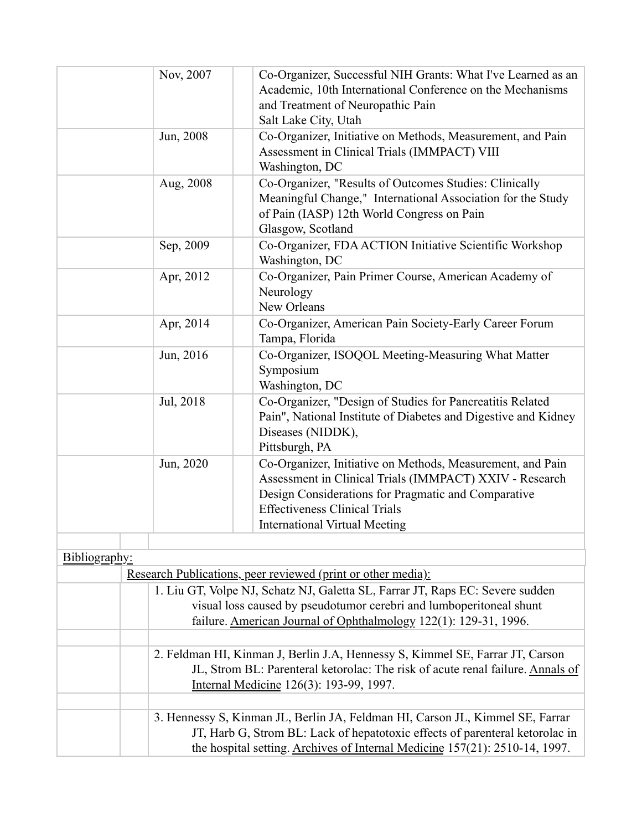|               | Nov, 2007 | Co-Organizer, Successful NIH Grants: What I've Learned as an<br>Academic, 10th International Conference on the Mechanisms<br>and Treatment of Neuropathic Pain<br>Salt Lake City, Utah                                                                       |
|---------------|-----------|--------------------------------------------------------------------------------------------------------------------------------------------------------------------------------------------------------------------------------------------------------------|
|               | Jun, 2008 | Co-Organizer, Initiative on Methods, Measurement, and Pain<br>Assessment in Clinical Trials (IMMPACT) VIII<br>Washington, DC                                                                                                                                 |
|               | Aug, 2008 | Co-Organizer, "Results of Outcomes Studies: Clinically<br>Meaningful Change," International Association for the Study<br>of Pain (IASP) 12th World Congress on Pain<br>Glasgow, Scotland                                                                     |
|               | Sep, 2009 | Co-Organizer, FDA ACTION Initiative Scientific Workshop<br>Washington, DC                                                                                                                                                                                    |
|               | Apr, 2012 | Co-Organizer, Pain Primer Course, American Academy of<br>Neurology<br>New Orleans                                                                                                                                                                            |
|               | Apr, 2014 | Co-Organizer, American Pain Society-Early Career Forum<br>Tampa, Florida                                                                                                                                                                                     |
|               | Jun, 2016 | Co-Organizer, ISOQOL Meeting-Measuring What Matter<br>Symposium<br>Washington, DC                                                                                                                                                                            |
|               | Jul, 2018 | Co-Organizer, "Design of Studies for Pancreatitis Related<br>Pain", National Institute of Diabetes and Digestive and Kidney<br>Diseases (NIDDK),<br>Pittsburgh, PA                                                                                           |
|               | Jun, 2020 | Co-Organizer, Initiative on Methods, Measurement, and Pain<br>Assessment in Clinical Trials (IMMPACT) XXIV - Research<br>Design Considerations for Pragmatic and Comparative<br><b>Effectiveness Clinical Trials</b><br><b>International Virtual Meeting</b> |
|               |           |                                                                                                                                                                                                                                                              |
| Bibliography: |           | <u>Research Publications, peer reviewed (print or other media):</u>                                                                                                                                                                                          |
|               |           | 1. Liu GT, Volpe NJ, Schatz NJ, Galetta SL, Farrar JT, Raps EC: Severe sudden<br>visual loss caused by pseudotumor cerebri and lumboperitoneal shunt<br>failure. American Journal of Ophthalmology 122(1): 129-31, 1996.                                     |
|               |           |                                                                                                                                                                                                                                                              |
|               |           | 2. Feldman HI, Kinman J, Berlin J.A, Hennessy S, Kimmel SE, Farrar JT, Carson<br>JL, Strom BL: Parenteral ketorolac: The risk of acute renal failure. Annals of<br>Internal Medicine 126(3): 193-99, 1997.                                                   |
|               |           | 3. Hennessy S, Kinman JL, Berlin JA, Feldman HI, Carson JL, Kimmel SE, Farrar<br>JT, Harb G, Strom BL: Lack of hepatotoxic effects of parenteral ketorolac in<br>the hospital setting. Archives of Internal Medicine 157(21): 2510-14, 1997.                 |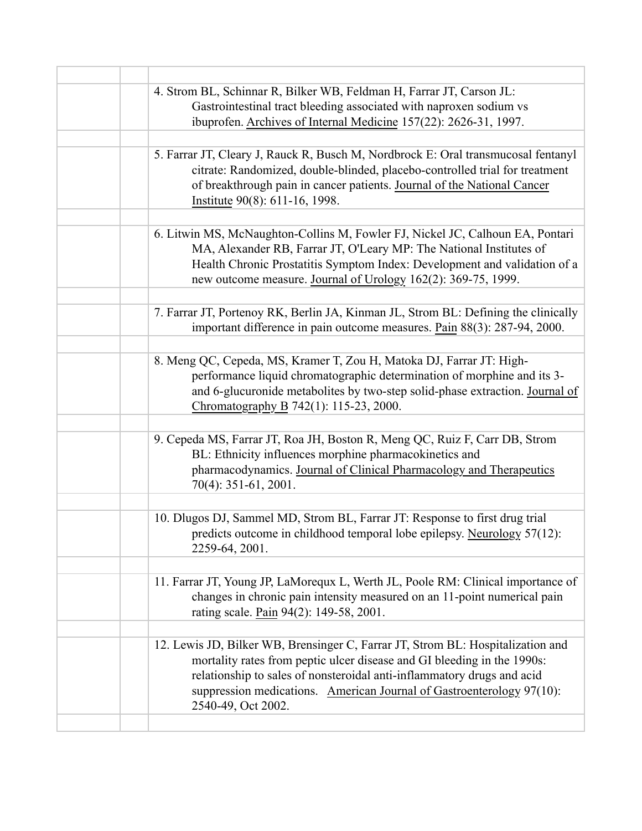| 4. Strom BL, Schinnar R, Bilker WB, Feldman H, Farrar JT, Carson JL:<br>Gastrointestinal tract bleeding associated with naproxen sodium vs<br>ibuprofen. Archives of Internal Medicine 157(22): 2626-31, 1997.                                                                                                                      |
|-------------------------------------------------------------------------------------------------------------------------------------------------------------------------------------------------------------------------------------------------------------------------------------------------------------------------------------|
| 5. Farrar JT, Cleary J, Rauck R, Busch M, Nordbrock E: Oral transmucosal fentanyl<br>citrate: Randomized, double-blinded, placebo-controlled trial for treatment<br>of breakthrough pain in cancer patients. Journal of the National Cancer<br>Institute 90(8): 611-16, 1998.                                                       |
| 6. Litwin MS, McNaughton-Collins M, Fowler FJ, Nickel JC, Calhoun EA, Pontari<br>MA, Alexander RB, Farrar JT, O'Leary MP: The National Institutes of<br>Health Chronic Prostatitis Symptom Index: Development and validation of a<br>new outcome measure. Journal of Urology 162(2): 369-75, 1999.                                  |
| 7. Farrar JT, Portenoy RK, Berlin JA, Kinman JL, Strom BL: Defining the clinically<br>important difference in pain outcome measures. Pain 88(3): 287-94, 2000.                                                                                                                                                                      |
| 8. Meng QC, Cepeda, MS, Kramer T, Zou H, Matoka DJ, Farrar JT: High-<br>performance liquid chromatographic determination of morphine and its 3-<br>and 6-glucuronide metabolites by two-step solid-phase extraction. Journal of<br>Chromatography B 742(1): 115-23, 2000.                                                           |
| 9. Cepeda MS, Farrar JT, Roa JH, Boston R, Meng QC, Ruiz F, Carr DB, Strom<br>BL: Ethnicity influences morphine pharmacokinetics and<br>pharmacodynamics. Journal of Clinical Pharmacology and Therapeutics<br>70(4): 351-61, 2001.                                                                                                 |
| 10. Dlugos DJ, Sammel MD, Strom BL, Farrar JT: Response to first drug trial<br>predicts outcome in childhood temporal lobe epilepsy. Neurology 57(12):<br>2259-64, 2001.                                                                                                                                                            |
| 11. Farrar JT, Young JP, LaMorequx L, Werth JL, Poole RM: Clinical importance of<br>changes in chronic pain intensity measured on an 11-point numerical pain<br>rating scale. Pain 94(2): 149-58, 2001.                                                                                                                             |
| 12. Lewis JD, Bilker WB, Brensinger C, Farrar JT, Strom BL: Hospitalization and<br>mortality rates from peptic ulcer disease and GI bleeding in the 1990s:<br>relationship to sales of nonsteroidal anti-inflammatory drugs and acid<br>suppression medications. American Journal of Gastroenterology 97(10):<br>2540-49, Oct 2002. |
|                                                                                                                                                                                                                                                                                                                                     |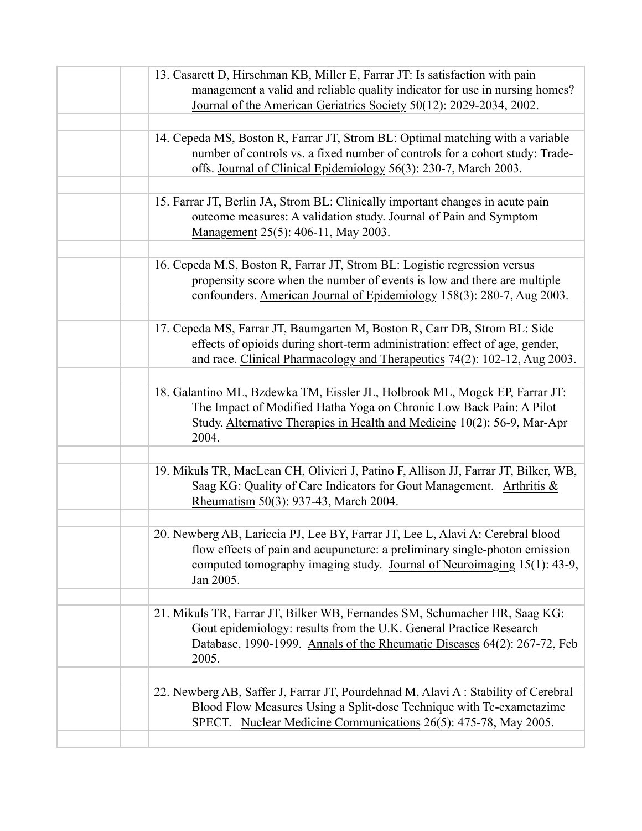| 13. Casarett D, Hirschman KB, Miller E, Farrar JT: Is satisfaction with pain<br>management a valid and reliable quality indicator for use in nursing homes?<br>Journal of the American Geriatrics Society 50(12): 2029-2034, 2002.                   |
|------------------------------------------------------------------------------------------------------------------------------------------------------------------------------------------------------------------------------------------------------|
| 14. Cepeda MS, Boston R, Farrar JT, Strom BL: Optimal matching with a variable<br>number of controls vs. a fixed number of controls for a cohort study: Trade-<br>offs. Journal of Clinical Epidemiology 56(3): 230-7, March 2003.                   |
| 15. Farrar JT, Berlin JA, Strom BL: Clinically important changes in acute pain<br>outcome measures: A validation study. Journal of Pain and Symptom<br>Management 25(5): 406-11, May 2003.                                                           |
| 16. Cepeda M.S, Boston R, Farrar JT, Strom BL: Logistic regression versus<br>propensity score when the number of events is low and there are multiple<br>confounders. American Journal of Epidemiology 158(3): 280-7, Aug 2003.                      |
| 17. Cepeda MS, Farrar JT, Baumgarten M, Boston R, Carr DB, Strom BL: Side<br>effects of opioids during short-term administration: effect of age, gender,<br>and race. Clinical Pharmacology and Therapeutics 74(2): 102-12, Aug 2003.                |
| 18. Galantino ML, Bzdewka TM, Eissler JL, Holbrook ML, Mogck EP, Farrar JT:<br>The Impact of Modified Hatha Yoga on Chronic Low Back Pain: A Pilot<br>Study. Alternative Therapies in Health and Medicine 10(2): 56-9, Mar-Apr<br>2004.              |
| 19. Mikuls TR, MacLean CH, Olivieri J, Patino F, Allison JJ, Farrar JT, Bilker, WB,<br>Saag KG: Quality of Care Indicators for Gout Management. Arthritis &<br>Rheumatism 50(3): 937-43, March 2004.                                                 |
| 20. Newberg AB, Lariccia PJ, Lee BY, Farrar JT, Lee L, Alavi A: Cerebral blood<br>flow effects of pain and acupuncture: a preliminary single-photon emission<br>computed tomography imaging study. Journal of Neuroimaging 15(1): 43-9,<br>Jan 2005. |
| 21. Mikuls TR, Farrar JT, Bilker WB, Fernandes SM, Schumacher HR, Saag KG:<br>Gout epidemiology: results from the U.K. General Practice Research<br>Database, 1990-1999. Annals of the Rheumatic Diseases 64(2): 267-72, Feb<br>2005.                |
| 22. Newberg AB, Saffer J, Farrar JT, Pourdehnad M, Alavi A: Stability of Cerebral<br>Blood Flow Measures Using a Split-dose Technique with Tc-exametazime<br>SPECT. Nuclear Medicine Communications 26(5): 475-78, May 2005.                         |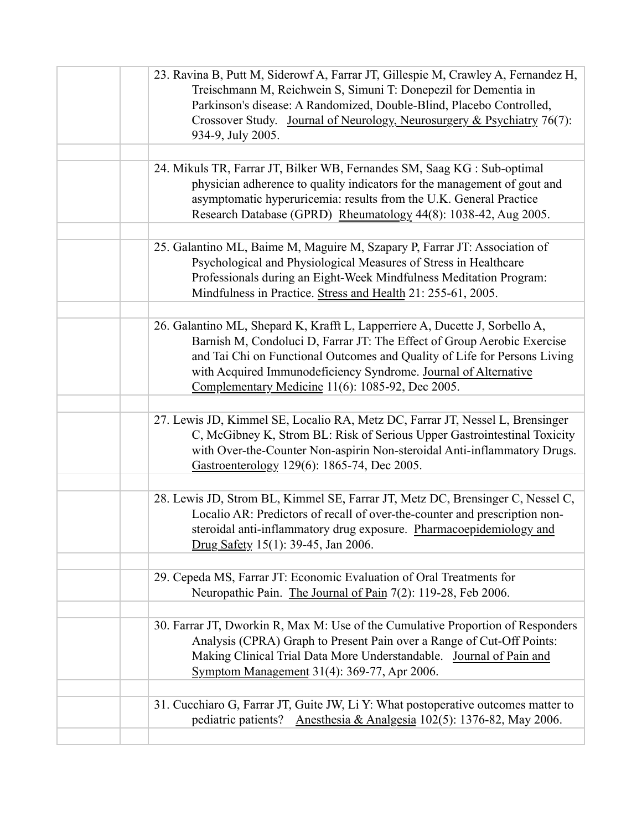| 23. Ravina B, Putt M, Siderowf A, Farrar JT, Gillespie M, Crawley A, Fernandez H,<br>Treischmann M, Reichwein S, Simuni T: Donepezil for Dementia in<br>Parkinson's disease: A Randomized, Double-Blind, Placebo Controlled,<br>Crossover Study. Journal of Neurology, Neurosurgery & Psychiatry 76(7):<br>934-9, July 2005.                                |
|-------------------------------------------------------------------------------------------------------------------------------------------------------------------------------------------------------------------------------------------------------------------------------------------------------------------------------------------------------------|
| 24. Mikuls TR, Farrar JT, Bilker WB, Fernandes SM, Saag KG : Sub-optimal<br>physician adherence to quality indicators for the management of gout and<br>asymptomatic hyperuricemia: results from the U.K. General Practice<br>Research Database (GPRD) Rheumatology 44(8): 1038-42, Aug 2005.                                                               |
| 25. Galantino ML, Baime M, Maguire M, Szapary P, Farrar JT: Association of<br>Psychological and Physiological Measures of Stress in Healthcare<br>Professionals during an Eight-Week Mindfulness Meditation Program:<br>Mindfulness in Practice. Stress and Health 21: 255-61, 2005.                                                                        |
| 26. Galantino ML, Shepard K, Krafft L, Lapperriere A, Ducette J, Sorbello A,<br>Barnish M, Condoluci D, Farrar JT: The Effect of Group Aerobic Exercise<br>and Tai Chi on Functional Outcomes and Quality of Life for Persons Living<br>with Acquired Immunodeficiency Syndrome. Journal of Alternative<br>Complementary Medicine 11(6): 1085-92, Dec 2005. |
| 27. Lewis JD, Kimmel SE, Localio RA, Metz DC, Farrar JT, Nessel L, Brensinger<br>C, McGibney K, Strom BL: Risk of Serious Upper Gastrointestinal Toxicity<br>with Over-the-Counter Non-aspirin Non-steroidal Anti-inflammatory Drugs.<br>Gastroenterology 129(6): 1865-74, Dec 2005.                                                                        |
| 28. Lewis JD, Strom BL, Kimmel SE, Farrar JT, Metz DC, Brensinger C, Nessel C,<br>Localio AR: Predictors of recall of over-the-counter and prescription non-<br>steroidal anti-inflammatory drug exposure. Pharmacoepidemiology and<br>Drug Safety 15(1): 39-45, Jan 2006.                                                                                  |
| 29. Cepeda MS, Farrar JT: Economic Evaluation of Oral Treatments for<br>Neuropathic Pain. The Journal of Pain 7(2): 119-28, Feb 2006.                                                                                                                                                                                                                       |
| 30. Farrar JT, Dworkin R, Max M: Use of the Cumulative Proportion of Responders<br>Analysis (CPRA) Graph to Present Pain over a Range of Cut-Off Points:<br>Making Clinical Trial Data More Understandable. Journal of Pain and<br>Symptom Management 31(4): 369-77, Apr 2006.                                                                              |
| 31. Cucchiaro G, Farrar JT, Guite JW, Li Y: What postoperative outcomes matter to<br>pediatric patients?<br>Anesthesia & Analgesia 102(5): 1376-82, May 2006.                                                                                                                                                                                               |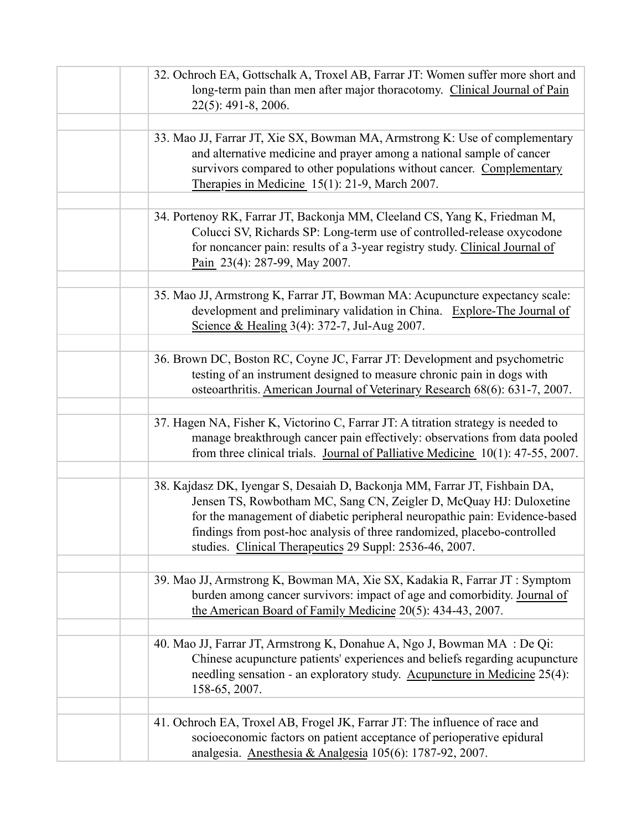| 32. Ochroch EA, Gottschalk A, Troxel AB, Farrar JT: Women suffer more short and<br>long-term pain than men after major thoracotomy. Clinical Journal of Pain<br>22(5): 491-8, 2006.                                                                                                                                                                                  |
|----------------------------------------------------------------------------------------------------------------------------------------------------------------------------------------------------------------------------------------------------------------------------------------------------------------------------------------------------------------------|
| 33. Mao JJ, Farrar JT, Xie SX, Bowman MA, Armstrong K: Use of complementary<br>and alternative medicine and prayer among a national sample of cancer<br>survivors compared to other populations without cancer. Complementary<br>Therapies in Medicine $15(1)$ : 21-9, March 2007.                                                                                   |
| 34. Portenoy RK, Farrar JT, Backonja MM, Cleeland CS, Yang K, Friedman M,<br>Colucci SV, Richards SP: Long-term use of controlled-release oxycodone<br>for noncancer pain: results of a 3-year registry study. Clinical Journal of<br>Pain 23(4): 287-99, May 2007.                                                                                                  |
| 35. Mao JJ, Armstrong K, Farrar JT, Bowman MA: Acupuncture expectancy scale:<br>development and preliminary validation in China. Explore-The Journal of<br>Science & Healing 3(4): 372-7, Jul-Aug 2007.                                                                                                                                                              |
| 36. Brown DC, Boston RC, Coyne JC, Farrar JT: Development and psychometric<br>testing of an instrument designed to measure chronic pain in dogs with<br>osteoarthritis. American Journal of Veterinary Research 68(6): 631-7, 2007.                                                                                                                                  |
| 37. Hagen NA, Fisher K, Victorino C, Farrar JT: A titration strategy is needed to<br>manage breakthrough cancer pain effectively: observations from data pooled<br>from three clinical trials. Journal of Palliative Medicine $10(1)$ : 47-55, 2007.                                                                                                                 |
| 38. Kajdasz DK, Iyengar S, Desaiah D, Backonja MM, Farrar JT, Fishbain DA,<br>Jensen TS, Rowbotham MC, Sang CN, Zeigler D, McQuay HJ: Duloxetine<br>for the management of diabetic peripheral neuropathic pain: Evidence-based<br>findings from post-hoc analysis of three randomized, placebo-controlled<br>studies. Clinical Therapeutics 29 Suppl: 2536-46, 2007. |
| 39. Mao JJ, Armstrong K, Bowman MA, Xie SX, Kadakia R, Farrar JT : Symptom<br>burden among cancer survivors: impact of age and comorbidity. Journal of<br>the American Board of Family Medicine 20(5): 434-43, 2007.                                                                                                                                                 |
| 40. Mao JJ, Farrar JT, Armstrong K, Donahue A, Ngo J, Bowman MA : De Qi:<br>Chinese acupuncture patients' experiences and beliefs regarding acupuncture<br>needling sensation - an exploratory study. Acupuncture in Medicine 25(4):<br>158-65, 2007.                                                                                                                |
| 41. Ochroch EA, Troxel AB, Frogel JK, Farrar JT: The influence of race and<br>socioeconomic factors on patient acceptance of perioperative epidural<br>analgesia. Anesthesia & Analgesia 105(6): 1787-92, 2007.                                                                                                                                                      |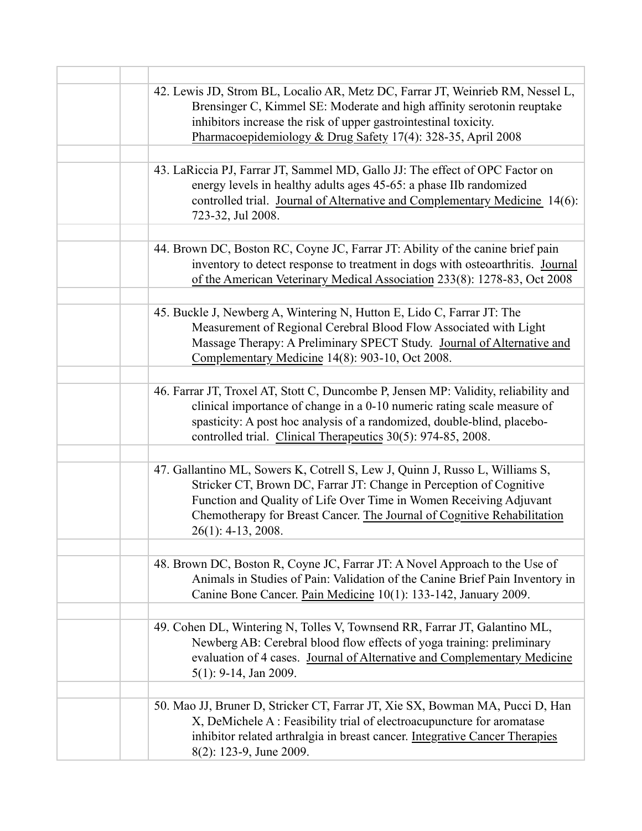| 42. Lewis JD, Strom BL, Localio AR, Metz DC, Farrar JT, Weinrieb RM, Nessel L,<br>Brensinger C, Kimmel SE: Moderate and high affinity serotonin reuptake<br>inhibitors increase the risk of upper gastrointestinal toxicity.<br>Pharmacoepidemiology & Drug Safety 17(4): 328-35, April 2008                                  |
|-------------------------------------------------------------------------------------------------------------------------------------------------------------------------------------------------------------------------------------------------------------------------------------------------------------------------------|
| 43. LaRiccia PJ, Farrar JT, Sammel MD, Gallo JJ: The effect of OPC Factor on<br>energy levels in healthy adults ages 45-65: a phase IIb randomized<br>controlled trial. Journal of Alternative and Complementary Medicine 14(6):<br>723-32, Jul 2008.                                                                         |
| 44. Brown DC, Boston RC, Coyne JC, Farrar JT: Ability of the canine brief pain<br>inventory to detect response to treatment in dogs with osteoarthritis. Journal<br>of the American Veterinary Medical Association 233(8): 1278-83, Oct 2008                                                                                  |
| 45. Buckle J, Newberg A, Wintering N, Hutton E, Lido C, Farrar JT: The<br>Measurement of Regional Cerebral Blood Flow Associated with Light<br>Massage Therapy: A Preliminary SPECT Study. Journal of Alternative and<br>Complementary Medicine 14(8): 903-10, Oct 2008.                                                      |
| 46. Farrar JT, Troxel AT, Stott C, Duncombe P, Jensen MP: Validity, reliability and<br>clinical importance of change in a 0-10 numeric rating scale measure of<br>spasticity: A post hoc analysis of a randomized, double-blind, placebo-<br>controlled trial. Clinical Therapeutics 30(5): 974-85, 2008.                     |
| 47. Gallantino ML, Sowers K, Cotrell S, Lew J, Quinn J, Russo L, Williams S,<br>Stricker CT, Brown DC, Farrar JT: Change in Perception of Cognitive<br>Function and Quality of Life Over Time in Women Receiving Adjuvant<br>Chemotherapy for Breast Cancer. The Journal of Cognitive Rehabilitation<br>$26(1)$ : 4-13, 2008. |
| 48. Brown DC, Boston R, Coyne JC, Farrar JT: A Novel Approach to the Use of<br>Animals in Studies of Pain: Validation of the Canine Brief Pain Inventory in<br>Canine Bone Cancer. Pain Medicine 10(1): 133-142, January 2009.                                                                                                |
| 49. Cohen DL, Wintering N, Tolles V, Townsend RR, Farrar JT, Galantino ML,<br>Newberg AB: Cerebral blood flow effects of yoga training: preliminary<br>evaluation of 4 cases. Journal of Alternative and Complementary Medicine<br>$5(1)$ : 9-14, Jan 2009.                                                                   |
| 50. Mao JJ, Bruner D, Stricker CT, Farrar JT, Xie SX, Bowman MA, Pucci D, Han<br>X, DeMichele A: Feasibility trial of electroacupuncture for aromatase<br>inhibitor related arthralgia in breast cancer. Integrative Cancer Therapies<br>8(2): 123-9, June 2009.                                                              |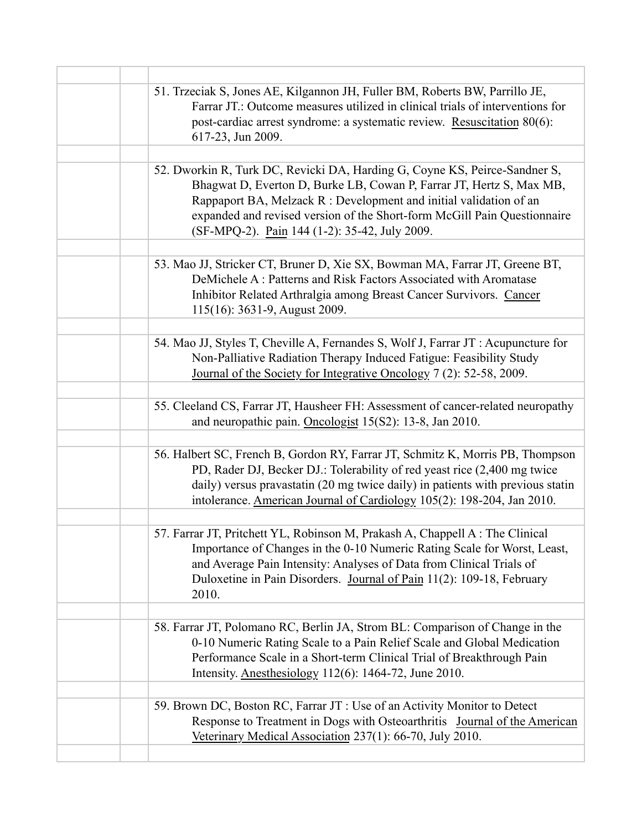| 51. Trzeciak S, Jones AE, Kilgannon JH, Fuller BM, Roberts BW, Parrillo JE,<br>Farrar JT.: Outcome measures utilized in clinical trials of interventions for<br>post-cardiac arrest syndrome: a systematic review. Resuscitation 80(6):<br>617-23, Jun 2009.                                                                                         |
|------------------------------------------------------------------------------------------------------------------------------------------------------------------------------------------------------------------------------------------------------------------------------------------------------------------------------------------------------|
| 52. Dworkin R, Turk DC, Revicki DA, Harding G, Coyne KS, Peirce-Sandner S,<br>Bhagwat D, Everton D, Burke LB, Cowan P, Farrar JT, Hertz S, Max MB,<br>Rappaport BA, Melzack R: Development and initial validation of an<br>expanded and revised version of the Short-form McGill Pain Questionnaire<br>(SF-MPQ-2). Pain 144 (1-2): 35-42, July 2009. |
| 53. Mao JJ, Stricker CT, Bruner D, Xie SX, Bowman MA, Farrar JT, Greene BT,<br>DeMichele A: Patterns and Risk Factors Associated with Aromatase<br>Inhibitor Related Arthralgia among Breast Cancer Survivors. Cancer<br>115(16): 3631-9, August 2009.                                                                                               |
| 54. Mao JJ, Styles T, Cheville A, Fernandes S, Wolf J, Farrar JT : Acupuncture for<br>Non-Palliative Radiation Therapy Induced Fatigue: Feasibility Study<br>Journal of the Society for Integrative Oncology 7 (2): 52-58, 2009.                                                                                                                     |
| 55. Cleeland CS, Farrar JT, Hausheer FH: Assessment of cancer-related neuropathy<br>and neuropathic pain. Oncologist 15(S2): 13-8, Jan 2010.                                                                                                                                                                                                         |
| 56. Halbert SC, French B, Gordon RY, Farrar JT, Schmitz K, Morris PB, Thompson<br>PD, Rader DJ, Becker DJ.: Tolerability of red yeast rice (2,400 mg twice<br>daily) versus pravastatin (20 mg twice daily) in patients with previous statin<br>intolerance. American Journal of Cardiology 105(2): 198-204, Jan 2010.                               |
| 57. Farrar JT, Pritchett YL, Robinson M, Prakash A, Chappell A: The Clinical<br>Importance of Changes in the 0-10 Numeric Rating Scale for Worst, Least,<br>and Average Pain Intensity: Analyses of Data from Clinical Trials of<br>Duloxetine in Pain Disorders. Journal of Pain 11(2): 109-18, February<br>2010.                                   |
| 58. Farrar JT, Polomano RC, Berlin JA, Strom BL: Comparison of Change in the<br>0-10 Numeric Rating Scale to a Pain Relief Scale and Global Medication<br>Performance Scale in a Short-term Clinical Trial of Breakthrough Pain<br>Intensity. Anesthesiology $112(6)$ : 1464-72, June 2010.                                                          |
| 59. Brown DC, Boston RC, Farrar JT : Use of an Activity Monitor to Detect<br>Response to Treatment in Dogs with Osteoarthritis Journal of the American<br>Veterinary Medical Association 237(1): 66-70, July 2010.                                                                                                                                   |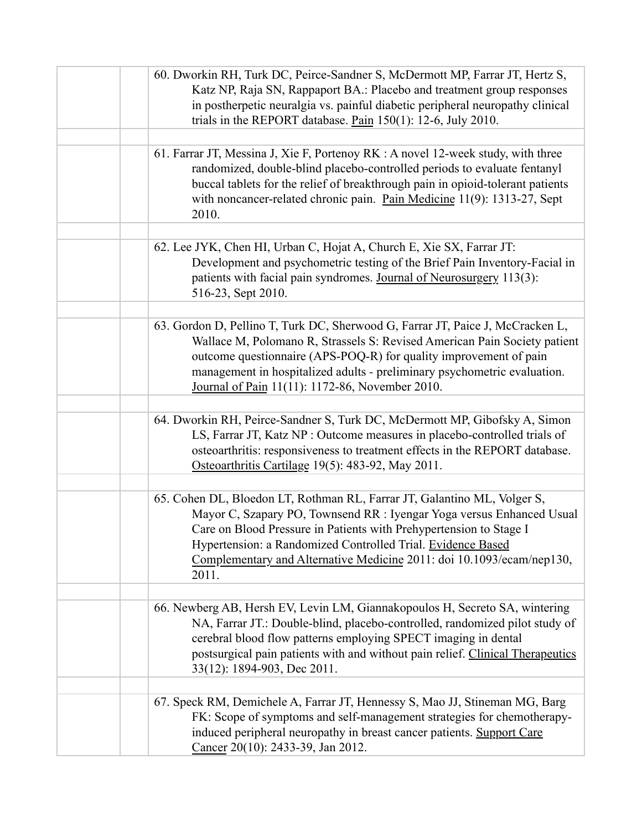| 60. Dworkin RH, Turk DC, Peirce-Sandner S, McDermott MP, Farrar JT, Hertz S,<br>Katz NP, Raja SN, Rappaport BA.: Placebo and treatment group responses<br>in postherpetic neuralgia vs. painful diabetic peripheral neuropathy clinical<br>trials in the REPORT database. Pain $150(1)$ : 12-6, July 2010.                                                               |
|--------------------------------------------------------------------------------------------------------------------------------------------------------------------------------------------------------------------------------------------------------------------------------------------------------------------------------------------------------------------------|
| 61. Farrar JT, Messina J, Xie F, Portenoy RK : A novel 12-week study, with three<br>randomized, double-blind placebo-controlled periods to evaluate fentanyl<br>buccal tablets for the relief of breakthrough pain in opioid-tolerant patients<br>with noncancer-related chronic pain. Pain Medicine 11(9): 1313-27, Sept<br>2010.                                       |
| 62. Lee JYK, Chen HI, Urban C, Hojat A, Church E, Xie SX, Farrar JT:<br>Development and psychometric testing of the Brief Pain Inventory-Facial in<br>patients with facial pain syndromes. Journal of Neurosurgery 113(3):<br>516-23, Sept 2010.                                                                                                                         |
| 63. Gordon D, Pellino T, Turk DC, Sherwood G, Farrar JT, Paice J, McCracken L,<br>Wallace M, Polomano R, Strassels S: Revised American Pain Society patient<br>outcome questionnaire (APS-POQ-R) for quality improvement of pain<br>management in hospitalized adults - preliminary psychometric evaluation.<br>Journal of Pain 11(11): 1172-86, November 2010.          |
| 64. Dworkin RH, Peirce-Sandner S, Turk DC, McDermott MP, Gibofsky A, Simon<br>LS, Farrar JT, Katz NP : Outcome measures in placebo-controlled trials of<br>osteoarthritis: responsiveness to treatment effects in the REPORT database.<br>Osteoarthritis Cartilage 19(5): 483-92, May 2011.                                                                              |
| 65. Cohen DL, Bloedon LT, Rothman RL, Farrar JT, Galantino ML, Volger S,<br>Mayor C, Szapary PO, Townsend RR : Iyengar Yoga versus Enhanced Usual<br>Care on Blood Pressure in Patients with Prehypertension to Stage I<br>Hypertension: a Randomized Controlled Trial. Evidence Based<br>Complementary and Alternative Medicine 2011: doi 10.1093/ecam/nep130,<br>2011. |
| 66. Newberg AB, Hersh EV, Levin LM, Giannakopoulos H, Secreto SA, wintering<br>NA, Farrar JT.: Double-blind, placebo-controlled, randomized pilot study of<br>cerebral blood flow patterns employing SPECT imaging in dental<br>postsurgical pain patients with and without pain relief. Clinical Therapeutics<br>33(12): 1894-903, Dec 2011.                            |
| 67. Speck RM, Demichele A, Farrar JT, Hennessy S, Mao JJ, Stineman MG, Barg<br>FK: Scope of symptoms and self-management strategies for chemotherapy-<br>induced peripheral neuropathy in breast cancer patients. Support Care<br>Cancer 20(10): 2433-39, Jan 2012.                                                                                                      |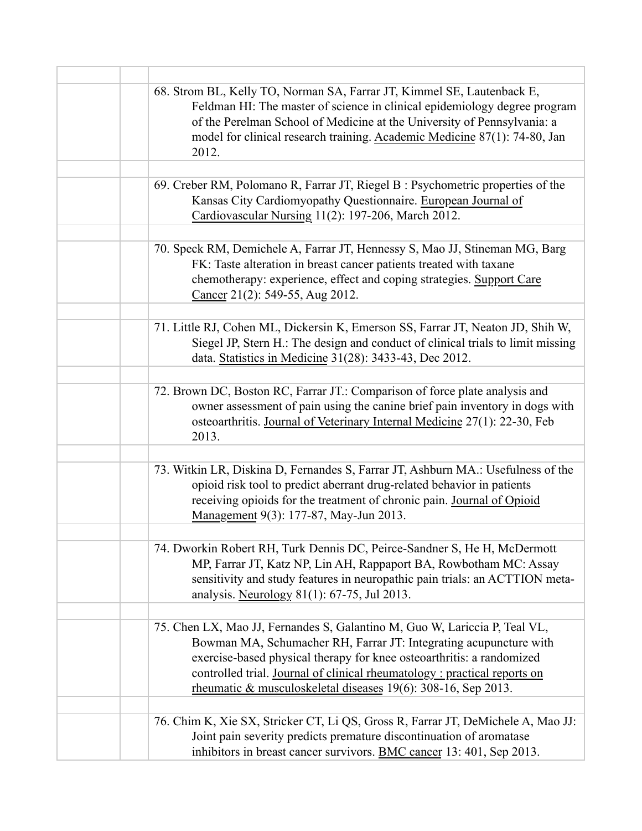| 68. Strom BL, Kelly TO, Norman SA, Farrar JT, Kimmel SE, Lautenback E,<br>Feldman HI: The master of science in clinical epidemiology degree program<br>of the Perelman School of Medicine at the University of Pennsylvania: a<br>model for clinical research training. Academic Medicine 87(1): 74-80, Jan<br>2012.                                                  |
|-----------------------------------------------------------------------------------------------------------------------------------------------------------------------------------------------------------------------------------------------------------------------------------------------------------------------------------------------------------------------|
| 69. Creber RM, Polomano R, Farrar JT, Riegel B : Psychometric properties of the<br>Kansas City Cardiomyopathy Questionnaire. European Journal of<br>Cardiovascular Nursing 11(2): 197-206, March 2012.                                                                                                                                                                |
| 70. Speck RM, Demichele A, Farrar JT, Hennessy S, Mao JJ, Stineman MG, Barg<br>FK: Taste alteration in breast cancer patients treated with taxane<br>chemotherapy: experience, effect and coping strategies. Support Care<br>Cancer 21(2): 549-55, Aug 2012.                                                                                                          |
| 71. Little RJ, Cohen ML, Dickersin K, Emerson SS, Farrar JT, Neaton JD, Shih W,<br>Siegel JP, Stern H.: The design and conduct of clinical trials to limit missing<br>data. Statistics in Medicine 31(28): 3433-43, Dec 2012.                                                                                                                                         |
| 72. Brown DC, Boston RC, Farrar JT.: Comparison of force plate analysis and<br>owner assessment of pain using the canine brief pain inventory in dogs with<br>osteoarthritis. Journal of Veterinary Internal Medicine 27(1): 22-30, Feb<br>2013.                                                                                                                      |
| 73. Witkin LR, Diskina D, Fernandes S, Farrar JT, Ashburn MA.: Usefulness of the<br>opioid risk tool to predict aberrant drug-related behavior in patients<br>receiving opioids for the treatment of chronic pain. Journal of Opioid<br>Management 9(3): 177-87, May-Jun 2013.                                                                                        |
| 74. Dworkin Robert RH, Turk Dennis DC, Peirce-Sandner S, He H, McDermott<br>MP, Farrar JT, Katz NP, Lin AH, Rappaport BA, Rowbotham MC: Assay<br>sensitivity and study features in neuropathic pain trials: an ACTTION meta-<br>analysis. Neurology 81(1): 67-75, Jul 2013.                                                                                           |
| 75. Chen LX, Mao JJ, Fernandes S, Galantino M, Guo W, Lariccia P, Teal VL,<br>Bowman MA, Schumacher RH, Farrar JT: Integrating acupuncture with<br>exercise-based physical therapy for knee osteoarthritis: a randomized<br>controlled trial. Journal of clinical rheumatology: practical reports on<br>rheumatic & musculoskeletal diseases 19(6): 308-16, Sep 2013. |
| 76. Chim K, Xie SX, Stricker CT, Li QS, Gross R, Farrar JT, DeMichele A, Mao JJ:<br>Joint pain severity predicts premature discontinuation of aromatase<br>inhibitors in breast cancer survivors. BMC cancer 13: 401, Sep 2013.                                                                                                                                       |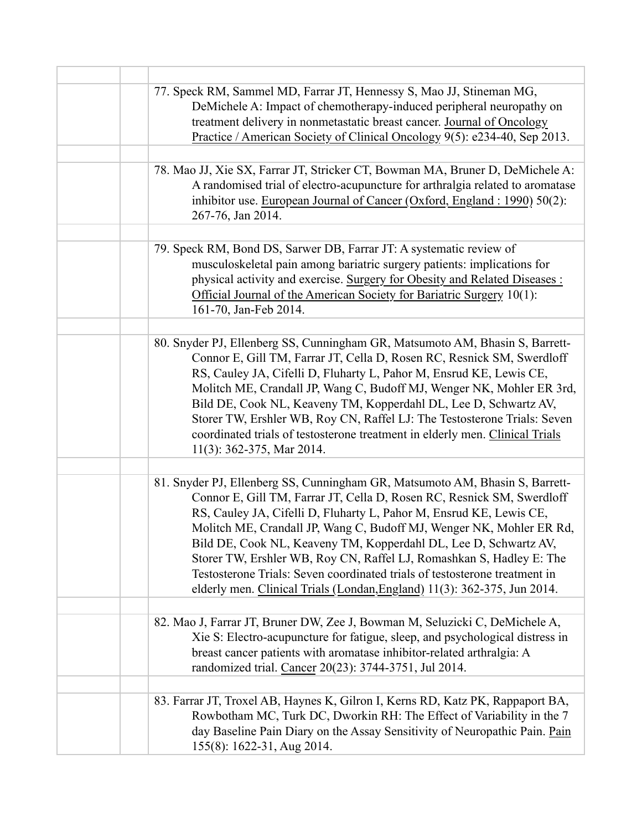| 77. Speck RM, Sammel MD, Farrar JT, Hennessy S, Mao JJ, Stineman MG,<br>DeMichele A: Impact of chemotherapy-induced peripheral neuropathy on<br>treatment delivery in nonmetastatic breast cancer. Journal of Oncology<br>Practice / American Society of Clinical Oncology 9(5): e234-40, Sep 2013.                                                                                                                                                                                                                                                                                                         |
|-------------------------------------------------------------------------------------------------------------------------------------------------------------------------------------------------------------------------------------------------------------------------------------------------------------------------------------------------------------------------------------------------------------------------------------------------------------------------------------------------------------------------------------------------------------------------------------------------------------|
| 78. Mao JJ, Xie SX, Farrar JT, Stricker CT, Bowman MA, Bruner D, DeMichele A:<br>A randomised trial of electro-acupuncture for arthralgia related to aromatase<br>inhibitor use. European Journal of Cancer (Oxford, England : 1990) $50(2)$ :<br>267-76, Jan 2014.                                                                                                                                                                                                                                                                                                                                         |
| 79. Speck RM, Bond DS, Sarwer DB, Farrar JT: A systematic review of<br>musculoskeletal pain among bariatric surgery patients: implications for<br>physical activity and exercise. Surgery for Obesity and Related Diseases:<br>Official Journal of the American Society for Bariatric Surgery 10(1):<br>161-70, Jan-Feb 2014.                                                                                                                                                                                                                                                                               |
| 80. Snyder PJ, Ellenberg SS, Cunningham GR, Matsumoto AM, Bhasin S, Barrett-<br>Connor E, Gill TM, Farrar JT, Cella D, Rosen RC, Resnick SM, Swerdloff<br>RS, Cauley JA, Cifelli D, Fluharty L, Pahor M, Ensrud KE, Lewis CE,<br>Molitch ME, Crandall JP, Wang C, Budoff MJ, Wenger NK, Mohler ER 3rd,<br>Bild DE, Cook NL, Keaveny TM, Kopperdahl DL, Lee D, Schwartz AV,<br>Storer TW, Ershler WB, Roy CN, Raffel LJ: The Testosterone Trials: Seven<br>coordinated trials of testosterone treatment in elderly men. Clinical Trials<br>11(3): 362-375, Mar 2014.                                         |
| 81. Snyder PJ, Ellenberg SS, Cunningham GR, Matsumoto AM, Bhasin S, Barrett-<br>Connor E, Gill TM, Farrar JT, Cella D, Rosen RC, Resnick SM, Swerdloff<br>RS, Cauley JA, Cifelli D, Fluharty L, Pahor M, Ensrud KE, Lewis CE,<br>Molitch ME, Crandall JP, Wang C, Budoff MJ, Wenger NK, Mohler ER Rd,<br>Bild DE, Cook NL, Keaveny TM, Kopperdahl DL, Lee D, Schwartz AV,<br>Storer TW, Ershler WB, Roy CN, Raffel LJ, Romashkan S, Hadley E: The<br>Testosterone Trials: Seven coordinated trials of testosterone treatment in<br>elderly men. Clinical Trials (Londan, England) 11(3): 362-375, Jun 2014. |
| 82. Mao J, Farrar JT, Bruner DW, Zee J, Bowman M, Seluzicki C, DeMichele A,<br>Xie S: Electro-acupuncture for fatigue, sleep, and psychological distress in<br>breast cancer patients with aromatase inhibitor-related arthralgia: A<br>randomized trial. Cancer 20(23): 3744-3751, Jul 2014.                                                                                                                                                                                                                                                                                                               |
| 83. Farrar JT, Troxel AB, Haynes K, Gilron I, Kerns RD, Katz PK, Rappaport BA,<br>Rowbotham MC, Turk DC, Dworkin RH: The Effect of Variability in the 7<br>day Baseline Pain Diary on the Assay Sensitivity of Neuropathic Pain. Pain<br>155(8): 1622-31, Aug 2014.                                                                                                                                                                                                                                                                                                                                         |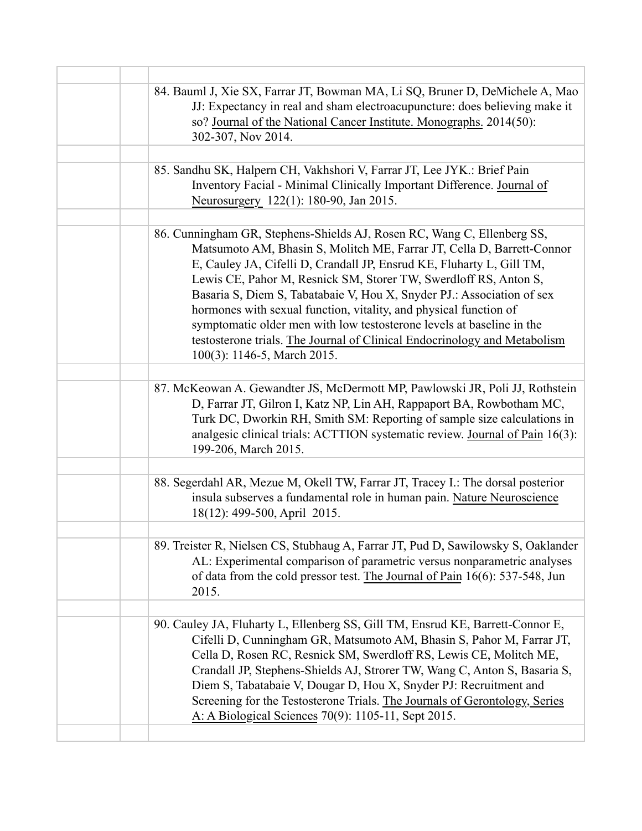| 84. Bauml J, Xie SX, Farrar JT, Bowman MA, Li SQ, Bruner D, DeMichele A, Mao<br>JJ: Expectancy in real and sham electroacupuncture: does believing make it<br>so? Journal of the National Cancer Institute. Monographs. 2014(50):<br>302-307, Nov 2014.                                                                                                                                                                                                                                                                                                                                                                            |
|------------------------------------------------------------------------------------------------------------------------------------------------------------------------------------------------------------------------------------------------------------------------------------------------------------------------------------------------------------------------------------------------------------------------------------------------------------------------------------------------------------------------------------------------------------------------------------------------------------------------------------|
| 85. Sandhu SK, Halpern CH, Vakhshori V, Farrar JT, Lee JYK.: Brief Pain<br>Inventory Facial - Minimal Clinically Important Difference. Journal of<br>Neurosurgery 122(1): 180-90, Jan 2015.                                                                                                                                                                                                                                                                                                                                                                                                                                        |
| 86. Cunningham GR, Stephens-Shields AJ, Rosen RC, Wang C, Ellenberg SS,<br>Matsumoto AM, Bhasin S, Molitch ME, Farrar JT, Cella D, Barrett-Connor<br>E, Cauley JA, Cifelli D, Crandall JP, Ensrud KE, Fluharty L, Gill TM,<br>Lewis CE, Pahor M, Resnick SM, Storer TW, Swerdloff RS, Anton S,<br>Basaria S, Diem S, Tabatabaie V, Hou X, Snyder PJ.: Association of sex<br>hormones with sexual function, vitality, and physical function of<br>symptomatic older men with low testosterone levels at baseline in the<br>testosterone trials. The Journal of Clinical Endocrinology and Metabolism<br>100(3): 1146-5, March 2015. |
| 87. McKeowan A. Gewandter JS, McDermott MP, Pawlowski JR, Poli JJ, Rothstein<br>D, Farrar JT, Gilron I, Katz NP, Lin AH, Rappaport BA, Rowbotham MC,<br>Turk DC, Dworkin RH, Smith SM: Reporting of sample size calculations in<br>analgesic clinical trials: ACTTION systematic review. Journal of Pain 16(3):<br>199-206, March 2015.                                                                                                                                                                                                                                                                                            |
| 88. Segerdahl AR, Mezue M, Okell TW, Farrar JT, Tracey I.: The dorsal posterior<br>insula subserves a fundamental role in human pain. Nature Neuroscience<br>18(12): 499-500, April 2015.                                                                                                                                                                                                                                                                                                                                                                                                                                          |
| 89. Treister R, Nielsen CS, Stubhaug A, Farrar JT, Pud D, Sawilowsky S, Oaklander<br>AL: Experimental comparison of parametric versus nonparametric analyses<br>of data from the cold pressor test. The Journal of Pain 16(6): 537-548, Jun<br>2015.                                                                                                                                                                                                                                                                                                                                                                               |
| 90. Cauley JA, Fluharty L, Ellenberg SS, Gill TM, Ensrud KE, Barrett-Connor E,<br>Cifelli D, Cunningham GR, Matsumoto AM, Bhasin S, Pahor M, Farrar JT,<br>Cella D, Rosen RC, Resnick SM, Swerdloff RS, Lewis CE, Molitch ME,<br>Crandall JP, Stephens-Shields AJ, Strorer TW, Wang C, Anton S, Basaria S,<br>Diem S, Tabatabaie V, Dougar D, Hou X, Snyder PJ: Recruitment and<br>Screening for the Testosterone Trials. The Journals of Gerontology, Series<br>A: A Biological Sciences 70(9): 1105-11, Sept 2015.                                                                                                               |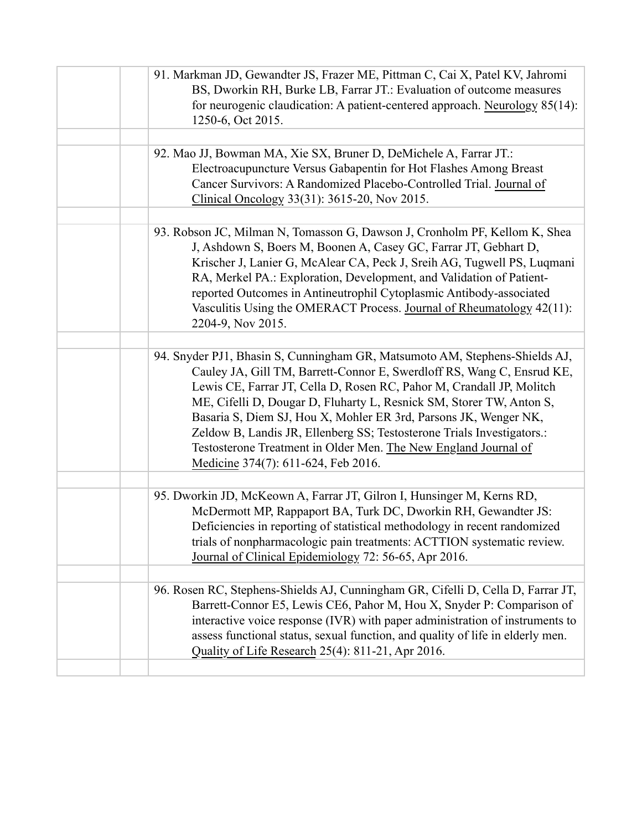| 91. Markman JD, Gewandter JS, Frazer ME, Pittman C, Cai X, Patel KV, Jahromi<br>BS, Dworkin RH, Burke LB, Farrar JT.: Evaluation of outcome measures<br>for neurogenic claudication: A patient-centered approach. Neurology 85(14):<br>1250-6, Oct 2015.                                                                                                                                                                                                                                                                                                       |
|----------------------------------------------------------------------------------------------------------------------------------------------------------------------------------------------------------------------------------------------------------------------------------------------------------------------------------------------------------------------------------------------------------------------------------------------------------------------------------------------------------------------------------------------------------------|
| 92. Mao JJ, Bowman MA, Xie SX, Bruner D, DeMichele A, Farrar JT.:<br>Electroacupuncture Versus Gabapentin for Hot Flashes Among Breast<br>Cancer Survivors: A Randomized Placebo-Controlled Trial. Journal of<br>Clinical Oncology 33(31): 3615-20, Nov 2015.                                                                                                                                                                                                                                                                                                  |
| 93. Robson JC, Milman N, Tomasson G, Dawson J, Cronholm PF, Kellom K, Shea<br>J, Ashdown S, Boers M, Boonen A, Casey GC, Farrar JT, Gebhart D,<br>Krischer J, Lanier G, McAlear CA, Peck J, Sreih AG, Tugwell PS, Luqmani<br>RA, Merkel PA.: Exploration, Development, and Validation of Patient-<br>reported Outcomes in Antineutrophil Cytoplasmic Antibody-associated<br>Vasculitis Using the OMERACT Process. Journal of Rheumatology 42(11):<br>2204-9, Nov 2015.                                                                                         |
| 94. Snyder PJ1, Bhasin S, Cunningham GR, Matsumoto AM, Stephens-Shields AJ,<br>Cauley JA, Gill TM, Barrett-Connor E, Swerdloff RS, Wang C, Ensrud KE,<br>Lewis CE, Farrar JT, Cella D, Rosen RC, Pahor M, Crandall JP, Molitch<br>ME, Cifelli D, Dougar D, Fluharty L, Resnick SM, Storer TW, Anton S,<br>Basaria S, Diem SJ, Hou X, Mohler ER 3rd, Parsons JK, Wenger NK,<br>Zeldow B, Landis JR, Ellenberg SS; Testosterone Trials Investigators.:<br>Testosterone Treatment in Older Men. The New England Journal of<br>Medicine 374(7): 611-624, Feb 2016. |
| 95. Dworkin JD, McKeown A, Farrar JT, Gilron I, Hunsinger M, Kerns RD,<br>McDermott MP, Rappaport BA, Turk DC, Dworkin RH, Gewandter JS:<br>Deficiencies in reporting of statistical methodology in recent randomized<br>trials of nonpharmacologic pain treatments: ACTTION systematic review.<br>Journal of Clinical Epidemiology 72: 56-65, Apr 2016.                                                                                                                                                                                                       |
| 96. Rosen RC, Stephens-Shields AJ, Cunningham GR, Cifelli D, Cella D, Farrar JT,<br>Barrett-Connor E5, Lewis CE6, Pahor M, Hou X, Snyder P: Comparison of<br>interactive voice response (IVR) with paper administration of instruments to<br>assess functional status, sexual function, and quality of life in elderly men.<br>Quality of Life Research 25(4): 811-21, Apr 2016.                                                                                                                                                                               |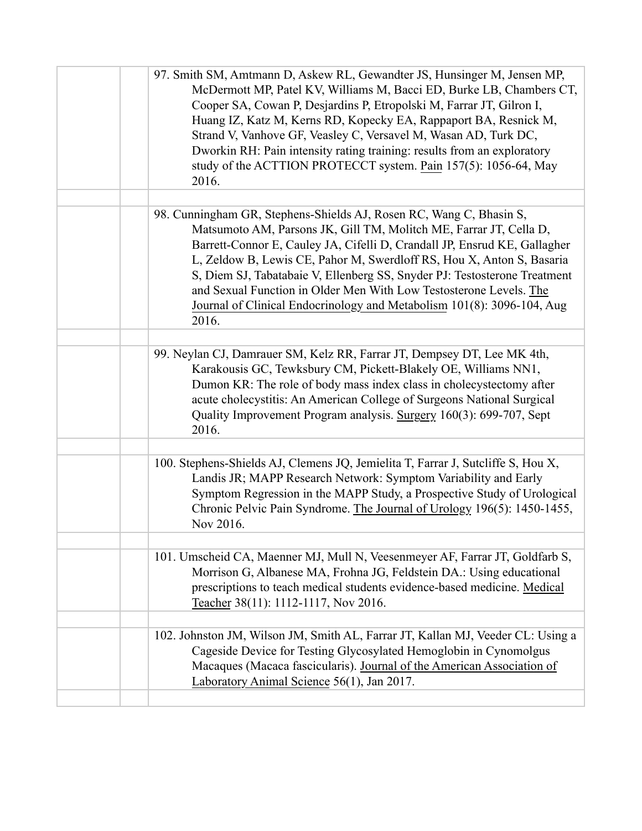| 97. Smith SM, Amtmann D, Askew RL, Gewandter JS, Hunsinger M, Jensen MP,<br>McDermott MP, Patel KV, Williams M, Bacci ED, Burke LB, Chambers CT,<br>Cooper SA, Cowan P, Desjardins P, Etropolski M, Farrar JT, Gilron I,<br>Huang IZ, Katz M, Kerns RD, Kopecky EA, Rappaport BA, Resnick M,<br>Strand V, Vanhove GF, Veasley C, Versavel M, Wasan AD, Turk DC,<br>Dworkin RH: Pain intensity rating training: results from an exploratory<br>study of the ACTTION PROTECCT system. Pain 157(5): 1056-64, May<br>2016.                |
|---------------------------------------------------------------------------------------------------------------------------------------------------------------------------------------------------------------------------------------------------------------------------------------------------------------------------------------------------------------------------------------------------------------------------------------------------------------------------------------------------------------------------------------|
|                                                                                                                                                                                                                                                                                                                                                                                                                                                                                                                                       |
| 98. Cunningham GR, Stephens-Shields AJ, Rosen RC, Wang C, Bhasin S,<br>Matsumoto AM, Parsons JK, Gill TM, Molitch ME, Farrar JT, Cella D,<br>Barrett-Connor E, Cauley JA, Cifelli D, Crandall JP, Ensrud KE, Gallagher<br>L, Zeldow B, Lewis CE, Pahor M, Swerdloff RS, Hou X, Anton S, Basaria<br>S, Diem SJ, Tabatabaie V, Ellenberg SS, Snyder PJ: Testosterone Treatment<br>and Sexual Function in Older Men With Low Testosterone Levels. The<br>Journal of Clinical Endocrinology and Metabolism 101(8): 3096-104, Aug<br>2016. |
|                                                                                                                                                                                                                                                                                                                                                                                                                                                                                                                                       |
| 99. Neylan CJ, Damrauer SM, Kelz RR, Farrar JT, Dempsey DT, Lee MK 4th,<br>Karakousis GC, Tewksbury CM, Pickett-Blakely OE, Williams NN1,<br>Dumon KR: The role of body mass index class in cholecystectomy after<br>acute cholecystitis: An American College of Surgeons National Surgical<br>Quality Improvement Program analysis. Surgery 160(3): 699-707, Sept<br>2016.                                                                                                                                                           |
|                                                                                                                                                                                                                                                                                                                                                                                                                                                                                                                                       |
| 100. Stephens-Shields AJ, Clemens JQ, Jemielita T, Farrar J, Sutcliffe S, Hou X,<br>Landis JR; MAPP Research Network: Symptom Variability and Early<br>Symptom Regression in the MAPP Study, a Prospective Study of Urological<br>Chronic Pelvic Pain Syndrome. The Journal of Urology 196(5): 1450-1455,<br>Nov 2016.                                                                                                                                                                                                                |
|                                                                                                                                                                                                                                                                                                                                                                                                                                                                                                                                       |
| 101. Umscheid CA, Maenner MJ, Mull N, Veesenmeyer AF, Farrar JT, Goldfarb S,<br>Morrison G, Albanese MA, Frohna JG, Feldstein DA.: Using educational<br>prescriptions to teach medical students evidence-based medicine. Medical<br>Teacher 38(11): 1112-1117, Nov 2016.                                                                                                                                                                                                                                                              |
|                                                                                                                                                                                                                                                                                                                                                                                                                                                                                                                                       |
| 102. Johnston JM, Wilson JM, Smith AL, Farrar JT, Kallan MJ, Veeder CL: Using a<br>Cageside Device for Testing Glycosylated Hemoglobin in Cynomolgus<br>Macaques (Macaca fascicularis). Journal of the American Association of<br>Laboratory Animal Science 56(1), Jan 2017.                                                                                                                                                                                                                                                          |
|                                                                                                                                                                                                                                                                                                                                                                                                                                                                                                                                       |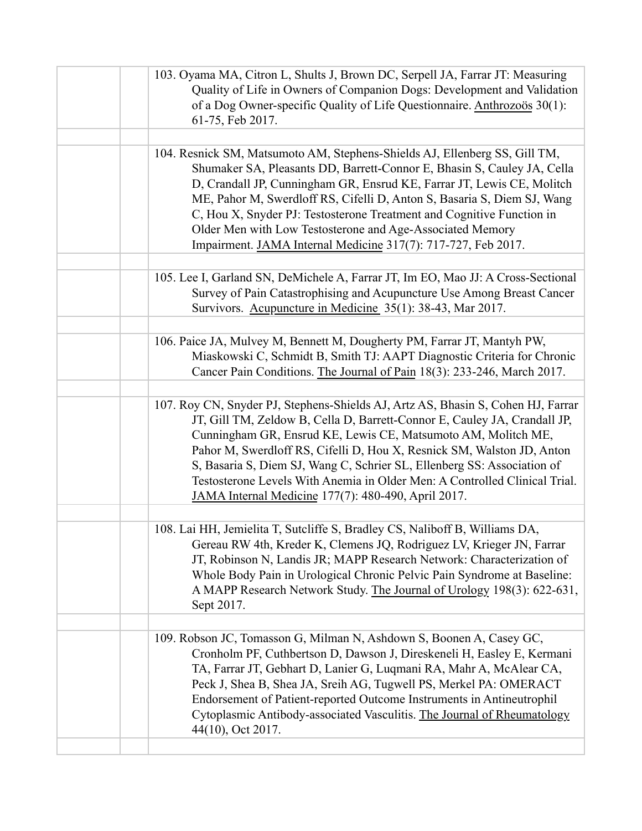| 103. Oyama MA, Citron L, Shults J, Brown DC, Serpell JA, Farrar JT: Measuring<br>Quality of Life in Owners of Companion Dogs: Development and Validation<br>of a Dog Owner-specific Quality of Life Questionnaire. Anthrozoös 30(1):<br>61-75, Feb 2017.                                                                                                                                                                                                                                                                 |
|--------------------------------------------------------------------------------------------------------------------------------------------------------------------------------------------------------------------------------------------------------------------------------------------------------------------------------------------------------------------------------------------------------------------------------------------------------------------------------------------------------------------------|
|                                                                                                                                                                                                                                                                                                                                                                                                                                                                                                                          |
| 104. Resnick SM, Matsumoto AM, Stephens-Shields AJ, Ellenberg SS, Gill TM,<br>Shumaker SA, Pleasants DD, Barrett-Connor E, Bhasin S, Cauley JA, Cella<br>D, Crandall JP, Cunningham GR, Ensrud KE, Farrar JT, Lewis CE, Molitch<br>ME, Pahor M, Swerdloff RS, Cifelli D, Anton S, Basaria S, Diem SJ, Wang<br>C, Hou X, Snyder PJ: Testosterone Treatment and Cognitive Function in<br>Older Men with Low Testosterone and Age-Associated Memory<br>Impairment. JAMA Internal Medicine 317(7): 717-727, Feb 2017.        |
|                                                                                                                                                                                                                                                                                                                                                                                                                                                                                                                          |
| 105. Lee I, Garland SN, DeMichele A, Farrar JT, Im EO, Mao JJ: A Cross-Sectional<br>Survey of Pain Catastrophising and Acupuncture Use Among Breast Cancer<br>Survivors. Acupuncture in Medicine 35(1): 38-43, Mar 2017.                                                                                                                                                                                                                                                                                                 |
|                                                                                                                                                                                                                                                                                                                                                                                                                                                                                                                          |
| 106. Paice JA, Mulvey M, Bennett M, Dougherty PM, Farrar JT, Mantyh PW,<br>Miaskowski C, Schmidt B, Smith TJ: AAPT Diagnostic Criteria for Chronic<br>Cancer Pain Conditions. The Journal of Pain 18(3): 233-246, March 2017.                                                                                                                                                                                                                                                                                            |
|                                                                                                                                                                                                                                                                                                                                                                                                                                                                                                                          |
| 107. Roy CN, Snyder PJ, Stephens-Shields AJ, Artz AS, Bhasin S, Cohen HJ, Farrar<br>JT, Gill TM, Zeldow B, Cella D, Barrett-Connor E, Cauley JA, Crandall JP,<br>Cunningham GR, Ensrud KE, Lewis CE, Matsumoto AM, Molitch ME,<br>Pahor M, Swerdloff RS, Cifelli D, Hou X, Resnick SM, Walston JD, Anton<br>S, Basaria S, Diem SJ, Wang C, Schrier SL, Ellenberg SS: Association of<br>Testosterone Levels With Anemia in Older Men: A Controlled Clinical Trial.<br>JAMA Internal Medicine 177(7): 480-490, April 2017. |
|                                                                                                                                                                                                                                                                                                                                                                                                                                                                                                                          |
| 108. Lai HH, Jemielita T, Sutcliffe S, Bradley CS, Naliboff B, Williams DA,<br>Gereau RW 4th, Kreder K, Clemens JQ, Rodriguez LV, Krieger JN, Farrar<br>JT, Robinson N, Landis JR; MAPP Research Network: Characterization of<br>Whole Body Pain in Urological Chronic Pelvic Pain Syndrome at Baseline:<br>A MAPP Research Network Study. The Journal of Urology 198(3): 622-631,<br>Sept 2017.                                                                                                                         |
|                                                                                                                                                                                                                                                                                                                                                                                                                                                                                                                          |
| 109. Robson JC, Tomasson G, Milman N, Ashdown S, Boonen A, Casey GC,<br>Cronholm PF, Cuthbertson D, Dawson J, Direskeneli H, Easley E, Kermani<br>TA, Farrar JT, Gebhart D, Lanier G, Luqmani RA, Mahr A, McAlear CA,<br>Peck J, Shea B, Shea JA, Sreih AG, Tugwell PS, Merkel PA: OMERACT<br>Endorsement of Patient-reported Outcome Instruments in Antineutrophil<br>Cytoplasmic Antibody-associated Vasculitis. The Journal of Rheumatology<br>44(10), Oct 2017.                                                      |
|                                                                                                                                                                                                                                                                                                                                                                                                                                                                                                                          |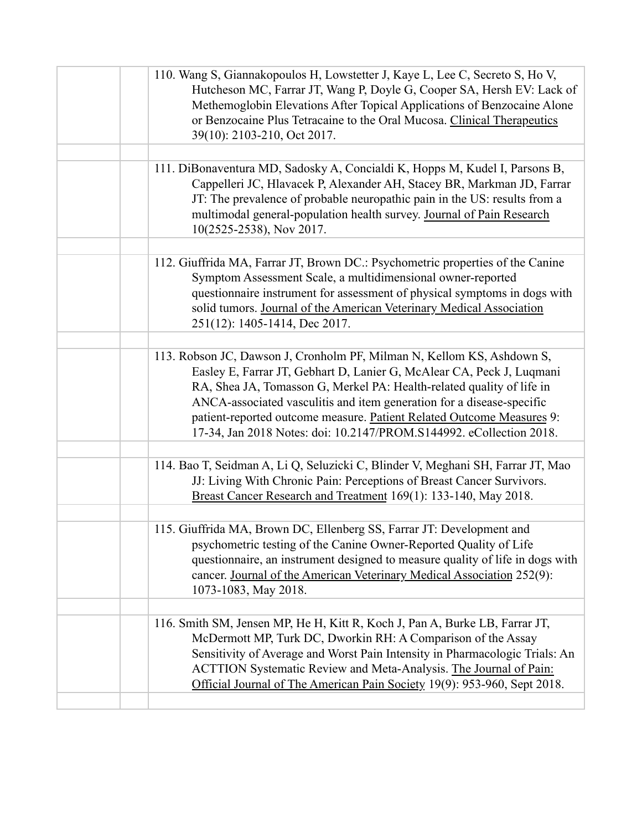| 110. Wang S, Giannakopoulos H, Lowstetter J, Kaye L, Lee C, Secreto S, Ho V,<br>Hutcheson MC, Farrar JT, Wang P, Doyle G, Cooper SA, Hersh EV: Lack of<br>Methemoglobin Elevations After Topical Applications of Benzocaine Alone<br>or Benzocaine Plus Tetracaine to the Oral Mucosa. Clinical Therapeutics<br>39(10): 2103-210, Oct 2017.                                                                                                       |
|---------------------------------------------------------------------------------------------------------------------------------------------------------------------------------------------------------------------------------------------------------------------------------------------------------------------------------------------------------------------------------------------------------------------------------------------------|
|                                                                                                                                                                                                                                                                                                                                                                                                                                                   |
| 111. DiBonaventura MD, Sadosky A, Concialdi K, Hopps M, Kudel I, Parsons B,<br>Cappelleri JC, Hlavacek P, Alexander AH, Stacey BR, Markman JD, Farrar<br>JT: The prevalence of probable neuropathic pain in the US: results from a<br>multimodal general-population health survey. Journal of Pain Research<br>10(2525-2538), Nov 2017.                                                                                                           |
|                                                                                                                                                                                                                                                                                                                                                                                                                                                   |
| 112. Giuffrida MA, Farrar JT, Brown DC.: Psychometric properties of the Canine<br>Symptom Assessment Scale, a multidimensional owner-reported<br>questionnaire instrument for assessment of physical symptoms in dogs with<br>solid tumors. Journal of the American Veterinary Medical Association<br>251(12): 1405-1414, Dec 2017.                                                                                                               |
|                                                                                                                                                                                                                                                                                                                                                                                                                                                   |
| 113. Robson JC, Dawson J, Cronholm PF, Milman N, Kellom KS, Ashdown S,<br>Easley E, Farrar JT, Gebhart D, Lanier G, McAlear CA, Peck J, Luqmani<br>RA, Shea JA, Tomasson G, Merkel PA: Health-related quality of life in<br>ANCA-associated vasculitis and item generation for a disease-specific<br>patient-reported outcome measure. Patient Related Outcome Measures 9:<br>17-34, Jan 2018 Notes: doi: 10.2147/PROM.S144992. eCollection 2018. |
|                                                                                                                                                                                                                                                                                                                                                                                                                                                   |
| 114. Bao T, Seidman A, Li Q, Seluzicki C, Blinder V, Meghani SH, Farrar JT, Mao<br>JJ: Living With Chronic Pain: Perceptions of Breast Cancer Survivors.<br>Breast Cancer Research and Treatment 169(1): 133-140, May 2018.                                                                                                                                                                                                                       |
|                                                                                                                                                                                                                                                                                                                                                                                                                                                   |
| 115. Giuffrida MA, Brown DC, Ellenberg SS, Farrar JT: Development and<br>psychometric testing of the Canine Owner-Reported Quality of Life<br>questionnaire, an instrument designed to measure quality of life in dogs with<br>cancer. Journal of the American Veterinary Medical Association 252(9):<br>1073-1083, May 2018.                                                                                                                     |
|                                                                                                                                                                                                                                                                                                                                                                                                                                                   |
| 116. Smith SM, Jensen MP, He H, Kitt R, Koch J, Pan A, Burke LB, Farrar JT,<br>McDermott MP, Turk DC, Dworkin RH: A Comparison of the Assay<br>Sensitivity of Average and Worst Pain Intensity in Pharmacologic Trials: An<br>ACTTION Systematic Review and Meta-Analysis. The Journal of Pain:<br>Official Journal of The American Pain Society 19(9): 953-960, Sept 2018.                                                                       |
|                                                                                                                                                                                                                                                                                                                                                                                                                                                   |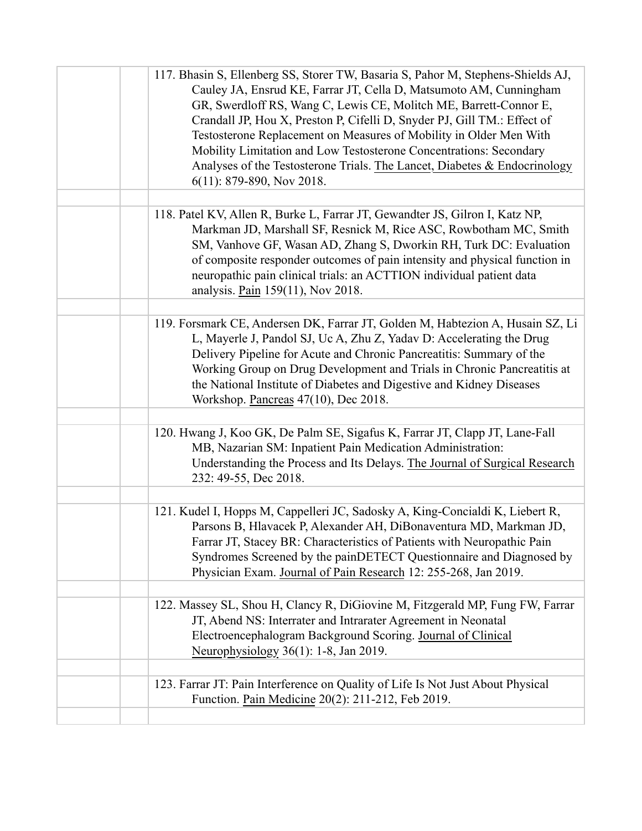| 117. Bhasin S, Ellenberg SS, Storer TW, Basaria S, Pahor M, Stephens-Shields AJ,<br>Cauley JA, Ensrud KE, Farrar JT, Cella D, Matsumoto AM, Cunningham<br>GR, Swerdloff RS, Wang C, Lewis CE, Molitch ME, Barrett-Connor E,<br>Crandall JP, Hou X, Preston P, Cifelli D, Snyder PJ, Gill TM.: Effect of<br>Testosterone Replacement on Measures of Mobility in Older Men With<br>Mobility Limitation and Low Testosterone Concentrations: Secondary<br>Analyses of the Testosterone Trials. The Lancet, Diabetes & Endocrinology<br>$6(11)$ : 879-890, Nov 2018. |
|------------------------------------------------------------------------------------------------------------------------------------------------------------------------------------------------------------------------------------------------------------------------------------------------------------------------------------------------------------------------------------------------------------------------------------------------------------------------------------------------------------------------------------------------------------------|
|                                                                                                                                                                                                                                                                                                                                                                                                                                                                                                                                                                  |
| 118. Patel KV, Allen R, Burke L, Farrar JT, Gewandter JS, Gilron I, Katz NP,<br>Markman JD, Marshall SF, Resnick M, Rice ASC, Rowbotham MC, Smith<br>SM, Vanhove GF, Wasan AD, Zhang S, Dworkin RH, Turk DC: Evaluation<br>of composite responder outcomes of pain intensity and physical function in<br>neuropathic pain clinical trials: an ACTTION individual patient data<br>analysis. Pain 159(11), Nov 2018.                                                                                                                                               |
|                                                                                                                                                                                                                                                                                                                                                                                                                                                                                                                                                                  |
| 119. Forsmark CE, Andersen DK, Farrar JT, Golden M, Habtezion A, Husain SZ, Li<br>L, Mayerle J, Pandol SJ, Uc A, Zhu Z, Yadav D: Accelerating the Drug<br>Delivery Pipeline for Acute and Chronic Pancreatitis: Summary of the<br>Working Group on Drug Development and Trials in Chronic Pancreatitis at<br>the National Institute of Diabetes and Digestive and Kidney Diseases<br>Workshop. Pancreas 47(10), Dec 2018.                                                                                                                                        |
|                                                                                                                                                                                                                                                                                                                                                                                                                                                                                                                                                                  |
| 120. Hwang J, Koo GK, De Palm SE, Sigafus K, Farrar JT, Clapp JT, Lane-Fall<br>MB, Nazarian SM: Inpatient Pain Medication Administration:<br>Understanding the Process and Its Delays. The Journal of Surgical Research<br>232: 49-55, Dec 2018.                                                                                                                                                                                                                                                                                                                 |
|                                                                                                                                                                                                                                                                                                                                                                                                                                                                                                                                                                  |
| 121. Kudel I, Hopps M, Cappelleri JC, Sadosky A, King-Concialdi K, Liebert R,<br>Parsons B, Hlavacek P, Alexander AH, DiBonaventura MD, Markman JD,<br>Farrar JT, Stacey BR: Characteristics of Patients with Neuropathic Pain<br>Syndromes Screened by the painDETECT Questionnaire and Diagnosed by<br>Physician Exam. Journal of Pain Research 12: 255-268, Jan 2019.                                                                                                                                                                                         |
|                                                                                                                                                                                                                                                                                                                                                                                                                                                                                                                                                                  |
| 122. Massey SL, Shou H, Clancy R, DiGiovine M, Fitzgerald MP, Fung FW, Farrar<br>JT, Abend NS: Interrater and Intrarater Agreement in Neonatal<br>Electroencephalogram Background Scoring. Journal of Clinical<br>Neurophysiology 36(1): 1-8, Jan 2019.                                                                                                                                                                                                                                                                                                          |
|                                                                                                                                                                                                                                                                                                                                                                                                                                                                                                                                                                  |
| 123. Farrar JT: Pain Interference on Quality of Life Is Not Just About Physical<br>Function. Pain Medicine 20(2): 211-212, Feb 2019.                                                                                                                                                                                                                                                                                                                                                                                                                             |
|                                                                                                                                                                                                                                                                                                                                                                                                                                                                                                                                                                  |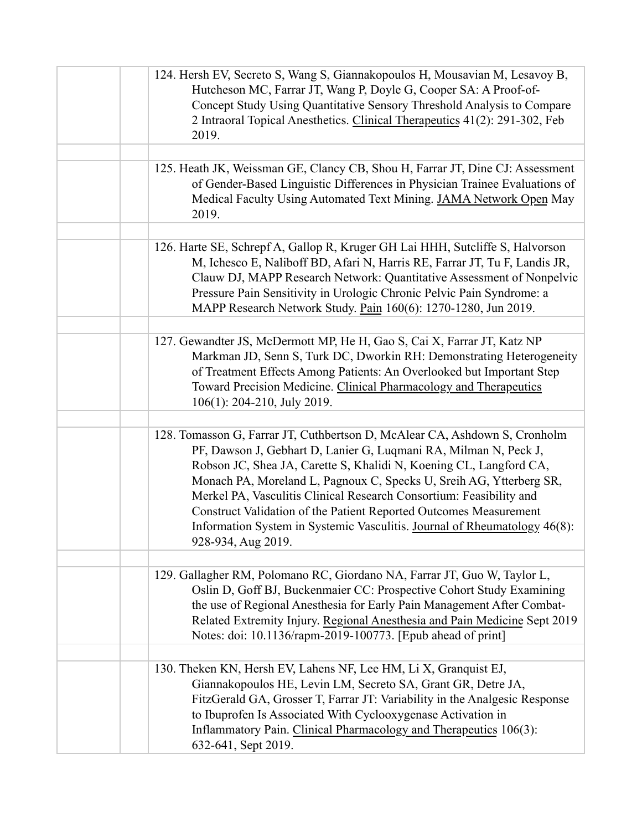| 124. Hersh EV, Secreto S, Wang S, Giannakopoulos H, Mousavian M, Lesavoy B,<br>Hutcheson MC, Farrar JT, Wang P, Doyle G, Cooper SA: A Proof-of-<br>Concept Study Using Quantitative Sensory Threshold Analysis to Compare<br>2 Intraoral Topical Anesthetics. Clinical Therapeutics 41(2): 291-302, Feb<br>2019.                                                                                                                                                                                                                           |
|--------------------------------------------------------------------------------------------------------------------------------------------------------------------------------------------------------------------------------------------------------------------------------------------------------------------------------------------------------------------------------------------------------------------------------------------------------------------------------------------------------------------------------------------|
| 125. Heath JK, Weissman GE, Clancy CB, Shou H, Farrar JT, Dine CJ: Assessment<br>of Gender-Based Linguistic Differences in Physician Trainee Evaluations of<br>Medical Faculty Using Automated Text Mining. JAMA Network Open May<br>2019.                                                                                                                                                                                                                                                                                                 |
| 126. Harte SE, Schrepf A, Gallop R, Kruger GH Lai HHH, Sutcliffe S, Halvorson<br>M, Ichesco E, Naliboff BD, Afari N, Harris RE, Farrar JT, Tu F, Landis JR,<br>Clauw DJ, MAPP Research Network: Quantitative Assessment of Nonpelvic<br>Pressure Pain Sensitivity in Urologic Chronic Pelvic Pain Syndrome: a<br>MAPP Research Network Study. Pain 160(6): 1270-1280, Jun 2019.                                                                                                                                                            |
| 127. Gewandter JS, McDermott MP, He H, Gao S, Cai X, Farrar JT, Katz NP<br>Markman JD, Senn S, Turk DC, Dworkin RH: Demonstrating Heterogeneity<br>of Treatment Effects Among Patients: An Overlooked but Important Step<br>Toward Precision Medicine. Clinical Pharmacology and Therapeutics<br>106(1): 204-210, July 2019.                                                                                                                                                                                                               |
| 128. Tomasson G, Farrar JT, Cuthbertson D, McAlear CA, Ashdown S, Cronholm<br>PF, Dawson J, Gebhart D, Lanier G, Luqmani RA, Milman N, Peck J,<br>Robson JC, Shea JA, Carette S, Khalidi N, Koening CL, Langford CA,<br>Monach PA, Moreland L, Pagnoux C, Specks U, Sreih AG, Ytterberg SR,<br>Merkel PA, Vasculitis Clinical Research Consortium: Feasibility and<br>Construct Validation of the Patient Reported Outcomes Measurement<br>Information System in Systemic Vasculitis. Journal of Rheumatology 46(8):<br>928-934, Aug 2019. |
| 129. Gallagher RM, Polomano RC, Giordano NA, Farrar JT, Guo W, Taylor L,<br>Oslin D, Goff BJ, Buckenmaier CC: Prospective Cohort Study Examining<br>the use of Regional Anesthesia for Early Pain Management After Combat-<br>Related Extremity Injury. Regional Anesthesia and Pain Medicine Sept 2019<br>Notes: doi: 10.1136/rapm-2019-100773. [Epub ahead of print]                                                                                                                                                                     |
| 130. Theken KN, Hersh EV, Lahens NF, Lee HM, Li X, Granquist EJ,<br>Giannakopoulos HE, Levin LM, Secreto SA, Grant GR, Detre JA,<br>FitzGerald GA, Grosser T, Farrar JT: Variability in the Analgesic Response<br>to Ibuprofen Is Associated With Cyclooxygenase Activation in<br>Inflammatory Pain. Clinical Pharmacology and Therapeutics 106(3):<br>632-641, Sept 2019.                                                                                                                                                                 |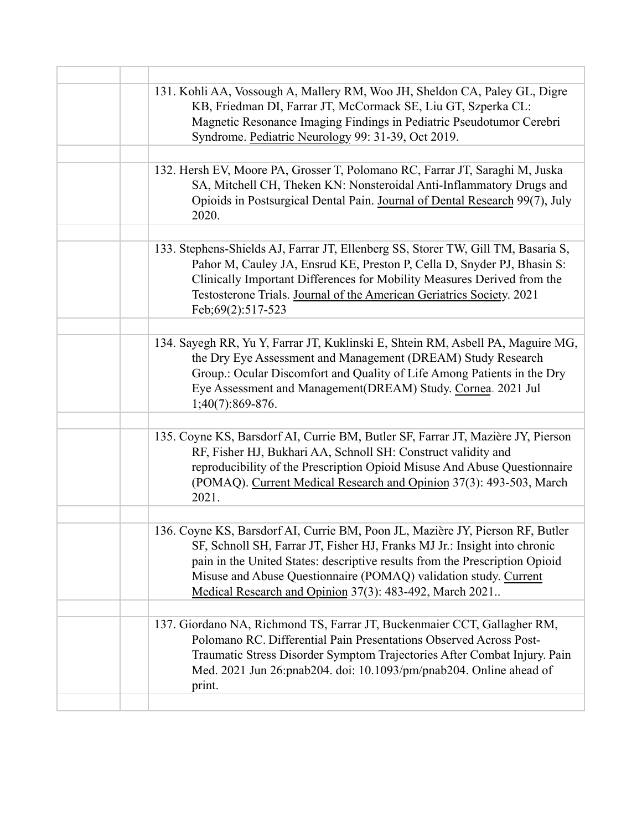| 131. Kohli AA, Vossough A, Mallery RM, Woo JH, Sheldon CA, Paley GL, Digre<br>KB, Friedman DI, Farrar JT, McCormack SE, Liu GT, Szperka CL:<br>Magnetic Resonance Imaging Findings in Pediatric Pseudotumor Cerebri<br>Syndrome. Pediatric Neurology 99: 31-39, Oct 2019.                                                                                                 |
|---------------------------------------------------------------------------------------------------------------------------------------------------------------------------------------------------------------------------------------------------------------------------------------------------------------------------------------------------------------------------|
| 132. Hersh EV, Moore PA, Grosser T, Polomano RC, Farrar JT, Saraghi M, Juska<br>SA, Mitchell CH, Theken KN: Nonsteroidal Anti-Inflammatory Drugs and<br>Opioids in Postsurgical Dental Pain. Journal of Dental Research 99(7), July<br>2020.                                                                                                                              |
| 133. Stephens-Shields AJ, Farrar JT, Ellenberg SS, Storer TW, Gill TM, Basaria S,<br>Pahor M, Cauley JA, Ensrud KE, Preston P, Cella D, Snyder PJ, Bhasin S:<br>Clinically Important Differences for Mobility Measures Derived from the<br>Testosterone Trials. Journal of the American Geriatrics Society. 2021<br>Feb;69(2):517-523                                     |
| 134. Sayegh RR, Yu Y, Farrar JT, Kuklinski E, Shtein RM, Asbell PA, Maguire MG,<br>the Dry Eye Assessment and Management (DREAM) Study Research<br>Group.: Ocular Discomfort and Quality of Life Among Patients in the Dry<br>Eye Assessment and Management(DREAM) Study. Cornea. 2021 Jul<br>1;40(7):869-876.                                                            |
| 135. Coyne KS, Barsdorf AI, Currie BM, Butler SF, Farrar JT, Mazière JY, Pierson<br>RF, Fisher HJ, Bukhari AA, Schnoll SH: Construct validity and<br>reproducibility of the Prescription Opioid Misuse And Abuse Questionnaire<br>(POMAQ). Current Medical Research and Opinion 37(3): 493-503, March<br>2021.                                                            |
| 136. Coyne KS, Barsdorf AI, Currie BM, Poon JL, Mazière JY, Pierson RF, Butler<br>SF, Schnoll SH, Farrar JT, Fisher HJ, Franks MJ Jr.: Insight into chronic<br>pain in the United States: descriptive results from the Prescription Opioid<br>Misuse and Abuse Questionnaire (POMAQ) validation study. Current<br>Medical Research and Opinion 37(3): 483-492, March 2021 |
| 137. Giordano NA, Richmond TS, Farrar JT, Buckenmaier CCT, Gallagher RM,<br>Polomano RC. Differential Pain Presentations Observed Across Post-<br>Traumatic Stress Disorder Symptom Trajectories After Combat Injury. Pain<br>Med. 2021 Jun 26:pnab204. doi: 10.1093/pm/pnab204. Online ahead of<br>print.                                                                |
|                                                                                                                                                                                                                                                                                                                                                                           |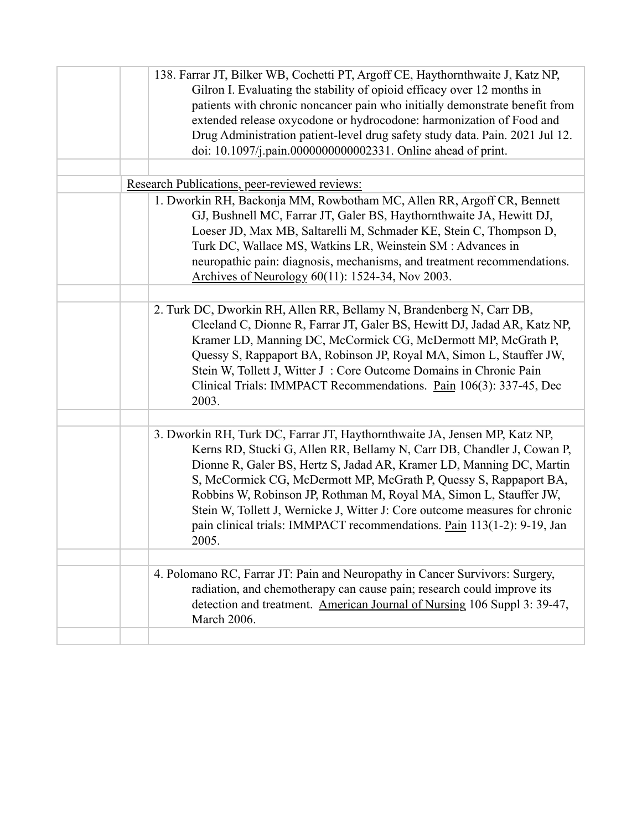| 138. Farrar JT, Bilker WB, Cochetti PT, Argoff CE, Haythornthwaite J, Katz NP,<br>Gilron I. Evaluating the stability of opioid efficacy over 12 months in<br>patients with chronic noncancer pain who initially demonstrate benefit from<br>extended release oxycodone or hydrocodone: harmonization of Food and<br>Drug Administration patient-level drug safety study data. Pain. 2021 Jul 12.<br>doi: 10.1097/j.pain.000000000002331. Online ahead of print.                                                                            |
|--------------------------------------------------------------------------------------------------------------------------------------------------------------------------------------------------------------------------------------------------------------------------------------------------------------------------------------------------------------------------------------------------------------------------------------------------------------------------------------------------------------------------------------------|
| Research Publications, peer-reviewed reviews:                                                                                                                                                                                                                                                                                                                                                                                                                                                                                              |
| 1. Dworkin RH, Backonja MM, Rowbotham MC, Allen RR, Argoff CR, Bennett<br>GJ, Bushnell MC, Farrar JT, Galer BS, Haythornthwaite JA, Hewitt DJ,<br>Loeser JD, Max MB, Saltarelli M, Schmader KE, Stein C, Thompson D,<br>Turk DC, Wallace MS, Watkins LR, Weinstein SM : Advances in<br>neuropathic pain: diagnosis, mechanisms, and treatment recommendations.<br>Archives of Neurology 60(11): 1524-34, Nov 2003.                                                                                                                         |
|                                                                                                                                                                                                                                                                                                                                                                                                                                                                                                                                            |
| 2. Turk DC, Dworkin RH, Allen RR, Bellamy N, Brandenberg N, Carr DB,<br>Cleeland C, Dionne R, Farrar JT, Galer BS, Hewitt DJ, Jadad AR, Katz NP,<br>Kramer LD, Manning DC, McCormick CG, McDermott MP, McGrath P,<br>Quessy S, Rappaport BA, Robinson JP, Royal MA, Simon L, Stauffer JW,<br>Stein W, Tollett J, Witter J: Core Outcome Domains in Chronic Pain<br>Clinical Trials: IMMPACT Recommendations. Pain 106(3): 337-45, Dec<br>2003.                                                                                             |
|                                                                                                                                                                                                                                                                                                                                                                                                                                                                                                                                            |
| 3. Dworkin RH, Turk DC, Farrar JT, Haythornthwaite JA, Jensen MP, Katz NP,<br>Kerns RD, Stucki G, Allen RR, Bellamy N, Carr DB, Chandler J, Cowan P,<br>Dionne R, Galer BS, Hertz S, Jadad AR, Kramer LD, Manning DC, Martin<br>S, McCormick CG, McDermott MP, McGrath P, Quessy S, Rappaport BA,<br>Robbins W, Robinson JP, Rothman M, Royal MA, Simon L, Stauffer JW,<br>Stein W, Tollett J, Wernicke J, Witter J: Core outcome measures for chronic<br>pain clinical trials: IMMPACT recommendations. Pain 113(1-2): 9-19, Jan<br>2005. |
|                                                                                                                                                                                                                                                                                                                                                                                                                                                                                                                                            |
| 4. Polomano RC, Farrar JT: Pain and Neuropathy in Cancer Survivors: Surgery,<br>radiation, and chemotherapy can cause pain; research could improve its<br>detection and treatment. American Journal of Nursing 106 Suppl 3: 39-47,<br>March 2006.                                                                                                                                                                                                                                                                                          |
|                                                                                                                                                                                                                                                                                                                                                                                                                                                                                                                                            |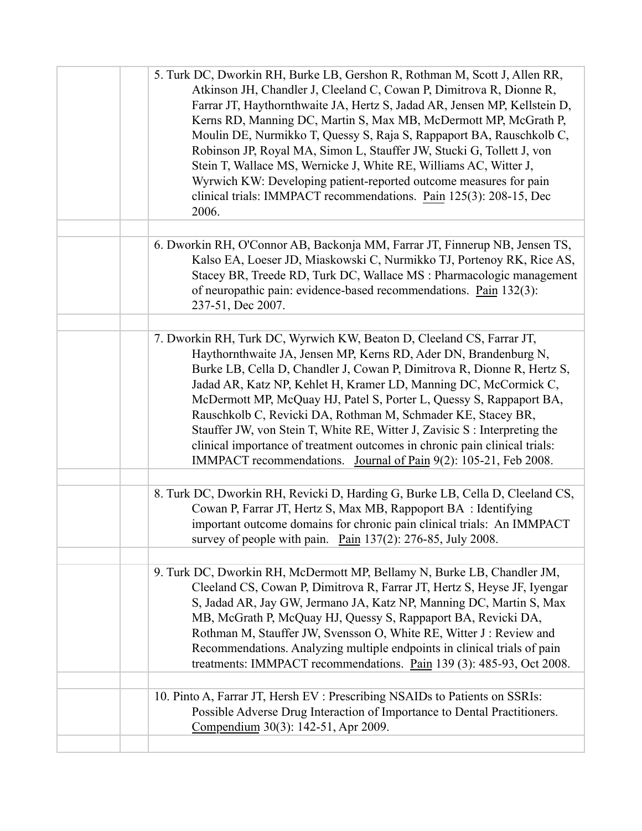| 5. Turk DC, Dworkin RH, Burke LB, Gershon R, Rothman M, Scott J, Allen RR,<br>Atkinson JH, Chandler J, Cleeland C, Cowan P, Dimitrova R, Dionne R,<br>Farrar JT, Haythornthwaite JA, Hertz S, Jadad AR, Jensen MP, Kellstein D,<br>Kerns RD, Manning DC, Martin S, Max MB, McDermott MP, McGrath P,<br>Moulin DE, Nurmikko T, Quessy S, Raja S, Rappaport BA, Rauschkolb C,<br>Robinson JP, Royal MA, Simon L, Stauffer JW, Stucki G, Tollett J, von<br>Stein T, Wallace MS, Wernicke J, White RE, Williams AC, Witter J,<br>Wyrwich KW: Developing patient-reported outcome measures for pain<br>clinical trials: IMMPACT recommendations. Pain 125(3): 208-15, Dec<br>2006. |
|-------------------------------------------------------------------------------------------------------------------------------------------------------------------------------------------------------------------------------------------------------------------------------------------------------------------------------------------------------------------------------------------------------------------------------------------------------------------------------------------------------------------------------------------------------------------------------------------------------------------------------------------------------------------------------|
| 6. Dworkin RH, O'Connor AB, Backonja MM, Farrar JT, Finnerup NB, Jensen TS,                                                                                                                                                                                                                                                                                                                                                                                                                                                                                                                                                                                                   |
| Kalso EA, Loeser JD, Miaskowski C, Nurmikko TJ, Portenoy RK, Rice AS,<br>Stacey BR, Treede RD, Turk DC, Wallace MS : Pharmacologic management<br>of neuropathic pain: evidence-based recommendations. Pain 132(3):<br>237-51, Dec 2007.                                                                                                                                                                                                                                                                                                                                                                                                                                       |
| 7. Dworkin RH, Turk DC, Wyrwich KW, Beaton D, Cleeland CS, Farrar JT,                                                                                                                                                                                                                                                                                                                                                                                                                                                                                                                                                                                                         |
| Haythornthwaite JA, Jensen MP, Kerns RD, Ader DN, Brandenburg N,<br>Burke LB, Cella D, Chandler J, Cowan P, Dimitrova R, Dionne R, Hertz S,<br>Jadad AR, Katz NP, Kehlet H, Kramer LD, Manning DC, McCormick C,<br>McDermott MP, McQuay HJ, Patel S, Porter L, Quessy S, Rappaport BA,<br>Rauschkolb C, Revicki DA, Rothman M, Schmader KE, Stacey BR,<br>Stauffer JW, von Stein T, White RE, Witter J, Zavisic S : Interpreting the<br>clinical importance of treatment outcomes in chronic pain clinical trials:<br>IMMPACT recommendations. Journal of Pain 9(2): 105-21, Feb 2008.                                                                                        |
| 8. Turk DC, Dworkin RH, Revicki D, Harding G, Burke LB, Cella D, Cleeland CS,<br>Cowan P, Farrar JT, Hertz S, Max MB, Rappoport BA : Identifying<br>important outcome domains for chronic pain clinical trials: An IMMPACT<br>survey of people with pain. Pain 137(2): 276-85, July 2008.                                                                                                                                                                                                                                                                                                                                                                                     |
| 9. Turk DC, Dworkin RH, McDermott MP, Bellamy N, Burke LB, Chandler JM,                                                                                                                                                                                                                                                                                                                                                                                                                                                                                                                                                                                                       |
| Cleeland CS, Cowan P, Dimitrova R, Farrar JT, Hertz S, Heyse JF, Iyengar<br>S, Jadad AR, Jay GW, Jermano JA, Katz NP, Manning DC, Martin S, Max<br>MB, McGrath P, McQuay HJ, Quessy S, Rappaport BA, Revicki DA,<br>Rothman M, Stauffer JW, Svensson O, White RE, Witter J: Review and<br>Recommendations. Analyzing multiple endpoints in clinical trials of pain<br>treatments: IMMPACT recommendations. Pain 139 (3): 485-93, Oct 2008.                                                                                                                                                                                                                                    |
| 10. Pinto A, Farrar JT, Hersh EV: Prescribing NSAIDs to Patients on SSRIs:<br>Possible Adverse Drug Interaction of Importance to Dental Practitioners.<br>Compendium 30(3): 142-51, Apr 2009.                                                                                                                                                                                                                                                                                                                                                                                                                                                                                 |
|                                                                                                                                                                                                                                                                                                                                                                                                                                                                                                                                                                                                                                                                               |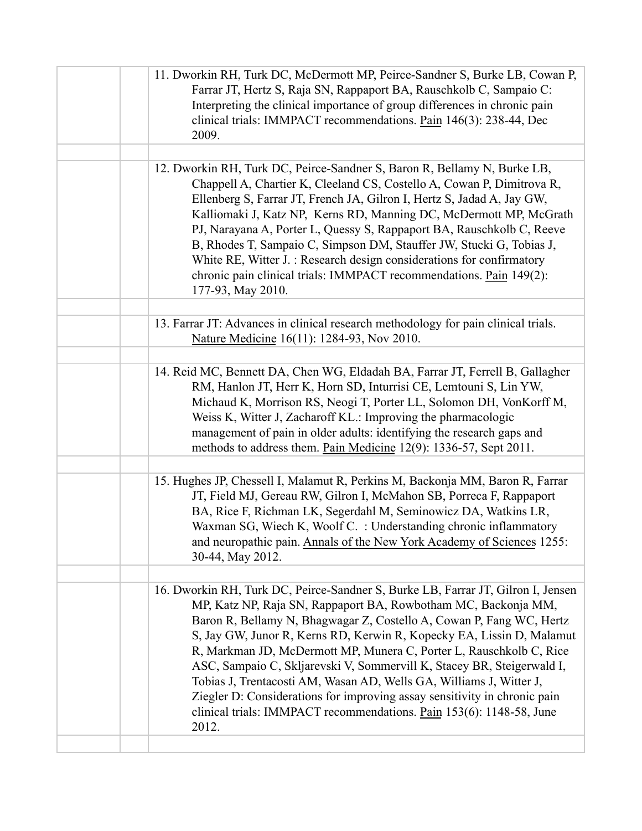| 11. Dworkin RH, Turk DC, McDermott MP, Peirce-Sandner S, Burke LB, Cowan P,<br>Farrar JT, Hertz S, Raja SN, Rappaport BA, Rauschkolb C, Sampaio C:<br>Interpreting the clinical importance of group differences in chronic pain<br>clinical trials: IMMPACT recommendations. Pain 146(3): 238-44, Dec<br>2009.                                                                                                                                                                                                                                                                                                                                                                            |
|-------------------------------------------------------------------------------------------------------------------------------------------------------------------------------------------------------------------------------------------------------------------------------------------------------------------------------------------------------------------------------------------------------------------------------------------------------------------------------------------------------------------------------------------------------------------------------------------------------------------------------------------------------------------------------------------|
|                                                                                                                                                                                                                                                                                                                                                                                                                                                                                                                                                                                                                                                                                           |
| 12. Dworkin RH, Turk DC, Peirce-Sandner S, Baron R, Bellamy N, Burke LB,<br>Chappell A, Chartier K, Cleeland CS, Costello A, Cowan P, Dimitrova R,<br>Ellenberg S, Farrar JT, French JA, Gilron I, Hertz S, Jadad A, Jay GW,<br>Kalliomaki J, Katz NP, Kerns RD, Manning DC, McDermott MP, McGrath<br>PJ, Narayana A, Porter L, Quessy S, Rappaport BA, Rauschkolb C, Reeve<br>B, Rhodes T, Sampaio C, Simpson DM, Stauffer JW, Stucki G, Tobias J,<br>White RE, Witter J.: Research design considerations for confirmatory<br>chronic pain clinical trials: IMMPACT recommendations. Pain 149(2):<br>177-93, May 2010.                                                                   |
| 13. Farrar JT: Advances in clinical research methodology for pain clinical trials.<br>Nature Medicine 16(11): 1284-93, Nov 2010.                                                                                                                                                                                                                                                                                                                                                                                                                                                                                                                                                          |
|                                                                                                                                                                                                                                                                                                                                                                                                                                                                                                                                                                                                                                                                                           |
| 14. Reid MC, Bennett DA, Chen WG, Eldadah BA, Farrar JT, Ferrell B, Gallagher<br>RM, Hanlon JT, Herr K, Horn SD, Inturrisi CE, Lemtouni S, Lin YW,<br>Michaud K, Morrison RS, Neogi T, Porter LL, Solomon DH, VonKorff M,<br>Weiss K, Witter J, Zacharoff KL.: Improving the pharmacologic<br>management of pain in older adults: identifying the research gaps and<br>methods to address them. Pain Medicine 12(9): 1336-57, Sept 2011.                                                                                                                                                                                                                                                  |
|                                                                                                                                                                                                                                                                                                                                                                                                                                                                                                                                                                                                                                                                                           |
| 15. Hughes JP, Chessell I, Malamut R, Perkins M, Backonja MM, Baron R, Farrar<br>JT, Field MJ, Gereau RW, Gilron I, McMahon SB, Porreca F, Rappaport<br>BA, Rice F, Richman LK, Segerdahl M, Seminowicz DA, Watkins LR,<br>Waxman SG, Wiech K, Woolf C. : Understanding chronic inflammatory<br>and neuropathic pain. Annals of the New York Academy of Sciences 1255:<br>30-44, May 2012.                                                                                                                                                                                                                                                                                                |
|                                                                                                                                                                                                                                                                                                                                                                                                                                                                                                                                                                                                                                                                                           |
| 16. Dworkin RH, Turk DC, Peirce-Sandner S, Burke LB, Farrar JT, Gilron I, Jensen<br>MP, Katz NP, Raja SN, Rappaport BA, Rowbotham MC, Backonja MM,<br>Baron R, Bellamy N, Bhagwagar Z, Costello A, Cowan P, Fang WC, Hertz<br>S, Jay GW, Junor R, Kerns RD, Kerwin R, Kopecky EA, Lissin D, Malamut<br>R, Markman JD, McDermott MP, Munera C, Porter L, Rauschkolb C, Rice<br>ASC, Sampaio C, Skljarevski V, Sommervill K, Stacey BR, Steigerwald I,<br>Tobias J, Trentacosti AM, Wasan AD, Wells GA, Williams J, Witter J,<br>Ziegler D: Considerations for improving assay sensitivity in chronic pain<br>clinical trials: IMMPACT recommendations. Pain 153(6): 1148-58, June<br>2012. |
|                                                                                                                                                                                                                                                                                                                                                                                                                                                                                                                                                                                                                                                                                           |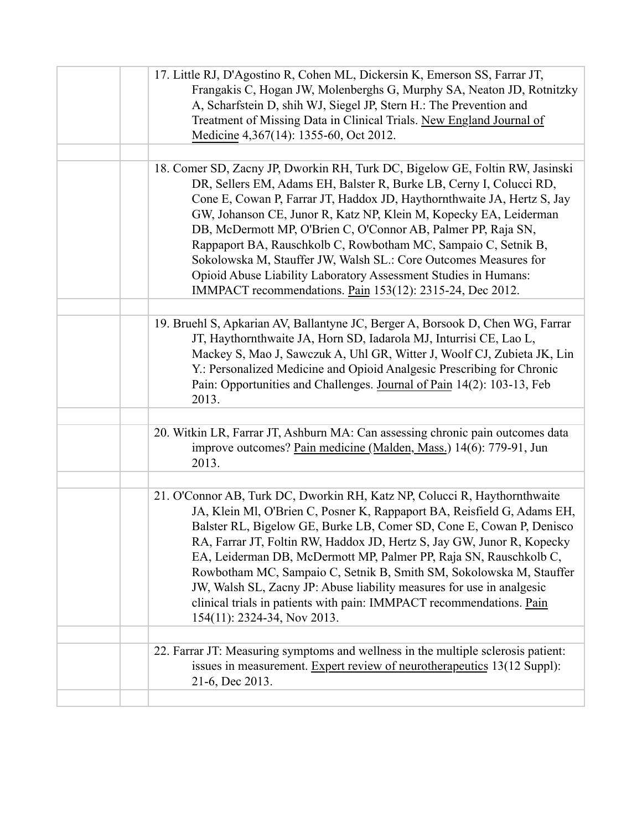| 17. Little RJ, D'Agostino R, Cohen ML, Dickersin K, Emerson SS, Farrar JT,<br>Frangakis C, Hogan JW, Molenberghs G, Murphy SA, Neaton JD, Rotnitzky<br>A, Scharfstein D, shih WJ, Siegel JP, Stern H.: The Prevention and<br>Treatment of Missing Data in Clinical Trials. New England Journal of<br>Medicine 4,367(14): 1355-60, Oct 2012.                                                                                                                                                                                                                                                                                                |
|--------------------------------------------------------------------------------------------------------------------------------------------------------------------------------------------------------------------------------------------------------------------------------------------------------------------------------------------------------------------------------------------------------------------------------------------------------------------------------------------------------------------------------------------------------------------------------------------------------------------------------------------|
| 18. Comer SD, Zacny JP, Dworkin RH, Turk DC, Bigelow GE, Foltin RW, Jasinski<br>DR, Sellers EM, Adams EH, Balster R, Burke LB, Cerny I, Colucci RD,<br>Cone E, Cowan P, Farrar JT, Haddox JD, Haythornthwaite JA, Hertz S, Jay<br>GW, Johanson CE, Junor R, Katz NP, Klein M, Kopecky EA, Leiderman<br>DB, McDermott MP, O'Brien C, O'Connor AB, Palmer PP, Raja SN,<br>Rappaport BA, Rauschkolb C, Rowbotham MC, Sampaio C, Setnik B,<br>Sokolowska M, Stauffer JW, Walsh SL.: Core Outcomes Measures for<br>Opioid Abuse Liability Laboratory Assessment Studies in Humans:<br>IMMPACT recommendations. Pain 153(12): 2315-24, Dec 2012. |
|                                                                                                                                                                                                                                                                                                                                                                                                                                                                                                                                                                                                                                            |
| 19. Bruehl S, Apkarian AV, Ballantyne JC, Berger A, Borsook D, Chen WG, Farrar<br>JT, Haythornthwaite JA, Horn SD, Iadarola MJ, Inturrisi CE, Lao L,<br>Mackey S, Mao J, Sawczuk A, Uhl GR, Witter J, Woolf CJ, Zubieta JK, Lin<br>Y.: Personalized Medicine and Opioid Analgesic Prescribing for Chronic<br>Pain: Opportunities and Challenges. Journal of Pain 14(2): 103-13, Feb<br>2013.                                                                                                                                                                                                                                               |
|                                                                                                                                                                                                                                                                                                                                                                                                                                                                                                                                                                                                                                            |
| 20. Witkin LR, Farrar JT, Ashburn MA: Can assessing chronic pain outcomes data<br>improve outcomes? Pain medicine (Malden, Mass.) 14(6): 779-91, Jun<br>2013.                                                                                                                                                                                                                                                                                                                                                                                                                                                                              |
|                                                                                                                                                                                                                                                                                                                                                                                                                                                                                                                                                                                                                                            |
| 21. O'Connor AB, Turk DC, Dworkin RH, Katz NP, Colucci R, Haythornthwaite<br>JA, Klein Ml, O'Brien C, Posner K, Rappaport BA, Reisfield G, Adams EH,<br>Balster RL, Bigelow GE, Burke LB, Comer SD, Cone E, Cowan P, Denisco<br>RA, Farrar JT, Foltin RW, Haddox JD, Hertz S, Jay GW, Junor R, Kopecky<br>EA, Leiderman DB, McDermott MP, Palmer PP, Raja SN, Rauschkolb C,<br>Rowbotham MC, Sampaio C, Setnik B, Smith SM, Sokolowska M, Stauffer<br>JW, Walsh SL, Zacny JP: Abuse liability measures for use in analgesic<br>clinical trials in patients with pain: IMMPACT recommendations. Pain<br>154(11): 2324-34, Nov 2013.         |
|                                                                                                                                                                                                                                                                                                                                                                                                                                                                                                                                                                                                                                            |
| 22. Farrar JT: Measuring symptoms and wellness in the multiple sclerosis patient:<br>issues in measurement. Expert review of neurotherapeutics 13(12 Suppl):<br>21-6, Dec 2013.                                                                                                                                                                                                                                                                                                                                                                                                                                                            |
|                                                                                                                                                                                                                                                                                                                                                                                                                                                                                                                                                                                                                                            |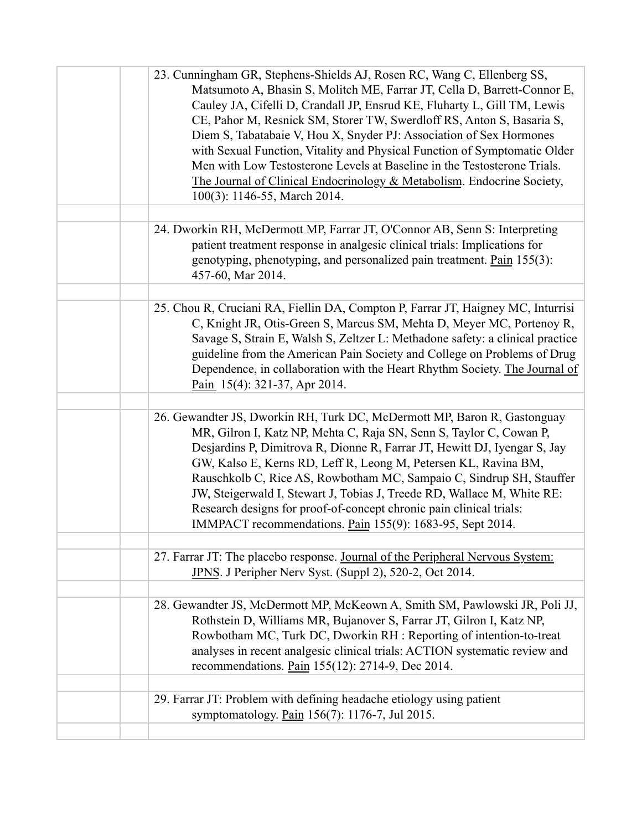| 23. Cunningham GR, Stephens-Shields AJ, Rosen RC, Wang C, Ellenberg SS,<br>Matsumoto A, Bhasin S, Molitch ME, Farrar JT, Cella D, Barrett-Connor E,<br>Cauley JA, Cifelli D, Crandall JP, Ensrud KE, Fluharty L, Gill TM, Lewis<br>CE, Pahor M, Resnick SM, Storer TW, Swerdloff RS, Anton S, Basaria S,<br>Diem S, Tabatabaie V, Hou X, Snyder PJ: Association of Sex Hormones<br>with Sexual Function, Vitality and Physical Function of Symptomatic Older<br>Men with Low Testosterone Levels at Baseline in the Testosterone Trials.<br>The Journal of Clinical Endocrinology & Metabolism. Endocrine Society,<br>100(3): 1146-55, March 2014. |
|----------------------------------------------------------------------------------------------------------------------------------------------------------------------------------------------------------------------------------------------------------------------------------------------------------------------------------------------------------------------------------------------------------------------------------------------------------------------------------------------------------------------------------------------------------------------------------------------------------------------------------------------------|
| 24. Dworkin RH, McDermott MP, Farrar JT, O'Connor AB, Senn S: Interpreting                                                                                                                                                                                                                                                                                                                                                                                                                                                                                                                                                                         |
| patient treatment response in analgesic clinical trials: Implications for<br>genotyping, phenotyping, and personalized pain treatment. Pain 155(3):<br>457-60, Mar 2014.                                                                                                                                                                                                                                                                                                                                                                                                                                                                           |
|                                                                                                                                                                                                                                                                                                                                                                                                                                                                                                                                                                                                                                                    |
| 25. Chou R, Cruciani RA, Fiellin DA, Compton P, Farrar JT, Haigney MC, Inturrisi<br>C, Knight JR, Otis-Green S, Marcus SM, Mehta D, Meyer MC, Portenoy R,<br>Savage S, Strain E, Walsh S, Zeltzer L: Methadone safety: a clinical practice<br>guideline from the American Pain Society and College on Problems of Drug<br>Dependence, in collaboration with the Heart Rhythm Society. The Journal of<br>Pain 15(4): 321-37, Apr 2014.                                                                                                                                                                                                              |
|                                                                                                                                                                                                                                                                                                                                                                                                                                                                                                                                                                                                                                                    |
| 26. Gewandter JS, Dworkin RH, Turk DC, McDermott MP, Baron R, Gastonguay<br>MR, Gilron I, Katz NP, Mehta C, Raja SN, Senn S, Taylor C, Cowan P,<br>Desjardins P, Dimitrova R, Dionne R, Farrar JT, Hewitt DJ, Iyengar S, Jay<br>GW, Kalso E, Kerns RD, Leff R, Leong M, Petersen KL, Ravina BM,<br>Rauschkolb C, Rice AS, Rowbotham MC, Sampaio C, Sindrup SH, Stauffer<br>JW, Steigerwald I, Stewart J, Tobias J, Treede RD, Wallace M, White RE:<br>Research designs for proof-of-concept chronic pain clinical trials:<br>IMMPACT recommendations. Pain 155(9): 1683-95, Sept 2014.                                                             |
|                                                                                                                                                                                                                                                                                                                                                                                                                                                                                                                                                                                                                                                    |
| 27. Farrar JT: The placebo response. Journal of the Peripheral Nervous System:<br>JPNS. J Peripher Nerv Syst. (Suppl 2), 520-2, Oct 2014.                                                                                                                                                                                                                                                                                                                                                                                                                                                                                                          |
| 28. Gewandter JS, McDermott MP, McKeown A, Smith SM, Pawlowski JR, Poli JJ,<br>Rothstein D, Williams MR, Bujanover S, Farrar JT, Gilron I, Katz NP,<br>Rowbotham MC, Turk DC, Dworkin RH : Reporting of intention-to-treat<br>analyses in recent analgesic clinical trials: ACTION systematic review and<br>recommendations. Pain 155(12): 2714-9, Dec 2014.                                                                                                                                                                                                                                                                                       |
|                                                                                                                                                                                                                                                                                                                                                                                                                                                                                                                                                                                                                                                    |
| 29. Farrar JT: Problem with defining headache etiology using patient<br>symptomatology. Pain 156(7): 1176-7, Jul 2015.                                                                                                                                                                                                                                                                                                                                                                                                                                                                                                                             |
|                                                                                                                                                                                                                                                                                                                                                                                                                                                                                                                                                                                                                                                    |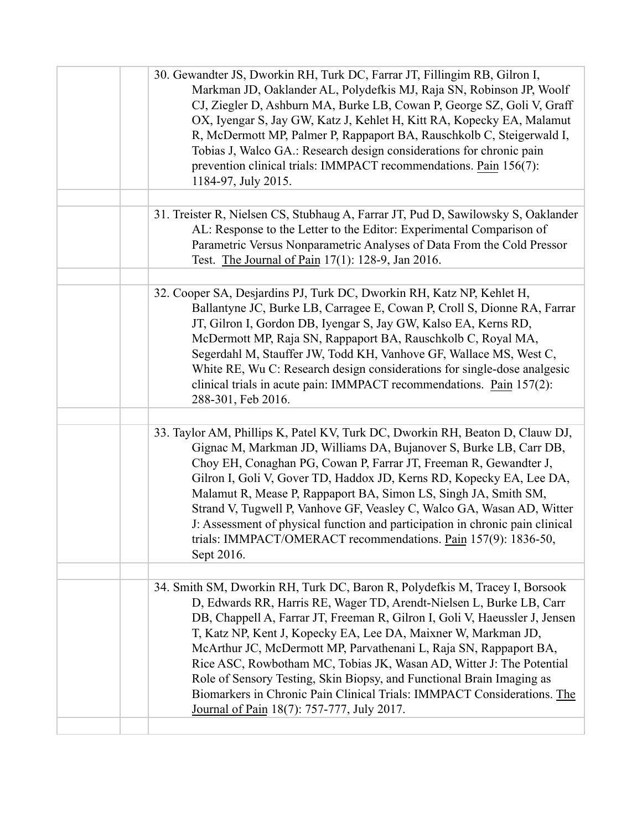| 30. Gewandter JS, Dworkin RH, Turk DC, Farrar JT, Fillingim RB, Gilron I,<br>Markman JD, Oaklander AL, Polydefkis MJ, Raja SN, Robinson JP, Woolf<br>CJ, Ziegler D, Ashburn MA, Burke LB, Cowan P, George SZ, Goli V, Graff<br>OX, Iyengar S, Jay GW, Katz J, Kehlet H, Kitt RA, Kopecky EA, Malamut<br>R, McDermott MP, Palmer P, Rappaport BA, Rauschkolb C, Steigerwald I,<br>Tobias J, Walco GA.: Research design considerations for chronic pain<br>prevention clinical trials: IMMPACT recommendations. Pain 156(7):<br>1184-97, July 2015.                                                                                                   |
|-----------------------------------------------------------------------------------------------------------------------------------------------------------------------------------------------------------------------------------------------------------------------------------------------------------------------------------------------------------------------------------------------------------------------------------------------------------------------------------------------------------------------------------------------------------------------------------------------------------------------------------------------------|
|                                                                                                                                                                                                                                                                                                                                                                                                                                                                                                                                                                                                                                                     |
| 31. Treister R, Nielsen CS, Stubhaug A, Farrar JT, Pud D, Sawilowsky S, Oaklander<br>AL: Response to the Letter to the Editor: Experimental Comparison of<br>Parametric Versus Nonparametric Analyses of Data From the Cold Pressor<br>Test. The Journal of Pain 17(1): 128-9, Jan 2016.                                                                                                                                                                                                                                                                                                                                                            |
|                                                                                                                                                                                                                                                                                                                                                                                                                                                                                                                                                                                                                                                     |
| 32. Cooper SA, Desjardins PJ, Turk DC, Dworkin RH, Katz NP, Kehlet H,<br>Ballantyne JC, Burke LB, Carragee E, Cowan P, Croll S, Dionne RA, Farrar<br>JT, Gilron I, Gordon DB, Iyengar S, Jay GW, Kalso EA, Kerns RD,<br>McDermott MP, Raja SN, Rappaport BA, Rauschkolb C, Royal MA,<br>Segerdahl M, Stauffer JW, Todd KH, Vanhove GF, Wallace MS, West C,<br>White RE, Wu C: Research design considerations for single-dose analgesic<br>clinical trials in acute pain: IMMPACT recommendations. Pain 157(2):<br>288-301, Feb 2016.                                                                                                                |
|                                                                                                                                                                                                                                                                                                                                                                                                                                                                                                                                                                                                                                                     |
| 33. Taylor AM, Phillips K, Patel KV, Turk DC, Dworkin RH, Beaton D, Clauw DJ,<br>Gignac M, Markman JD, Williams DA, Bujanover S, Burke LB, Carr DB,<br>Choy EH, Conaghan PG, Cowan P, Farrar JT, Freeman R, Gewandter J,<br>Gilron I, Goli V, Gover TD, Haddox JD, Kerns RD, Kopecky EA, Lee DA,<br>Malamut R, Mease P, Rappaport BA, Simon LS, Singh JA, Smith SM,<br>Strand V, Tugwell P, Vanhove GF, Veasley C, Walco GA, Wasan AD, Witter<br>J: Assessment of physical function and participation in chronic pain clinical<br>trials: IMMPACT/OMERACT recommendations. Pain 157(9): 1836-50,<br>Sept 2016.                                      |
|                                                                                                                                                                                                                                                                                                                                                                                                                                                                                                                                                                                                                                                     |
| 34. Smith SM, Dworkin RH, Turk DC, Baron R, Polydefkis M, Tracey I, Borsook<br>D, Edwards RR, Harris RE, Wager TD, Arendt-Nielsen L, Burke LB, Carr<br>DB, Chappell A, Farrar JT, Freeman R, Gilron I, Goli V, Haeussler J, Jensen<br>T, Katz NP, Kent J, Kopecky EA, Lee DA, Maixner W, Markman JD,<br>McArthur JC, McDermott MP, Parvathenani L, Raja SN, Rappaport BA,<br>Rice ASC, Rowbotham MC, Tobias JK, Wasan AD, Witter J: The Potential<br>Role of Sensory Testing, Skin Biopsy, and Functional Brain Imaging as<br>Biomarkers in Chronic Pain Clinical Trials: IMMPACT Considerations. The<br>Journal of Pain 18(7): 757-777, July 2017. |
|                                                                                                                                                                                                                                                                                                                                                                                                                                                                                                                                                                                                                                                     |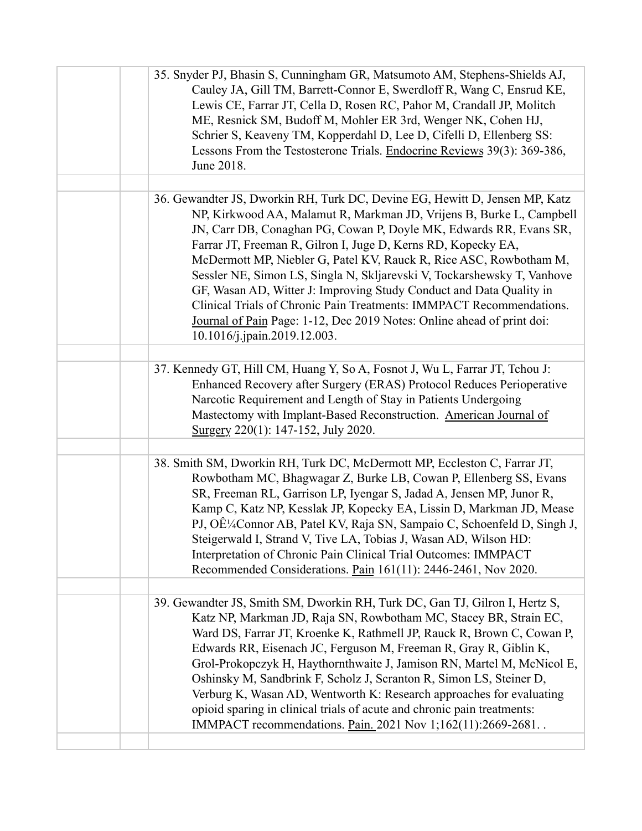| 35. Snyder PJ, Bhasin S, Cunningham GR, Matsumoto AM, Stephens-Shields AJ,<br>Cauley JA, Gill TM, Barrett-Connor E, Swerdloff R, Wang C, Ensrud KE,<br>Lewis CE, Farrar JT, Cella D, Rosen RC, Pahor M, Crandall JP, Molitch<br>ME, Resnick SM, Budoff M, Mohler ER 3rd, Wenger NK, Cohen HJ,                                                                                                                                                                                                                                                                                                                                                                                                        |
|------------------------------------------------------------------------------------------------------------------------------------------------------------------------------------------------------------------------------------------------------------------------------------------------------------------------------------------------------------------------------------------------------------------------------------------------------------------------------------------------------------------------------------------------------------------------------------------------------------------------------------------------------------------------------------------------------|
| Schrier S, Keaveny TM, Kopperdahl D, Lee D, Cifelli D, Ellenberg SS:<br>Lessons From the Testosterone Trials. Endocrine Reviews 39(3): 369-386,<br>June 2018.                                                                                                                                                                                                                                                                                                                                                                                                                                                                                                                                        |
| 36. Gewandter JS, Dworkin RH, Turk DC, Devine EG, Hewitt D, Jensen MP, Katz<br>NP, Kirkwood AA, Malamut R, Markman JD, Vrijens B, Burke L, Campbell<br>JN, Carr DB, Conaghan PG, Cowan P, Doyle MK, Edwards RR, Evans SR,<br>Farrar JT, Freeman R, Gilron I, Juge D, Kerns RD, Kopecky EA,<br>McDermott MP, Niebler G, Patel KV, Rauck R, Rice ASC, Rowbotham M,<br>Sessler NE, Simon LS, Singla N, Skljarevski V, Tockarshewsky T, Vanhove<br>GF, Wasan AD, Witter J: Improving Study Conduct and Data Quality in<br>Clinical Trials of Chronic Pain Treatments: IMMPACT Recommendations.<br>Journal of Pain Page: 1-12, Dec 2019 Notes: Online ahead of print doi:<br>10.1016/j.jpain.2019.12.003. |
| 37. Kennedy GT, Hill CM, Huang Y, So A, Fosnot J, Wu L, Farrar JT, Tchou J:<br>Enhanced Recovery after Surgery (ERAS) Protocol Reduces Perioperative<br>Narcotic Requirement and Length of Stay in Patients Undergoing<br>Mastectomy with Implant-Based Reconstruction. American Journal of<br>Surgery 220(1): 147-152, July 2020.                                                                                                                                                                                                                                                                                                                                                                   |
| 38. Smith SM, Dworkin RH, Turk DC, McDermott MP, Eccleston C, Farrar JT,<br>Rowbotham MC, Bhagwagar Z, Burke LB, Cowan P, Ellenberg SS, Evans<br>SR, Freeman RL, Garrison LP, Iyengar S, Jadad A, Jensen MP, Junor R,<br>Kamp C, Katz NP, Kesslak JP, Kopecky EA, Lissin D, Markman JD, Mease<br>PJ, O'Connor AB, Patel KV, Raja SN, Sampaio C, Schoenfeld D, Singh J,<br>Steigerwald I, Strand V, Tive LA, Tobias J, Wasan AD, Wilson HD:<br>Interpretation of Chronic Pain Clinical Trial Outcomes: IMMPACT<br>Recommended Considerations. Pain 161(11): 2446-2461, Nov 2020.                                                                                                                      |
| 39. Gewandter JS, Smith SM, Dworkin RH, Turk DC, Gan TJ, Gilron I, Hertz S,<br>Katz NP, Markman JD, Raja SN, Rowbotham MC, Stacey BR, Strain EC,<br>Ward DS, Farrar JT, Kroenke K, Rathmell JP, Rauck R, Brown C, Cowan P,<br>Edwards RR, Eisenach JC, Ferguson M, Freeman R, Gray R, Giblin K,<br>Grol-Prokopczyk H, Haythornthwaite J, Jamison RN, Martel M, McNicol E,<br>Oshinsky M, Sandbrink F, Scholz J, Scranton R, Simon LS, Steiner D,<br>Verburg K, Wasan AD, Wentworth K: Research approaches for evaluating<br>opioid sparing in clinical trials of acute and chronic pain treatments:<br>IMMPACT recommendations. Pain. 2021 Nov 1;162(11):2669-2681.                                  |
|                                                                                                                                                                                                                                                                                                                                                                                                                                                                                                                                                                                                                                                                                                      |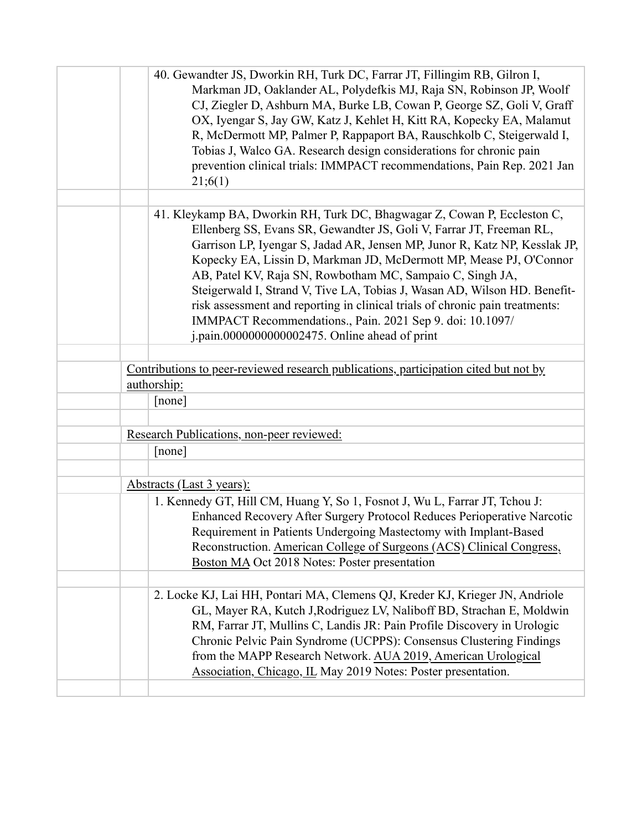| 40. Gewandter JS, Dworkin RH, Turk DC, Farrar JT, Fillingim RB, Gilron I,<br>Markman JD, Oaklander AL, Polydefkis MJ, Raja SN, Robinson JP, Woolf<br>CJ, Ziegler D, Ashburn MA, Burke LB, Cowan P, George SZ, Goli V, Graff<br>OX, Iyengar S, Jay GW, Katz J, Kehlet H, Kitt RA, Kopecky EA, Malamut<br>R, McDermott MP, Palmer P, Rappaport BA, Rauschkolb C, Steigerwald I,<br>Tobias J, Walco GA. Research design considerations for chronic pain<br>prevention clinical trials: IMMPACT recommendations, Pain Rep. 2021 Jan<br>21;6(1)                                                                                                   |
|----------------------------------------------------------------------------------------------------------------------------------------------------------------------------------------------------------------------------------------------------------------------------------------------------------------------------------------------------------------------------------------------------------------------------------------------------------------------------------------------------------------------------------------------------------------------------------------------------------------------------------------------|
|                                                                                                                                                                                                                                                                                                                                                                                                                                                                                                                                                                                                                                              |
| 41. Kleykamp BA, Dworkin RH, Turk DC, Bhagwagar Z, Cowan P, Eccleston C,<br>Ellenberg SS, Evans SR, Gewandter JS, Goli V, Farrar JT, Freeman RL,<br>Garrison LP, Iyengar S, Jadad AR, Jensen MP, Junor R, Katz NP, Kesslak JP,<br>Kopecky EA, Lissin D, Markman JD, McDermott MP, Mease PJ, O'Connor<br>AB, Patel KV, Raja SN, Rowbotham MC, Sampaio C, Singh JA,<br>Steigerwald I, Strand V, Tive LA, Tobias J, Wasan AD, Wilson HD. Benefit-<br>risk assessment and reporting in clinical trials of chronic pain treatments:<br>IMMPACT Recommendations., Pain. 2021 Sep 9. doi: 10.1097/<br>j.pain.000000000002475. Online ahead of print |
|                                                                                                                                                                                                                                                                                                                                                                                                                                                                                                                                                                                                                                              |
| Contributions to peer-reviewed research publications, participation cited but not by<br>authorship:                                                                                                                                                                                                                                                                                                                                                                                                                                                                                                                                          |
| [none]                                                                                                                                                                                                                                                                                                                                                                                                                                                                                                                                                                                                                                       |
|                                                                                                                                                                                                                                                                                                                                                                                                                                                                                                                                                                                                                                              |
| Research Publications, non-peer reviewed:                                                                                                                                                                                                                                                                                                                                                                                                                                                                                                                                                                                                    |
| [none]                                                                                                                                                                                                                                                                                                                                                                                                                                                                                                                                                                                                                                       |
|                                                                                                                                                                                                                                                                                                                                                                                                                                                                                                                                                                                                                                              |
| Abstracts (Last 3 years):                                                                                                                                                                                                                                                                                                                                                                                                                                                                                                                                                                                                                    |
| 1. Kennedy GT, Hill CM, Huang Y, So 1, Fosnot J, Wu L, Farrar JT, Tchou J:<br>Enhanced Recovery After Surgery Protocol Reduces Perioperative Narcotic<br>Requirement in Patients Undergoing Mastectomy with Implant-Based<br>Reconstruction. American College of Surgeons (ACS) Clinical Congress,<br><b>Boston MA Oct 2018 Notes: Poster presentation</b>                                                                                                                                                                                                                                                                                   |
|                                                                                                                                                                                                                                                                                                                                                                                                                                                                                                                                                                                                                                              |
| 2. Locke KJ, Lai HH, Pontari MA, Clemens QJ, Kreder KJ, Krieger JN, Andriole<br>GL, Mayer RA, Kutch J, Rodriguez LV, Naliboff BD, Strachan E, Moldwin<br>RM, Farrar JT, Mullins C, Landis JR: Pain Profile Discovery in Urologic<br>Chronic Pelvic Pain Syndrome (UCPPS): Consensus Clustering Findings<br>from the MAPP Research Network. AUA 2019, American Urological<br>Association, Chicago, IL May 2019 Notes: Poster presentation.                                                                                                                                                                                                    |
|                                                                                                                                                                                                                                                                                                                                                                                                                                                                                                                                                                                                                                              |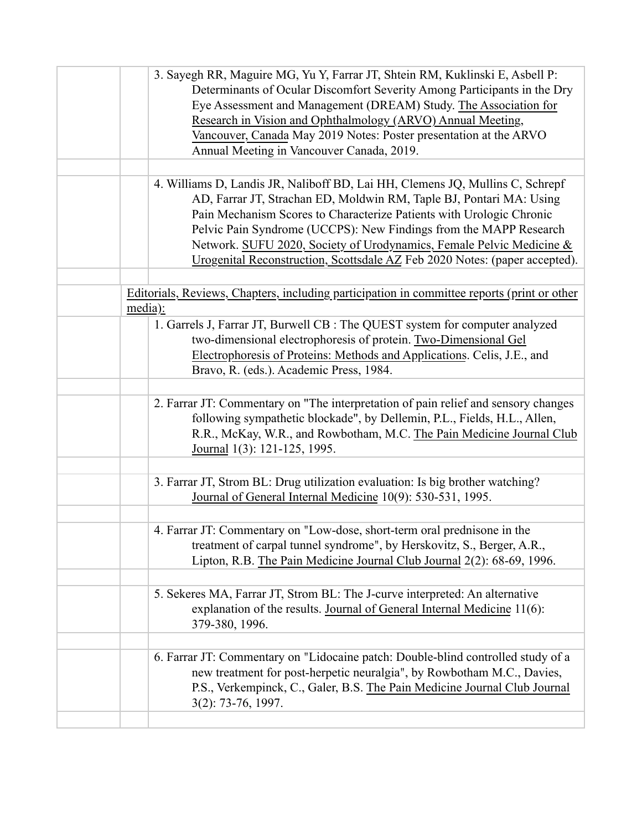| 3. Sayegh RR, Maguire MG, Yu Y, Farrar JT, Shtein RM, Kuklinski E, Asbell P:                           |
|--------------------------------------------------------------------------------------------------------|
| Determinants of Ocular Discomfort Severity Among Participants in the Dry                               |
| Eye Assessment and Management (DREAM) Study. The Association for                                       |
| Research in Vision and Ophthalmology (ARVO) Annual Meeting,                                            |
| Vancouver, Canada May 2019 Notes: Poster presentation at the ARVO                                      |
| Annual Meeting in Vancouver Canada, 2019.                                                              |
| 4. Williams D, Landis JR, Naliboff BD, Lai HH, Clemens JQ, Mullins C, Schrepf                          |
| AD, Farrar JT, Strachan ED, Moldwin RM, Taple BJ, Pontari MA: Using                                    |
| Pain Mechanism Scores to Characterize Patients with Urologic Chronic                                   |
| Pelvic Pain Syndrome (UCCPS): New Findings from the MAPP Research                                      |
| Network. SUFU 2020, Society of Urodynamics, Female Pelvic Medicine &                                   |
| Urogenital Reconstruction, Scottsdale AZ Feb 2020 Notes: (paper accepted).                             |
|                                                                                                        |
| Editorials, Reviews, Chapters, including participation in committee reports (print or other<br>media): |
| 1. Garrels J, Farrar JT, Burwell CB : The QUEST system for computer analyzed                           |
| two-dimensional electrophoresis of protein. Two-Dimensional Gel                                        |
| Electrophoresis of Proteins: Methods and Applications. Celis, J.E., and                                |
| Bravo, R. (eds.). Academic Press, 1984.                                                                |
|                                                                                                        |
| 2. Farrar JT: Commentary on "The interpretation of pain relief and sensory changes                     |
| following sympathetic blockade", by Dellemin, P.L., Fields, H.L., Allen,                               |
| R.R., McKay, W.R., and Rowbotham, M.C. The Pain Medicine Journal Club                                  |
| Journal 1(3): 121-125, 1995.                                                                           |
| 3. Farrar JT, Strom BL: Drug utilization evaluation: Is big brother watching?                          |
| Journal of General Internal Medicine 10(9): 530-531, 1995.                                             |
|                                                                                                        |
| 4. Farrar JT: Commentary on "Low-dose, short-term oral prednisone in the                               |
| treatment of carpal tunnel syndrome", by Herskovitz, S., Berger, A.R.,                                 |
| Lipton, R.B. The Pain Medicine Journal Club Journal 2(2): 68-69, 1996.                                 |
|                                                                                                        |
| 5. Sekeres MA, Farrar JT, Strom BL: The J-curve interpreted: An alternative                            |
| explanation of the results. Journal of General Internal Medicine 11(6):<br>379-380, 1996.              |
|                                                                                                        |
| 6. Farrar JT: Commentary on "Lidocaine patch: Double-blind controlled study of a                       |
| new treatment for post-herpetic neuralgia", by Rowbotham M.C., Davies,                                 |
| P.S., Verkempinck, C., Galer, B.S. The Pain Medicine Journal Club Journal                              |
| 3(2): 73-76, 1997.                                                                                     |
|                                                                                                        |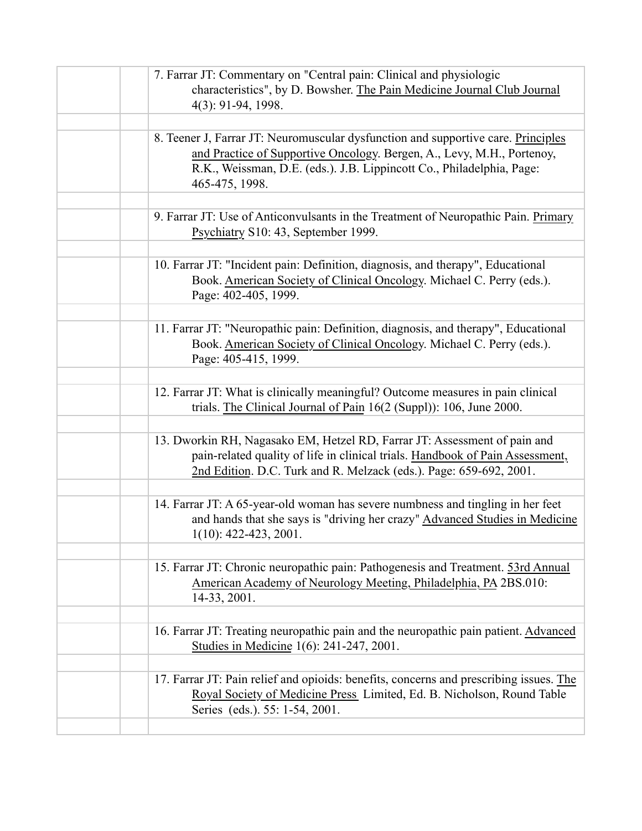| 7. Farrar JT: Commentary on "Central pain: Clinical and physiologic<br>characteristics", by D. Bowsher. The Pain Medicine Journal Club Journal<br>4(3): 91-94, 1998.                                                                                   |
|--------------------------------------------------------------------------------------------------------------------------------------------------------------------------------------------------------------------------------------------------------|
| 8. Teener J, Farrar JT: Neuromuscular dysfunction and supportive care. Principles<br>and Practice of Supportive Oncology. Bergen, A., Levy, M.H., Portenoy,<br>R.K., Weissman, D.E. (eds.). J.B. Lippincott Co., Philadelphia, Page:<br>465-475, 1998. |
| 9. Farrar JT: Use of Anticonvulsants in the Treatment of Neuropathic Pain. Primary<br>Psychiatry S10: 43, September 1999.                                                                                                                              |
| 10. Farrar JT: "Incident pain: Definition, diagnosis, and therapy", Educational<br>Book. American Society of Clinical Oncology. Michael C. Perry (eds.).<br>Page: 402-405, 1999.                                                                       |
| 11. Farrar JT: "Neuropathic pain: Definition, diagnosis, and therapy", Educational<br>Book. American Society of Clinical Oncology. Michael C. Perry (eds.).<br>Page: 405-415, 1999.                                                                    |
| 12. Farrar JT: What is clinically meaningful? Outcome measures in pain clinical<br>trials. The Clinical Journal of Pain 16(2 (Suppl)): 106, June 2000.                                                                                                 |
| 13. Dworkin RH, Nagasako EM, Hetzel RD, Farrar JT: Assessment of pain and<br>pain-related quality of life in clinical trials. Handbook of Pain Assessment,<br>2nd Edition. D.C. Turk and R. Melzack (eds.). Page: 659-692, 2001.                       |
| 14. Farrar JT: A 65-year-old woman has severe numbness and tingling in her feet<br>and hands that she says is "driving her crazy" Advanced Studies in Medicine<br>$1(10)$ : 422-423, 2001.                                                             |
| 15. Farrar JT: Chronic neuropathic pain: Pathogenesis and Treatment. 53rd Annual<br>American Academy of Neurology Meeting, Philadelphia, PA 2BS.010:<br>14-33, 2001.                                                                                   |
| 16. Farrar JT: Treating neuropathic pain and the neuropathic pain patient. Advanced<br>Studies in Medicine 1(6): 241-247, 2001.                                                                                                                        |
| 17. Farrar JT: Pain relief and opioids: benefits, concerns and prescribing issues. The<br>Royal Society of Medicine Press Limited, Ed. B. Nicholson, Round Table<br>Series (eds.). 55: 1-54, 2001.                                                     |
|                                                                                                                                                                                                                                                        |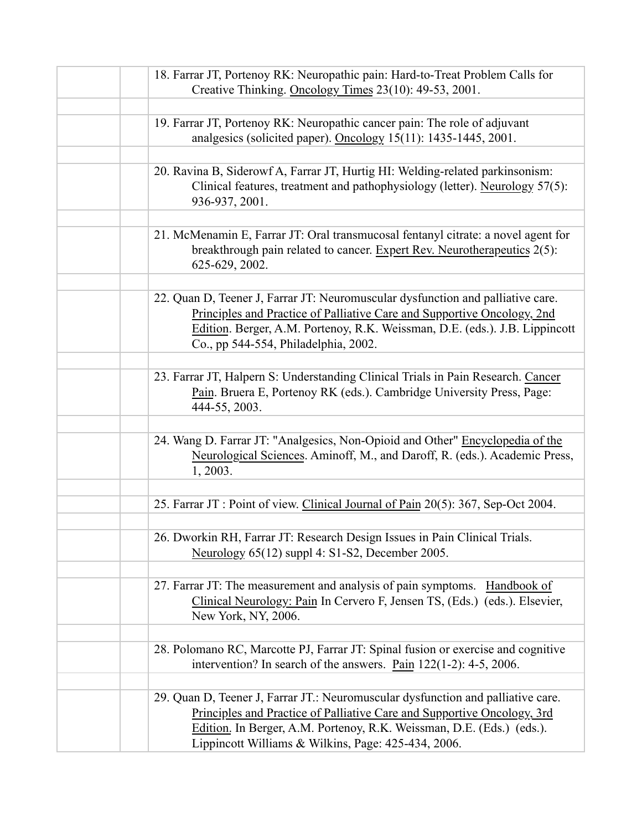| 18. Farrar JT, Portenoy RK: Neuropathic pain: Hard-to-Treat Problem Calls for<br>Creative Thinking. Oncology Times 23(10): 49-53, 2001.                                                                                                                                                     |
|---------------------------------------------------------------------------------------------------------------------------------------------------------------------------------------------------------------------------------------------------------------------------------------------|
|                                                                                                                                                                                                                                                                                             |
| 19. Farrar JT, Portenoy RK: Neuropathic cancer pain: The role of adjuvant<br>analgesics (solicited paper). Oncology 15(11): 1435-1445, 2001.                                                                                                                                                |
|                                                                                                                                                                                                                                                                                             |
| 20. Ravina B, Siderowf A, Farrar JT, Hurtig HI: Welding-related parkinsonism:<br>Clinical features, treatment and pathophysiology (letter). Neurology 57(5):<br>936-937, 2001.                                                                                                              |
|                                                                                                                                                                                                                                                                                             |
| 21. McMenamin E, Farrar JT: Oral transmucosal fentanyl citrate: a novel agent for<br>breakthrough pain related to cancer. Expert Rev. Neurotherapeutics 2(5):<br>625-629, 2002.                                                                                                             |
|                                                                                                                                                                                                                                                                                             |
| 22. Quan D, Teener J, Farrar JT: Neuromuscular dysfunction and palliative care.<br>Principles and Practice of Palliative Care and Supportive Oncology, 2nd<br>Edition. Berger, A.M. Portenoy, R.K. Weissman, D.E. (eds.). J.B. Lippincott<br>Co., pp 544-554, Philadelphia, 2002.           |
|                                                                                                                                                                                                                                                                                             |
| 23. Farrar JT, Halpern S: Understanding Clinical Trials in Pain Research. Cancer<br>Pain. Bruera E, Portenoy RK (eds.). Cambridge University Press, Page:<br>444-55, 2003.                                                                                                                  |
|                                                                                                                                                                                                                                                                                             |
| 24. Wang D. Farrar JT: "Analgesics, Non-Opioid and Other" Encyclopedia of the<br>Neurological Sciences. Aminoff, M., and Daroff, R. (eds.). Academic Press,<br>1, 2003.                                                                                                                     |
|                                                                                                                                                                                                                                                                                             |
| 25. Farrar JT: Point of view. Clinical Journal of Pain 20(5): 367, Sep-Oct 2004.                                                                                                                                                                                                            |
| 26. Dworkin RH, Farrar JT: Research Design Issues in Pain Clinical Trials.<br>Neurology $65(12)$ suppl 4: S1-S2, December 2005.                                                                                                                                                             |
|                                                                                                                                                                                                                                                                                             |
| 27. Farrar JT: The measurement and analysis of pain symptoms.<br>Handbook of<br>Clinical Neurology: Pain In Cervero F, Jensen TS, (Eds.) (eds.). Elsevier,<br>New York, NY, 2006.                                                                                                           |
|                                                                                                                                                                                                                                                                                             |
| 28. Polomano RC, Marcotte PJ, Farrar JT: Spinal fusion or exercise and cognitive<br>intervention? In search of the answers. Pain $122(1-2)$ : 4-5, 2006.                                                                                                                                    |
|                                                                                                                                                                                                                                                                                             |
| 29. Quan D, Teener J, Farrar JT.: Neuromuscular dysfunction and palliative care.<br>Principles and Practice of Palliative Care and Supportive Oncology, 3rd<br>Edition. In Berger, A.M. Portenoy, R.K. Weissman, D.E. (Eds.) (eds.).<br>Lippincott Williams & Wilkins, Page: 425-434, 2006. |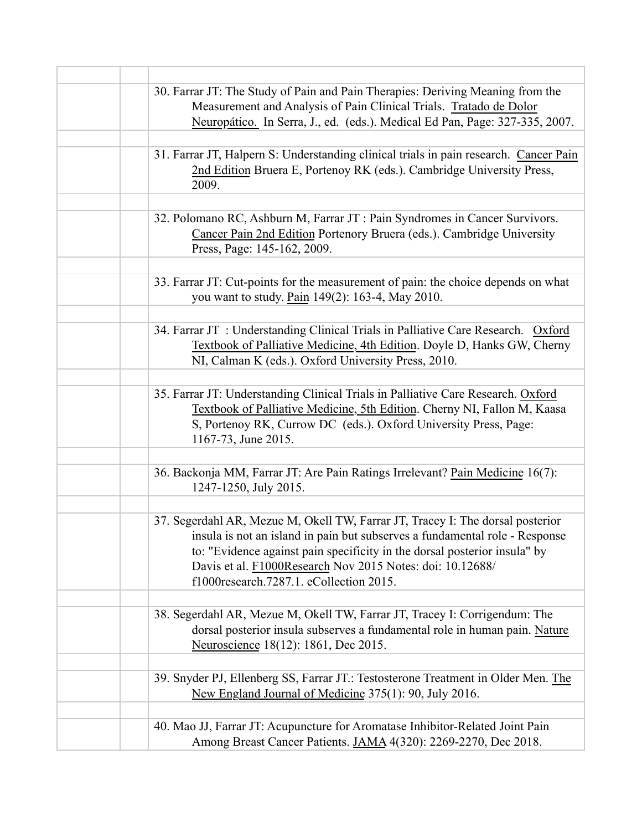| 30. Farrar JT: The Study of Pain and Pain Therapies: Deriving Meaning from the<br>Measurement and Analysis of Pain Clinical Trials. Tratado de Dolor<br>Neuropático. In Serra, J., ed. (eds.). Medical Ed Pan, Page: 327-335, 2007.                                                                                                                |
|----------------------------------------------------------------------------------------------------------------------------------------------------------------------------------------------------------------------------------------------------------------------------------------------------------------------------------------------------|
| 31. Farrar JT, Halpern S: Understanding clinical trials in pain research. Cancer Pain<br>2nd Edition Bruera E, Portenoy RK (eds.). Cambridge University Press,<br>2009.                                                                                                                                                                            |
| 32. Polomano RC, Ashburn M, Farrar JT : Pain Syndromes in Cancer Survivors.<br>Cancer Pain 2nd Edition Portenory Bruera (eds.). Cambridge University<br>Press, Page: 145-162, 2009.                                                                                                                                                                |
| 33. Farrar JT: Cut-points for the measurement of pain: the choice depends on what<br>you want to study. Pain 149(2): 163-4, May 2010.                                                                                                                                                                                                              |
| 34. Farrar JT: Understanding Clinical Trials in Palliative Care Research. Oxford<br>Textbook of Palliative Medicine, 4th Edition. Doyle D, Hanks GW, Cherny<br>NI, Calman K (eds.). Oxford University Press, 2010.                                                                                                                                 |
| 35. Farrar JT: Understanding Clinical Trials in Palliative Care Research. Oxford<br>Textbook of Palliative Medicine, 5th Edition. Cherny NI, Fallon M, Kaasa<br>S, Portenoy RK, Currow DC (eds.). Oxford University Press, Page:<br>1167-73, June 2015.                                                                                            |
| 36. Backonja MM, Farrar JT: Are Pain Ratings Irrelevant? Pain Medicine 16(7):<br>1247-1250, July 2015.                                                                                                                                                                                                                                             |
| 37. Segerdahl AR, Mezue M, Okell TW, Farrar JT, Tracey I: The dorsal posterior<br>insula is not an island in pain but subserves a fundamental role - Response<br>to: "Evidence against pain specificity in the dorsal posterior insula" by<br>Davis et al. F1000Research Nov 2015 Notes: doi: 10.12688/<br>f1000research.7287.1. eCollection 2015. |
| 38. Segerdahl AR, Mezue M, Okell TW, Farrar JT, Tracey I: Corrigendum: The<br>dorsal posterior insula subserves a fundamental role in human pain. Nature<br>Neuroscience 18(12): 1861, Dec 2015.                                                                                                                                                   |
| 39. Snyder PJ, Ellenberg SS, Farrar JT.: Testosterone Treatment in Older Men. The<br>New England Journal of Medicine 375(1): 90, July 2016.                                                                                                                                                                                                        |
| 40. Mao JJ, Farrar JT: Acupuncture for Aromatase Inhibitor-Related Joint Pain<br>Among Breast Cancer Patients. JAMA 4(320): 2269-2270, Dec 2018.                                                                                                                                                                                                   |